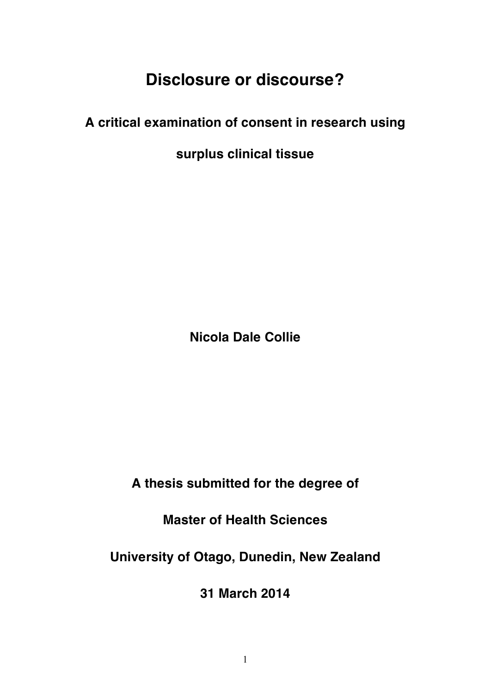# **Disclosure or discourse?**

# **A critical examination of consent in research using**

**surplus clinical tissue**

**Nicola Dale Collie**

**A thesis submitted for the degree of**

**Master of Health Sciences**

**University of Otago, Dunedin, New Zealand**

**31 March 2014**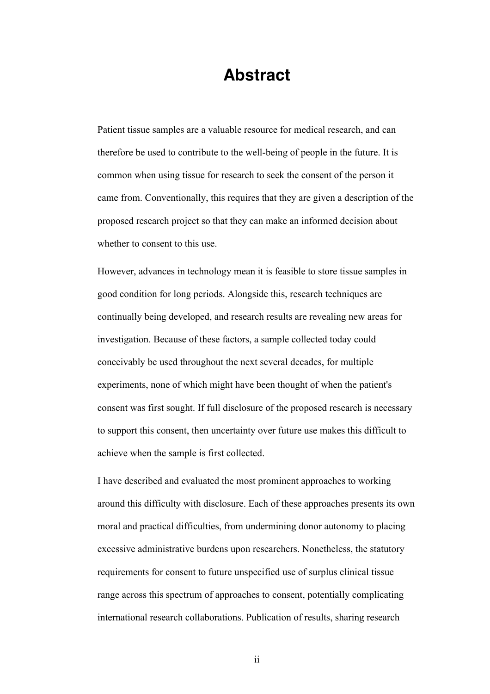# **Abstract**

Patient tissue samples are a valuable resource for medical research, and can therefore be used to contribute to the well-being of people in the future. It is common when using tissue for research to seek the consent of the person it came from. Conventionally, this requires that they are given a description of the proposed research project so that they can make an informed decision about whether to consent to this use.

However, advances in technology mean it is feasible to store tissue samples in good condition for long periods. Alongside this, research techniques are continually being developed, and research results are revealing new areas for investigation. Because of these factors, a sample collected today could conceivably be used throughout the next several decades, for multiple experiments, none of which might have been thought of when the patient's consent was first sought. If full disclosure of the proposed research is necessary to support this consent, then uncertainty over future use makes this difficult to achieve when the sample is first collected.

I have described and evaluated the most prominent approaches to working around this difficulty with disclosure. Each of these approaches presents its own moral and practical difficulties, from undermining donor autonomy to placing excessive administrative burdens upon researchers. Nonetheless, the statutory requirements for consent to future unspecified use of surplus clinical tissue range across this spectrum of approaches to consent, potentially complicating international research collaborations. Publication of results, sharing research

ii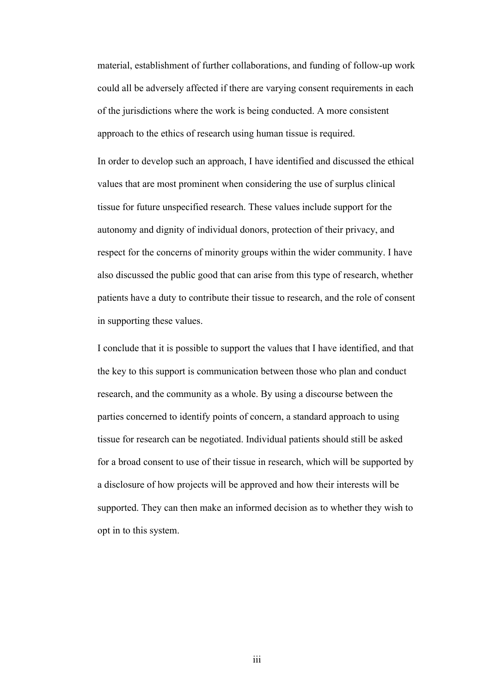material, establishment of further collaborations, and funding of follow-up work could all be adversely affected if there are varying consent requirements in each of the jurisdictions where the work is being conducted. A more consistent approach to the ethics of research using human tissue is required.

In order to develop such an approach, I have identified and discussed the ethical values that are most prominent when considering the use of surplus clinical tissue for future unspecified research. These values include support for the autonomy and dignity of individual donors, protection of their privacy, and respect for the concerns of minority groups within the wider community. I have also discussed the public good that can arise from this type of research, whether patients have a duty to contribute their tissue to research, and the role of consent in supporting these values.

I conclude that it is possible to support the values that I have identified, and that the key to this support is communication between those who plan and conduct research, and the community as a whole. By using a discourse between the parties concerned to identify points of concern, a standard approach to using tissue for research can be negotiated. Individual patients should still be asked for a broad consent to use of their tissue in research, which will be supported by a disclosure of how projects will be approved and how their interests will be supported. They can then make an informed decision as to whether they wish to opt in to this system.

iii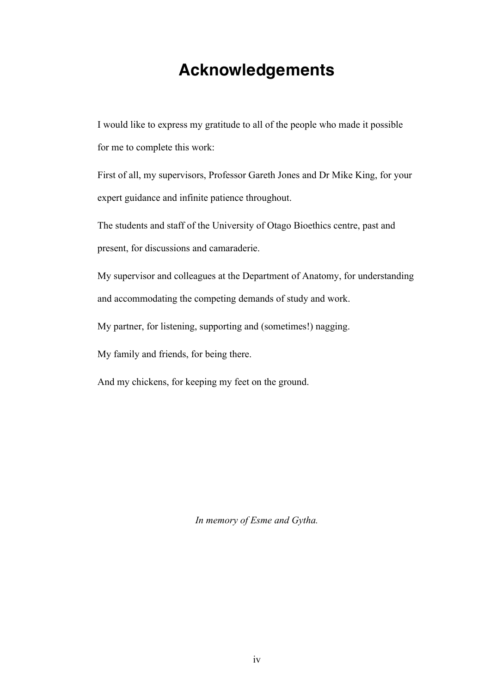# **Acknowledgements**

I would like to express my gratitude to all of the people who made it possible for me to complete this work:

First of all, my supervisors, Professor Gareth Jones and Dr Mike King, for your expert guidance and infinite patience throughout.

The students and staff of the University of Otago Bioethics centre, past and present, for discussions and camaraderie.

My supervisor and colleagues at the Department of Anatomy, for understanding and accommodating the competing demands of study and work.

My partner, for listening, supporting and (sometimes!) nagging.

My family and friends, for being there.

And my chickens, for keeping my feet on the ground.

*In memory of Esme and Gytha.*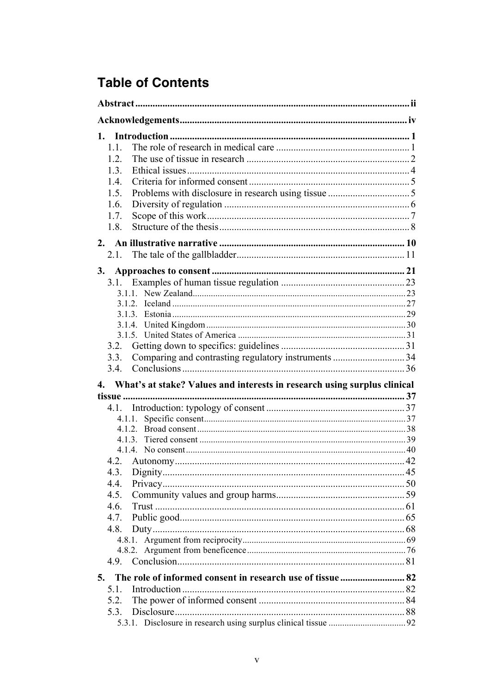# **Table of Contents**

| 1.1.<br>1.2.<br>1.3.<br>1.4.<br>1.5.<br>1.6.<br>1.7.<br>1.8.                |  |
|-----------------------------------------------------------------------------|--|
|                                                                             |  |
| 3.                                                                          |  |
| 3.1.                                                                        |  |
|                                                                             |  |
|                                                                             |  |
|                                                                             |  |
|                                                                             |  |
|                                                                             |  |
| 3.2.                                                                        |  |
| Comparing and contrasting regulatory instruments 34<br>3.3.                 |  |
|                                                                             |  |
| 4. What's at stake? Values and interests in research using surplus clinical |  |
|                                                                             |  |
| 4.1.                                                                        |  |
|                                                                             |  |
|                                                                             |  |
|                                                                             |  |
|                                                                             |  |
| 4.3.                                                                        |  |
| 4.4.                                                                        |  |
| 4.5.                                                                        |  |
| 4.6.                                                                        |  |
| 4.7.                                                                        |  |
| 4.8.                                                                        |  |
|                                                                             |  |
|                                                                             |  |
|                                                                             |  |
|                                                                             |  |
| 5.                                                                          |  |
| 5.1.                                                                        |  |
| 5.2.                                                                        |  |
| 5.3.                                                                        |  |
|                                                                             |  |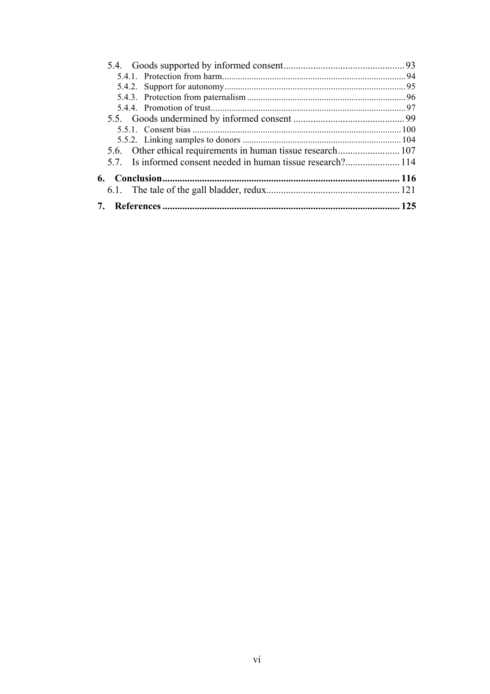| 6. |  |
|----|--|
|    |  |
|    |  |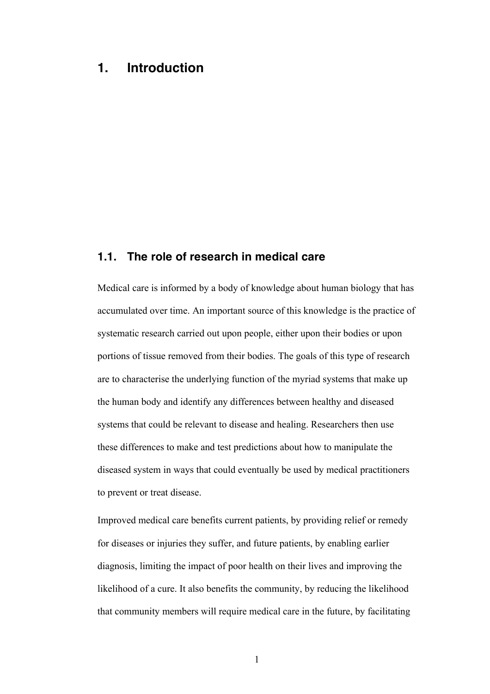# **1. Introduction**

# **1.1. The role of research in medical care**

Medical care is informed by a body of knowledge about human biology that has accumulated over time. An important source of this knowledge is the practice of systematic research carried out upon people, either upon their bodies or upon portions of tissue removed from their bodies. The goals of this type of research are to characterise the underlying function of the myriad systems that make up the human body and identify any differences between healthy and diseased systems that could be relevant to disease and healing. Researchers then use these differences to make and test predictions about how to manipulate the diseased system in ways that could eventually be used by medical practitioners to prevent or treat disease.

Improved medical care benefits current patients, by providing relief or remedy for diseases or injuries they suffer, and future patients, by enabling earlier diagnosis, limiting the impact of poor health on their lives and improving the likelihood of a cure. It also benefits the community, by reducing the likelihood that community members will require medical care in the future, by facilitating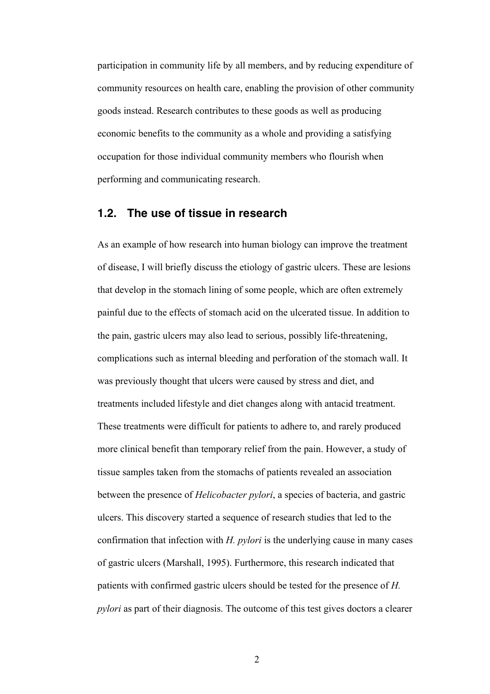participation in community life by all members, and by reducing expenditure of community resources on health care, enabling the provision of other community goods instead. Research contributes to these goods as well as producing economic benefits to the community as a whole and providing a satisfying occupation for those individual community members who flourish when performing and communicating research.

# **1.2. The use of tissue in research**

As an example of how research into human biology can improve the treatment of disease, I will briefly discuss the etiology of gastric ulcers. These are lesions that develop in the stomach lining of some people, which are often extremely painful due to the effects of stomach acid on the ulcerated tissue. In addition to the pain, gastric ulcers may also lead to serious, possibly life-threatening, complications such as internal bleeding and perforation of the stomach wall. It was previously thought that ulcers were caused by stress and diet, and treatments included lifestyle and diet changes along with antacid treatment. These treatments were difficult for patients to adhere to, and rarely produced more clinical benefit than temporary relief from the pain. However, a study of tissue samples taken from the stomachs of patients revealed an association between the presence of *Helicobacter pylori*, a species of bacteria, and gastric ulcers. This discovery started a sequence of research studies that led to the confirmation that infection with *H. pylori* is the underlying cause in many cases of gastric ulcers (Marshall, 1995). Furthermore, this research indicated that patients with confirmed gastric ulcers should be tested for the presence of *H. pylori* as part of their diagnosis. The outcome of this test gives doctors a clearer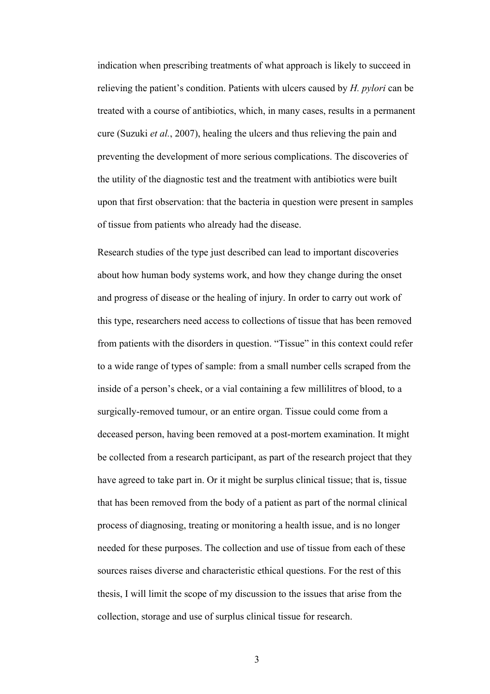indication when prescribing treatments of what approach is likely to succeed in relieving the patient's condition. Patients with ulcers caused by *H. pylori* can be treated with a course of antibiotics, which, in many cases, results in a permanent cure (Suzuki *et al.*, 2007), healing the ulcers and thus relieving the pain and preventing the development of more serious complications. The discoveries of the utility of the diagnostic test and the treatment with antibiotics were built upon that first observation: that the bacteria in question were present in samples of tissue from patients who already had the disease.

Research studies of the type just described can lead to important discoveries about how human body systems work, and how they change during the onset and progress of disease or the healing of injury. In order to carry out work of this type, researchers need access to collections of tissue that has been removed from patients with the disorders in question. "Tissue" in this context could refer to a wide range of types of sample: from a small number cells scraped from the inside of a person's cheek, or a vial containing a few millilitres of blood, to a surgically-removed tumour, or an entire organ. Tissue could come from a deceased person, having been removed at a post-mortem examination. It might be collected from a research participant, as part of the research project that they have agreed to take part in. Or it might be surplus clinical tissue; that is, tissue that has been removed from the body of a patient as part of the normal clinical process of diagnosing, treating or monitoring a health issue, and is no longer needed for these purposes. The collection and use of tissue from each of these sources raises diverse and characteristic ethical questions. For the rest of this thesis, I will limit the scope of my discussion to the issues that arise from the collection, storage and use of surplus clinical tissue for research.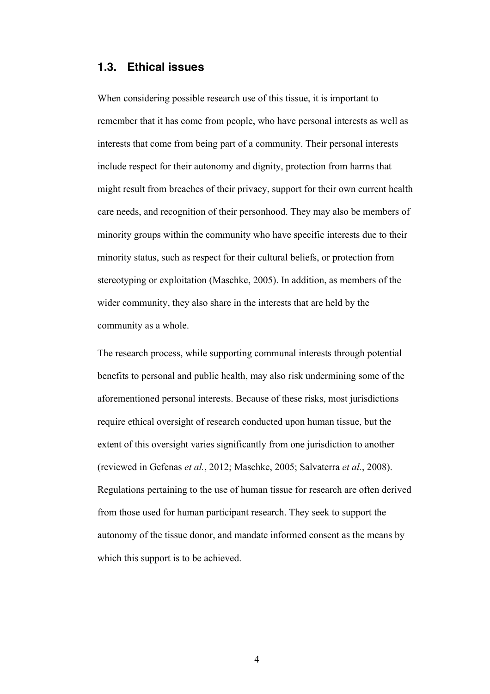# **1.3. Ethical issues**

When considering possible research use of this tissue, it is important to remember that it has come from people, who have personal interests as well as interests that come from being part of a community. Their personal interests include respect for their autonomy and dignity, protection from harms that might result from breaches of their privacy, support for their own current health care needs, and recognition of their personhood. They may also be members of minority groups within the community who have specific interests due to their minority status, such as respect for their cultural beliefs, or protection from stereotyping or exploitation (Maschke, 2005). In addition, as members of the wider community, they also share in the interests that are held by the community as a whole.

The research process, while supporting communal interests through potential benefits to personal and public health, may also risk undermining some of the aforementioned personal interests. Because of these risks, most jurisdictions require ethical oversight of research conducted upon human tissue, but the extent of this oversight varies significantly from one jurisdiction to another (reviewed in Gefenas *et al.*, 2012; Maschke, 2005; Salvaterra *et al.*, 2008). Regulations pertaining to the use of human tissue for research are often derived from those used for human participant research. They seek to support the autonomy of the tissue donor, and mandate informed consent as the means by which this support is to be achieved.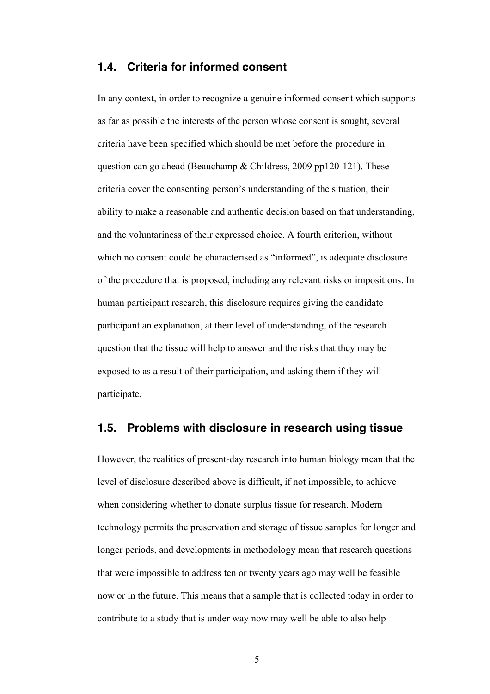# **1.4. Criteria for informed consent**

In any context, in order to recognize a genuine informed consent which supports as far as possible the interests of the person whose consent is sought, several criteria have been specified which should be met before the procedure in question can go ahead (Beauchamp & Childress, 2009 pp120-121). These criteria cover the consenting person's understanding of the situation, their ability to make a reasonable and authentic decision based on that understanding, and the voluntariness of their expressed choice. A fourth criterion, without which no consent could be characterised as "informed", is adequate disclosure of the procedure that is proposed, including any relevant risks or impositions. In human participant research, this disclosure requires giving the candidate participant an explanation, at their level of understanding, of the research question that the tissue will help to answer and the risks that they may be exposed to as a result of their participation, and asking them if they will participate.

# **1.5. Problems with disclosure in research using tissue**

However, the realities of present-day research into human biology mean that the level of disclosure described above is difficult, if not impossible, to achieve when considering whether to donate surplus tissue for research. Modern technology permits the preservation and storage of tissue samples for longer and longer periods, and developments in methodology mean that research questions that were impossible to address ten or twenty years ago may well be feasible now or in the future. This means that a sample that is collected today in order to contribute to a study that is under way now may well be able to also help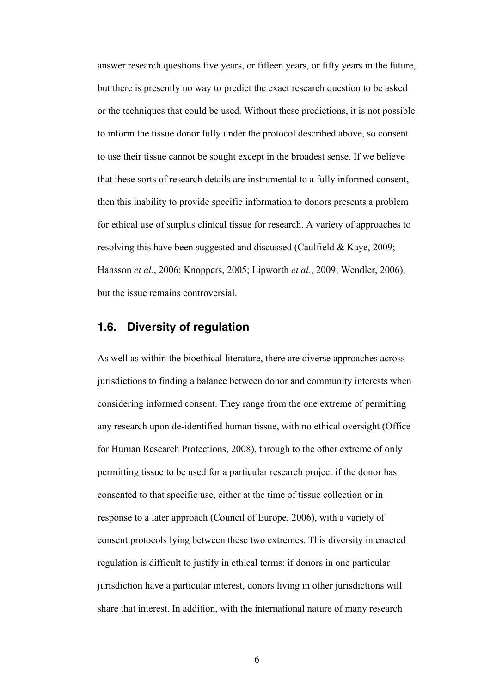answer research questions five years, or fifteen years, or fifty years in the future, but there is presently no way to predict the exact research question to be asked or the techniques that could be used. Without these predictions, it is not possible to inform the tissue donor fully under the protocol described above, so consent to use their tissue cannot be sought except in the broadest sense. If we believe that these sorts of research details are instrumental to a fully informed consent, then this inability to provide specific information to donors presents a problem for ethical use of surplus clinical tissue for research. A variety of approaches to resolving this have been suggested and discussed (Caulfield & Kaye, 2009; Hansson *et al.*, 2006; Knoppers, 2005; Lipworth *et al.*, 2009; Wendler, 2006), but the issue remains controversial.

# **1.6. Diversity of regulation**

As well as within the bioethical literature, there are diverse approaches across jurisdictions to finding a balance between donor and community interests when considering informed consent. They range from the one extreme of permitting any research upon de-identified human tissue, with no ethical oversight (Office for Human Research Protections, 2008), through to the other extreme of only permitting tissue to be used for a particular research project if the donor has consented to that specific use, either at the time of tissue collection or in response to a later approach (Council of Europe, 2006), with a variety of consent protocols lying between these two extremes. This diversity in enacted regulation is difficult to justify in ethical terms: if donors in one particular jurisdiction have a particular interest, donors living in other jurisdictions will share that interest. In addition, with the international nature of many research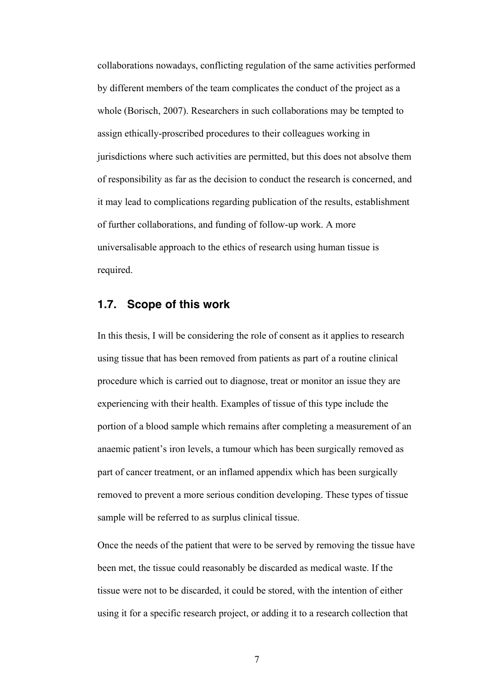collaborations nowadays, conflicting regulation of the same activities performed by different members of the team complicates the conduct of the project as a whole (Borisch, 2007). Researchers in such collaborations may be tempted to assign ethically-proscribed procedures to their colleagues working in jurisdictions where such activities are permitted, but this does not absolve them of responsibility as far as the decision to conduct the research is concerned, and it may lead to complications regarding publication of the results, establishment of further collaborations, and funding of follow-up work. A more universalisable approach to the ethics of research using human tissue is required.

# **1.7. Scope of this work**

In this thesis, I will be considering the role of consent as it applies to research using tissue that has been removed from patients as part of a routine clinical procedure which is carried out to diagnose, treat or monitor an issue they are experiencing with their health. Examples of tissue of this type include the portion of a blood sample which remains after completing a measurement of an anaemic patient's iron levels, a tumour which has been surgically removed as part of cancer treatment, or an inflamed appendix which has been surgically removed to prevent a more serious condition developing. These types of tissue sample will be referred to as surplus clinical tissue.

Once the needs of the patient that were to be served by removing the tissue have been met, the tissue could reasonably be discarded as medical waste. If the tissue were not to be discarded, it could be stored, with the intention of either using it for a specific research project, or adding it to a research collection that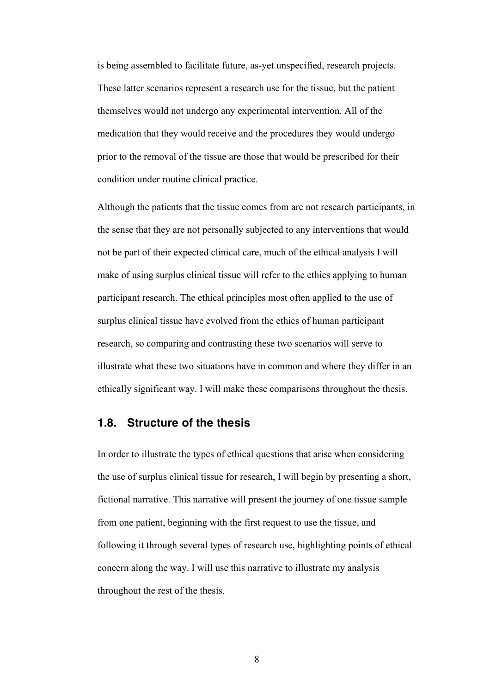is being assembled to facilitate future, as-yet unspecified, research projects. These latter scenarios represent a research use for the tissue, but the patient themselves would not undergo any experimental intervention. All of the medication that they would receive and the procedures they would undergo prior to the removal of the tissue are those that would be prescribed for their condition under routine clinical practice.

Although the patients that the tissue comes from are not research participants, in the sense that they are not personally subjected to any interventions that would not be part of their expected clinical care, much of the ethical analysis I will make of using surplus clinical tissue will refer to the ethics applying to human participant research. The ethical principles most often applied to the use of surplus clinical tissue have evolved from the ethics of human participant research, so comparing and contrasting these two scenarios will serve to illustrate what these two situations have in common and where they differ in an ethically significant way. I will make these comparisons throughout the thesis.

# **1.8. Structure of the thesis**

In order to illustrate the types of ethical questions that arise when considering the use of surplus clinical tissue for research, I will begin by presenting a short, fictional narrative. This narrative will present the journey of one tissue sample from one patient, beginning with the first request to use the tissue, and following it through several types of research use, highlighting points of ethical concern along the way. I will use this narrative to illustrate my analysis throughout the rest of the thesis.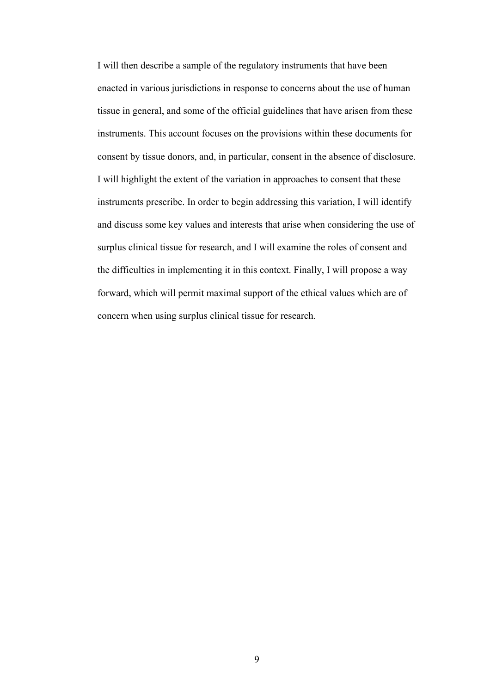I will then describe a sample of the regulatory instruments that have been enacted in various jurisdictions in response to concerns about the use of human tissue in general, and some of the official guidelines that have arisen from these instruments. This account focuses on the provisions within these documents for consent by tissue donors, and, in particular, consent in the absence of disclosure. I will highlight the extent of the variation in approaches to consent that these instruments prescribe. In order to begin addressing this variation, I will identify and discuss some key values and interests that arise when considering the use of surplus clinical tissue for research, and I will examine the roles of consent and the difficulties in implementing it in this context. Finally, I will propose a way forward, which will permit maximal support of the ethical values which are of concern when using surplus clinical tissue for research.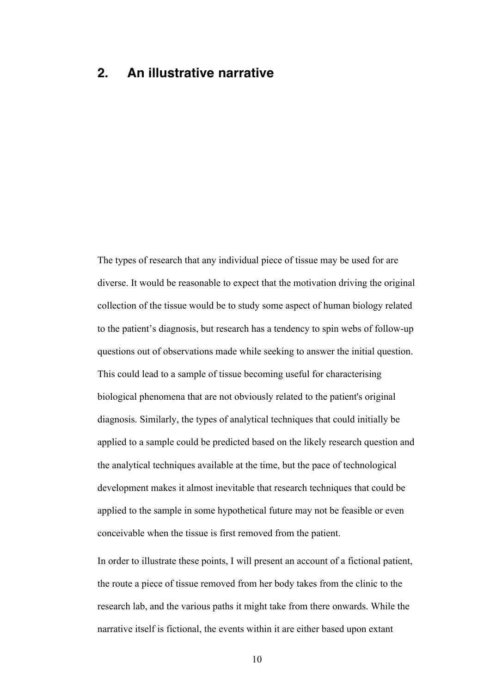# **2. An illustrative narrative**

The types of research that any individual piece of tissue may be used for are diverse. It would be reasonable to expect that the motivation driving the original collection of the tissue would be to study some aspect of human biology related to the patient's diagnosis, but research has a tendency to spin webs of follow-up questions out of observations made while seeking to answer the initial question. This could lead to a sample of tissue becoming useful for characterising biological phenomena that are not obviously related to the patient's original diagnosis. Similarly, the types of analytical techniques that could initially be applied to a sample could be predicted based on the likely research question and the analytical techniques available at the time, but the pace of technological development makes it almost inevitable that research techniques that could be applied to the sample in some hypothetical future may not be feasible or even conceivable when the tissue is first removed from the patient.

In order to illustrate these points, I will present an account of a fictional patient, the route a piece of tissue removed from her body takes from the clinic to the research lab, and the various paths it might take from there onwards. While the narrative itself is fictional, the events within it are either based upon extant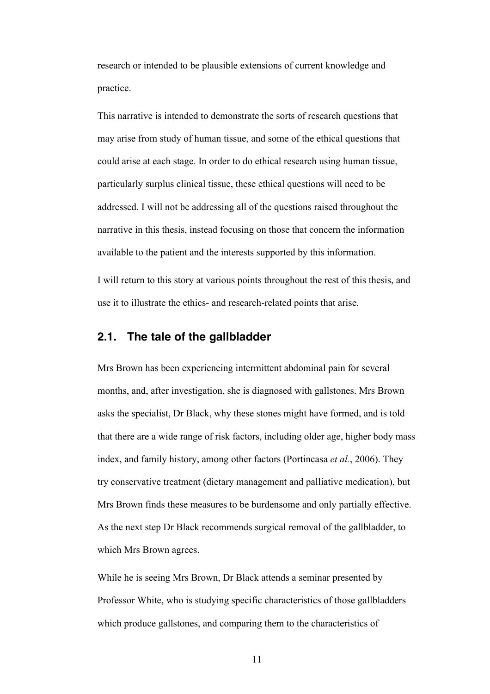research or intended to be plausible extensions of current knowledge and practice.

This narrative is intended to demonstrate the sorts of research questions that may arise from study of human tissue, and some of the ethical questions that could arise at each stage. In order to do ethical research using human tissue, particularly surplus clinical tissue, these ethical questions will need to be addressed. I will not be addressing all of the questions raised throughout the narrative in this thesis, instead focusing on those that concern the information available to the patient and the interests supported by this information.

I will return to this story at various points throughout the rest of this thesis, and use it to illustrate the ethics- and research-related points that arise.

## **2.1. The tale of the gallbladder**

Mrs Brown has been experiencing intermittent abdominal pain for several months, and, after investigation, she is diagnosed with gallstones. Mrs Brown asks the specialist, Dr Black, why these stones might have formed, and is told that there are a wide range of risk factors, including older age, higher body mass index, and family history, among other factors (Portincasa *et al.*, 2006). They try conservative treatment (dietary management and palliative medication), but Mrs Brown finds these measures to be burdensome and only partially effective. As the next step Dr Black recommends surgical removal of the gallbladder, to which Mrs Brown agrees.

While he is seeing Mrs Brown, Dr Black attends a seminar presented by Professor White, who is studying specific characteristics of those gallbladders which produce gallstones, and comparing them to the characteristics of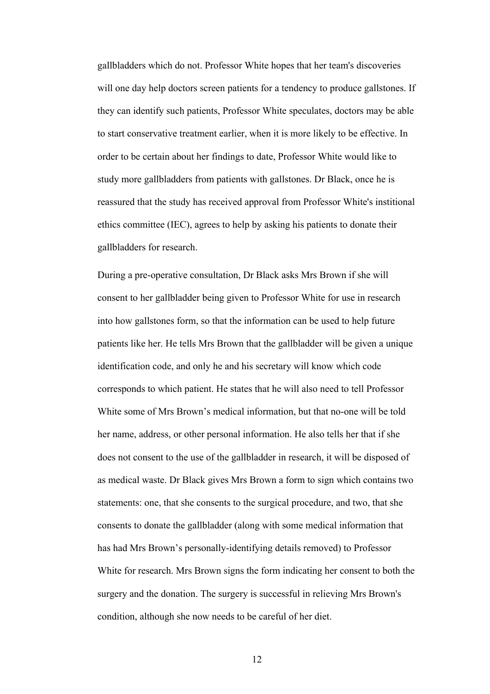gallbladders which do not. Professor White hopes that her team's discoveries will one day help doctors screen patients for a tendency to produce gallstones. If they can identify such patients, Professor White speculates, doctors may be able to start conservative treatment earlier, when it is more likely to be effective. In order to be certain about her findings to date, Professor White would like to study more gallbladders from patients with gallstones. Dr Black, once he is reassured that the study has received approval from Professor White's institional ethics committee (IEC), agrees to help by asking his patients to donate their gallbladders for research.

During a pre-operative consultation, Dr Black asks Mrs Brown if she will consent to her gallbladder being given to Professor White for use in research into how gallstones form, so that the information can be used to help future patients like her. He tells Mrs Brown that the gallbladder will be given a unique identification code, and only he and his secretary will know which code corresponds to which patient. He states that he will also need to tell Professor White some of Mrs Brown's medical information, but that no-one will be told her name, address, or other personal information. He also tells her that if she does not consent to the use of the gallbladder in research, it will be disposed of as medical waste. Dr Black gives Mrs Brown a form to sign which contains two statements: one, that she consents to the surgical procedure, and two, that she consents to donate the gallbladder (along with some medical information that has had Mrs Brown's personally-identifying details removed) to Professor White for research. Mrs Brown signs the form indicating her consent to both the surgery and the donation. The surgery is successful in relieving Mrs Brown's condition, although she now needs to be careful of her diet.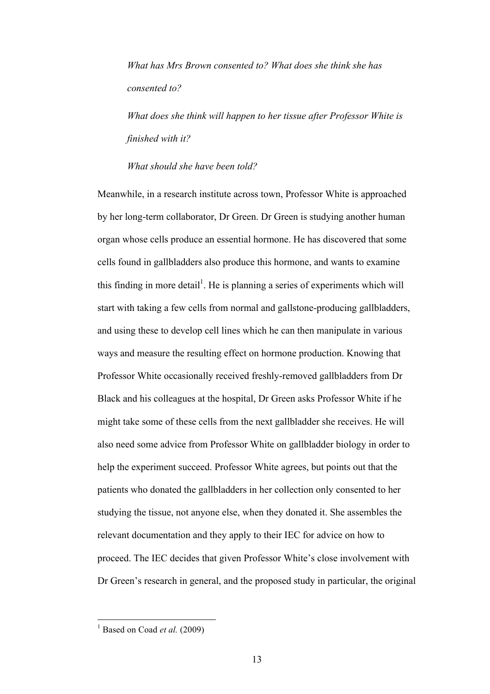*What has Mrs Brown consented to? What does she think she has consented to?*

*What does she think will happen to her tissue after Professor White is finished with it?* 

*What should she have been told?*

Meanwhile, in a research institute across town, Professor White is approached by her long-term collaborator, Dr Green. Dr Green is studying another human organ whose cells produce an essential hormone. He has discovered that some cells found in gallbladders also produce this hormone, and wants to examine this finding in more detail<sup>1</sup>. He is planning a series of experiments which will start with taking a few cells from normal and gallstone-producing gallbladders, and using these to develop cell lines which he can then manipulate in various ways and measure the resulting effect on hormone production. Knowing that Professor White occasionally received freshly-removed gallbladders from Dr Black and his colleagues at the hospital, Dr Green asks Professor White if he might take some of these cells from the next gallbladder she receives. He will also need some advice from Professor White on gallbladder biology in order to help the experiment succeed. Professor White agrees, but points out that the patients who donated the gallbladders in her collection only consented to her studying the tissue, not anyone else, when they donated it. She assembles the relevant documentation and they apply to their IEC for advice on how to proceed. The IEC decides that given Professor White's close involvement with Dr Green's research in general, and the proposed study in particular, the original

<sup>&</sup>lt;sup>1</sup> Based on Coad *et al.*  $(2009)$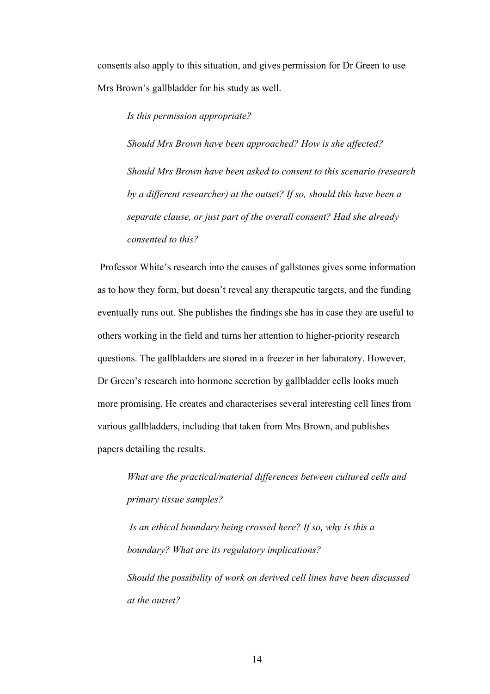consents also apply to this situation, and gives permission for Dr Green to use Mrs Brown's gallbladder for his study as well.

*Is this permission appropriate?* 

*Should Mrs Brown have been approached? How is she affected? Should Mrs Brown have been asked to consent to this scenario (research by a different researcher) at the outset? If so, should this have been a separate clause, or just part of the overall consent? Had she already consented to this?*

Professor White's research into the causes of gallstones gives some information as to how they form, but doesn't reveal any therapeutic targets, and the funding eventually runs out. She publishes the findings she has in case they are useful to others working in the field and turns her attention to higher-priority research questions. The gallbladders are stored in a freezer in her laboratory. However, Dr Green's research into hormone secretion by gallbladder cells looks much more promising. He creates and characterises several interesting cell lines from various gallbladders, including that taken from Mrs Brown, and publishes papers detailing the results.

*What are the practical/material differences between cultured cells and primary tissue samples?*

*Is an ethical boundary being crossed here? If so, why is this a boundary? What are its regulatory implications? Should the possibility of work on derived cell lines have been discussed at the outset?*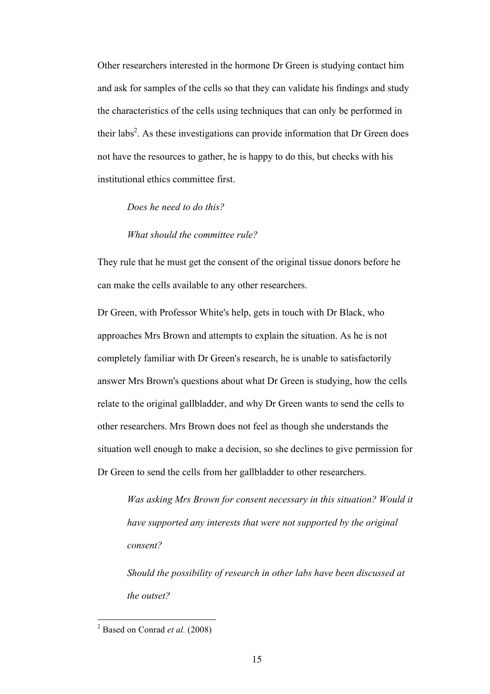Other researchers interested in the hormone Dr Green is studying contact him and ask for samples of the cells so that they can validate his findings and study the characteristics of the cells using techniques that can only be performed in their labs<sup>2</sup>. As these investigations can provide information that Dr Green does not have the resources to gather, he is happy to do this, but checks with his institutional ethics committee first.

### *Does he need to do this?*

#### *What should the committee rule?*

They rule that he must get the consent of the original tissue donors before he can make the cells available to any other researchers.

Dr Green, with Professor White's help, gets in touch with Dr Black, who approaches Mrs Brown and attempts to explain the situation. As he is not completely familiar with Dr Green's research, he is unable to satisfactorily answer Mrs Brown's questions about what Dr Green is studying, how the cells relate to the original gallbladder, and why Dr Green wants to send the cells to other researchers. Mrs Brown does not feel as though she understands the situation well enough to make a decision, so she declines to give permission for Dr Green to send the cells from her gallbladder to other researchers.

*Was asking Mrs Brown for consent necessary in this situation? Would it have supported any interests that were not supported by the original consent?* 

*Should the possibility of research in other labs have been discussed at the outset?*

 <sup>2</sup> Based on Conrad *et al.* (2008)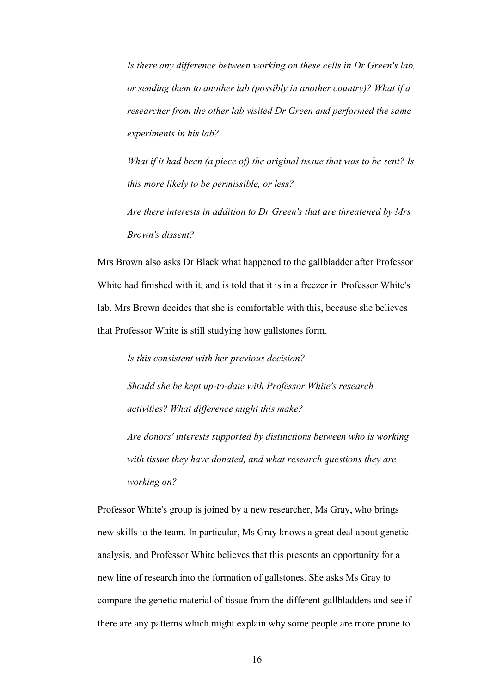*Is there any difference between working on these cells in Dr Green's lab, or sending them to another lab (possibly in another country)? What if a researcher from the other lab visited Dr Green and performed the same experiments in his lab?*

*What if it had been (a piece of) the original tissue that was to be sent? Is this more likely to be permissible, or less?*

*Are there interests in addition to Dr Green's that are threatened by Mrs Brown's dissent?*

Mrs Brown also asks Dr Black what happened to the gallbladder after Professor White had finished with it, and is told that it is in a freezer in Professor White's lab. Mrs Brown decides that she is comfortable with this, because she believes that Professor White is still studying how gallstones form.

*Is this consistent with her previous decision?* 

*Should she be kept up-to-date with Professor White's research activities? What difference might this make?*

*Are donors' interests supported by distinctions between who is working with tissue they have donated, and what research questions they are working on?*

Professor White's group is joined by a new researcher, Ms Gray, who brings new skills to the team. In particular, Ms Gray knows a great deal about genetic analysis, and Professor White believes that this presents an opportunity for a new line of research into the formation of gallstones. She asks Ms Gray to compare the genetic material of tissue from the different gallbladders and see if there are any patterns which might explain why some people are more prone to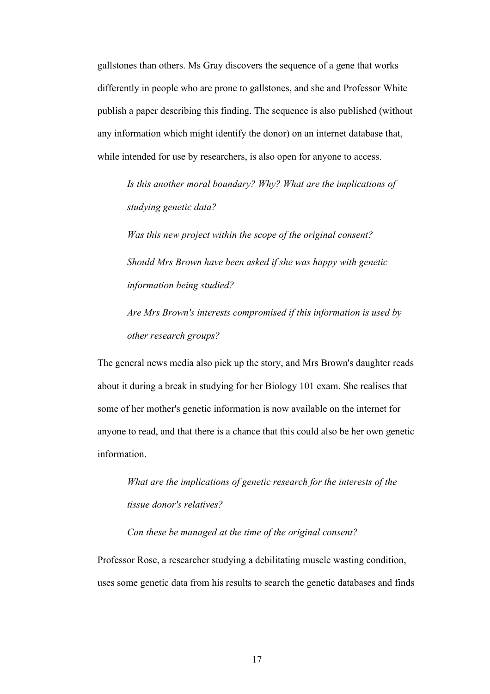gallstones than others. Ms Gray discovers the sequence of a gene that works differently in people who are prone to gallstones, and she and Professor White publish a paper describing this finding. The sequence is also published (without any information which might identify the donor) on an internet database that, while intended for use by researchers, is also open for anyone to access.

*Is this another moral boundary? Why? What are the implications of studying genetic data?*

*Was this new project within the scope of the original consent? Should Mrs Brown have been asked if she was happy with genetic information being studied?* 

*Are Mrs Brown's interests compromised if this information is used by other research groups?*

The general news media also pick up the story, and Mrs Brown's daughter reads about it during a break in studying for her Biology 101 exam. She realises that some of her mother's genetic information is now available on the internet for anyone to read, and that there is a chance that this could also be her own genetic information.

*What are the implications of genetic research for the interests of the tissue donor's relatives?* 

*Can these be managed at the time of the original consent?* 

Professor Rose, a researcher studying a debilitating muscle wasting condition, uses some genetic data from his results to search the genetic databases and finds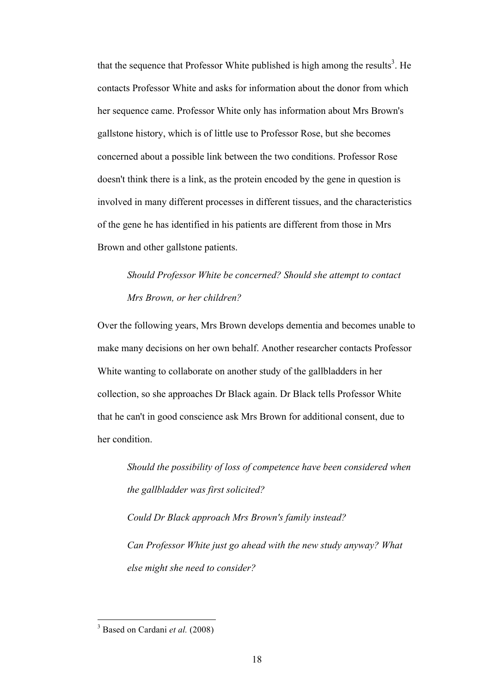that the sequence that Professor White published is high among the results<sup>3</sup>. He contacts Professor White and asks for information about the donor from which her sequence came. Professor White only has information about Mrs Brown's gallstone history, which is of little use to Professor Rose, but she becomes concerned about a possible link between the two conditions. Professor Rose doesn't think there is a link, as the protein encoded by the gene in question is involved in many different processes in different tissues, and the characteristics of the gene he has identified in his patients are different from those in Mrs Brown and other gallstone patients.

*Should Professor White be concerned? Should she attempt to contact Mrs Brown, or her children?*

Over the following years, Mrs Brown develops dementia and becomes unable to make many decisions on her own behalf. Another researcher contacts Professor White wanting to collaborate on another study of the gallbladders in her collection, so she approaches Dr Black again. Dr Black tells Professor White that he can't in good conscience ask Mrs Brown for additional consent, due to her condition.

*Should the possibility of loss of competence have been considered when the gallbladder was first solicited?*

*Could Dr Black approach Mrs Brown's family instead? Can Professor White just go ahead with the new study anyway? What else might she need to consider?*

 <sup>3</sup> Based on Cardani *et al.* (2008)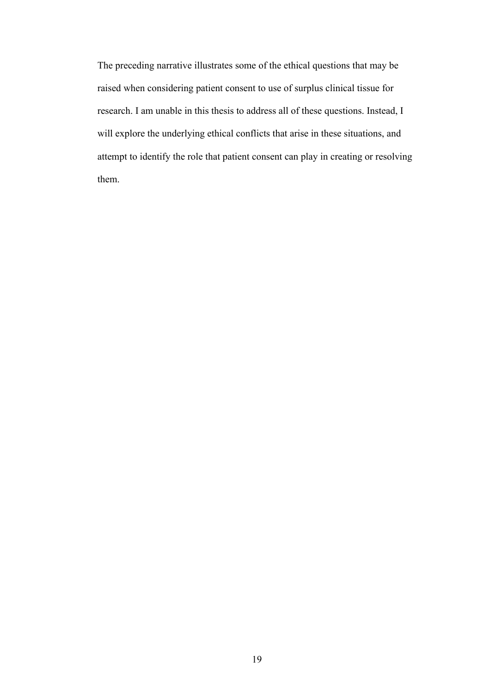The preceding narrative illustrates some of the ethical questions that may be raised when considering patient consent to use of surplus clinical tissue for research. I am unable in this thesis to address all of these questions. Instead, I will explore the underlying ethical conflicts that arise in these situations, and attempt to identify the role that patient consent can play in creating or resolving them.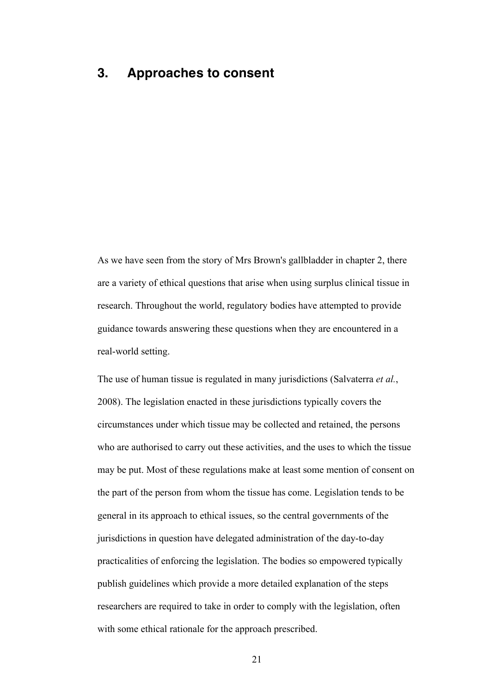# **3. Approaches to consent**

As we have seen from the story of Mrs Brown's gallbladder in chapter 2, there are a variety of ethical questions that arise when using surplus clinical tissue in research. Throughout the world, regulatory bodies have attempted to provide guidance towards answering these questions when they are encountered in a real-world setting.

The use of human tissue is regulated in many jurisdictions (Salvaterra *et al.*, 2008). The legislation enacted in these jurisdictions typically covers the circumstances under which tissue may be collected and retained, the persons who are authorised to carry out these activities, and the uses to which the tissue may be put. Most of these regulations make at least some mention of consent on the part of the person from whom the tissue has come. Legislation tends to be general in its approach to ethical issues, so the central governments of the jurisdictions in question have delegated administration of the day-to-day practicalities of enforcing the legislation. The bodies so empowered typically publish guidelines which provide a more detailed explanation of the steps researchers are required to take in order to comply with the legislation, often with some ethical rationale for the approach prescribed.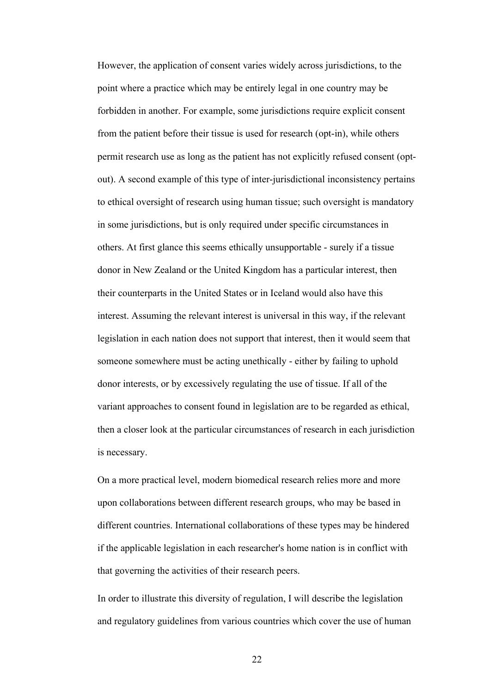However, the application of consent varies widely across jurisdictions, to the point where a practice which may be entirely legal in one country may be forbidden in another. For example, some jurisdictions require explicit consent from the patient before their tissue is used for research (opt-in), while others permit research use as long as the patient has not explicitly refused consent (optout). A second example of this type of inter-jurisdictional inconsistency pertains to ethical oversight of research using human tissue; such oversight is mandatory in some jurisdictions, but is only required under specific circumstances in others. At first glance this seems ethically unsupportable - surely if a tissue donor in New Zealand or the United Kingdom has a particular interest, then their counterparts in the United States or in Iceland would also have this interest. Assuming the relevant interest is universal in this way, if the relevant legislation in each nation does not support that interest, then it would seem that someone somewhere must be acting unethically - either by failing to uphold donor interests, or by excessively regulating the use of tissue. If all of the variant approaches to consent found in legislation are to be regarded as ethical, then a closer look at the particular circumstances of research in each jurisdiction is necessary.

On a more practical level, modern biomedical research relies more and more upon collaborations between different research groups, who may be based in different countries. International collaborations of these types may be hindered if the applicable legislation in each researcher's home nation is in conflict with that governing the activities of their research peers.

In order to illustrate this diversity of regulation, I will describe the legislation and regulatory guidelines from various countries which cover the use of human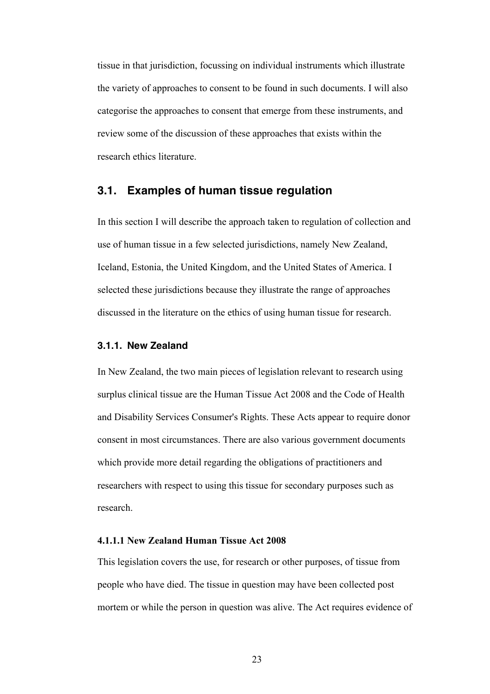tissue in that jurisdiction, focussing on individual instruments which illustrate the variety of approaches to consent to be found in such documents. I will also categorise the approaches to consent that emerge from these instruments, and review some of the discussion of these approaches that exists within the research ethics literature.

# **3.1. Examples of human tissue regulation**

In this section I will describe the approach taken to regulation of collection and use of human tissue in a few selected jurisdictions, namely New Zealand, Iceland, Estonia, the United Kingdom, and the United States of America. I selected these jurisdictions because they illustrate the range of approaches discussed in the literature on the ethics of using human tissue for research.

### **3.1.1. New Zealand**

In New Zealand, the two main pieces of legislation relevant to research using surplus clinical tissue are the Human Tissue Act 2008 and the Code of Health and Disability Services Consumer's Rights. These Acts appear to require donor consent in most circumstances. There are also various government documents which provide more detail regarding the obligations of practitioners and researchers with respect to using this tissue for secondary purposes such as research.

## **4.1.1.1 New Zealand Human Tissue Act 2008**

This legislation covers the use, for research or other purposes, of tissue from people who have died. The tissue in question may have been collected post mortem or while the person in question was alive. The Act requires evidence of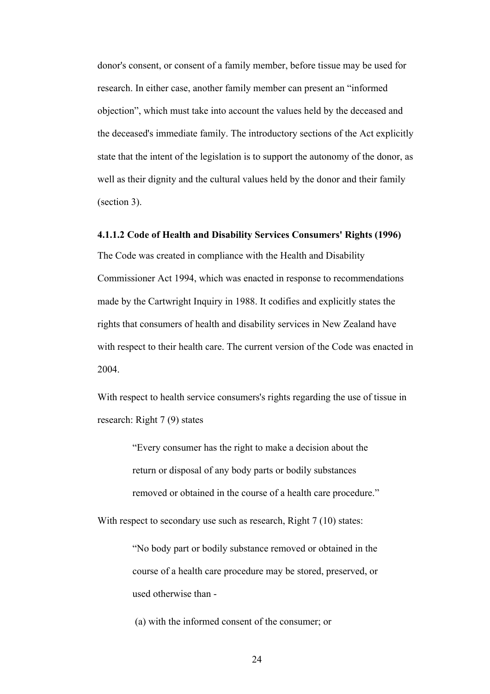donor's consent, or consent of a family member, before tissue may be used for research. In either case, another family member can present an "informed objection", which must take into account the values held by the deceased and the deceased's immediate family. The introductory sections of the Act explicitly state that the intent of the legislation is to support the autonomy of the donor, as well as their dignity and the cultural values held by the donor and their family (section 3).

### **4.1.1.2 Code of Health and Disability Services Consumers' Rights (1996)**

The Code was created in compliance with the Health and Disability Commissioner Act 1994, which was enacted in response to recommendations made by the Cartwright Inquiry in 1988. It codifies and explicitly states the rights that consumers of health and disability services in New Zealand have with respect to their health care. The current version of the Code was enacted in 2004.

With respect to health service consumers's rights regarding the use of tissue in research: Right 7 (9) states

> "Every consumer has the right to make a decision about the return or disposal of any body parts or bodily substances removed or obtained in the course of a health care procedure."

With respect to secondary use such as research, Right 7 (10) states:

"No body part or bodily substance removed or obtained in the course of a health care procedure may be stored, preserved, or used otherwise than -

(a) with the informed consent of the consumer; or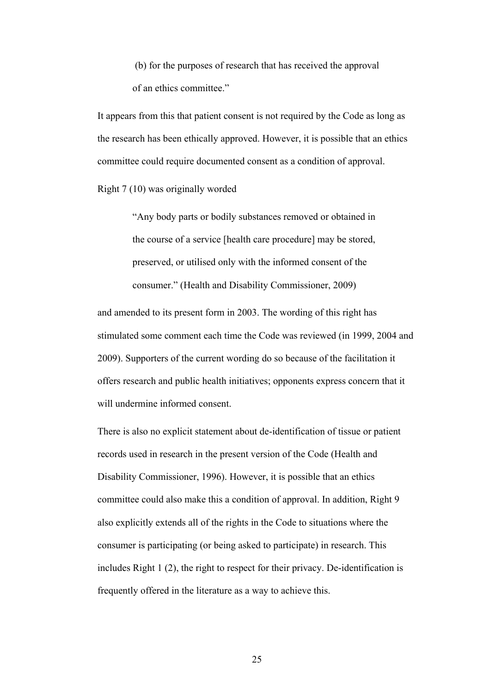(b) for the purposes of research that has received the approval of an ethics committee."

It appears from this that patient consent is not required by the Code as long as the research has been ethically approved. However, it is possible that an ethics committee could require documented consent as a condition of approval.

Right 7 (10) was originally worded

"Any body parts or bodily substances removed or obtained in the course of a service [health care procedure] may be stored, preserved, or utilised only with the informed consent of the consumer." (Health and Disability Commissioner, 2009)

and amended to its present form in 2003. The wording of this right has stimulated some comment each time the Code was reviewed (in 1999, 2004 and 2009). Supporters of the current wording do so because of the facilitation it offers research and public health initiatives; opponents express concern that it will undermine informed consent.

There is also no explicit statement about de-identification of tissue or patient records used in research in the present version of the Code (Health and Disability Commissioner, 1996). However, it is possible that an ethics committee could also make this a condition of approval. In addition, Right 9 also explicitly extends all of the rights in the Code to situations where the consumer is participating (or being asked to participate) in research. This includes Right 1 (2), the right to respect for their privacy. De-identification is frequently offered in the literature as a way to achieve this.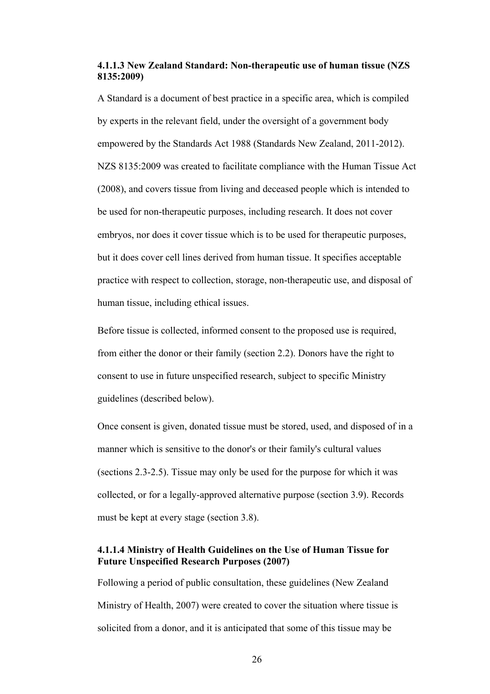### **4.1.1.3 New Zealand Standard: Non-therapeutic use of human tissue (NZS 8135:2009)**

A Standard is a document of best practice in a specific area, which is compiled by experts in the relevant field, under the oversight of a government body empowered by the Standards Act 1988 (Standards New Zealand, 2011-2012). NZS 8135:2009 was created to facilitate compliance with the Human Tissue Act (2008), and covers tissue from living and deceased people which is intended to be used for non-therapeutic purposes, including research. It does not cover embryos, nor does it cover tissue which is to be used for therapeutic purposes, but it does cover cell lines derived from human tissue. It specifies acceptable practice with respect to collection, storage, non-therapeutic use, and disposal of human tissue, including ethical issues.

Before tissue is collected, informed consent to the proposed use is required, from either the donor or their family (section 2.2). Donors have the right to consent to use in future unspecified research, subject to specific Ministry guidelines (described below).

Once consent is given, donated tissue must be stored, used, and disposed of in a manner which is sensitive to the donor's or their family's cultural values (sections 2.3-2.5). Tissue may only be used for the purpose for which it was collected, or for a legally-approved alternative purpose (section 3.9). Records must be kept at every stage (section 3.8).

## **4.1.1.4 Ministry of Health Guidelines on the Use of Human Tissue for Future Unspecified Research Purposes (2007)**

Following a period of public consultation, these guidelines (New Zealand Ministry of Health, 2007) were created to cover the situation where tissue is solicited from a donor, and it is anticipated that some of this tissue may be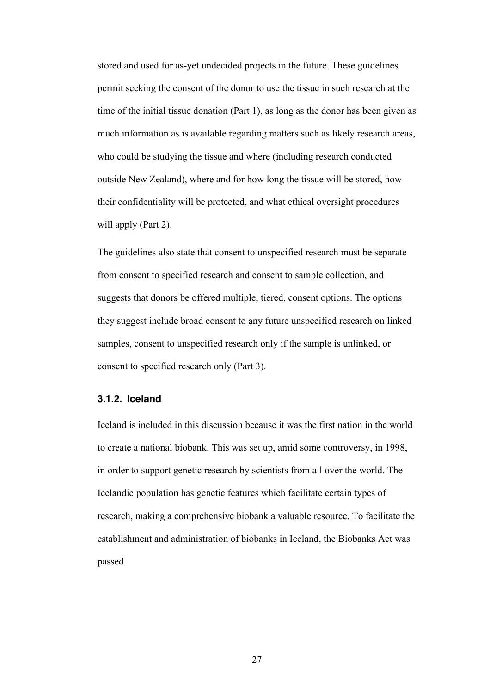stored and used for as-yet undecided projects in the future. These guidelines permit seeking the consent of the donor to use the tissue in such research at the time of the initial tissue donation (Part 1), as long as the donor has been given as much information as is available regarding matters such as likely research areas, who could be studying the tissue and where (including research conducted outside New Zealand), where and for how long the tissue will be stored, how their confidentiality will be protected, and what ethical oversight procedures will apply (Part 2).

The guidelines also state that consent to unspecified research must be separate from consent to specified research and consent to sample collection, and suggests that donors be offered multiple, tiered, consent options. The options they suggest include broad consent to any future unspecified research on linked samples, consent to unspecified research only if the sample is unlinked, or consent to specified research only (Part 3).

#### **3.1.2. Iceland**

Iceland is included in this discussion because it was the first nation in the world to create a national biobank. This was set up, amid some controversy, in 1998, in order to support genetic research by scientists from all over the world. The Icelandic population has genetic features which facilitate certain types of research, making a comprehensive biobank a valuable resource. To facilitate the establishment and administration of biobanks in Iceland, the Biobanks Act was passed.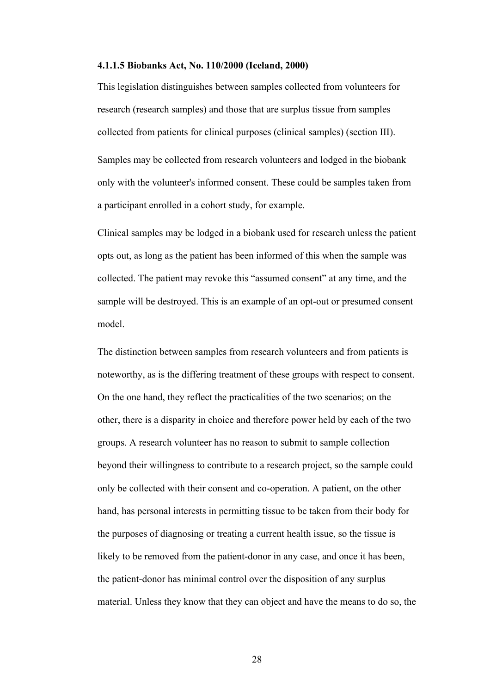#### **4.1.1.5 Biobanks Act, No. 110/2000 (Iceland, 2000)**

This legislation distinguishes between samples collected from volunteers for research (research samples) and those that are surplus tissue from samples collected from patients for clinical purposes (clinical samples) (section III). Samples may be collected from research volunteers and lodged in the biobank only with the volunteer's informed consent. These could be samples taken from a participant enrolled in a cohort study, for example.

Clinical samples may be lodged in a biobank used for research unless the patient opts out, as long as the patient has been informed of this when the sample was collected. The patient may revoke this "assumed consent" at any time, and the sample will be destroyed. This is an example of an opt-out or presumed consent model.

The distinction between samples from research volunteers and from patients is noteworthy, as is the differing treatment of these groups with respect to consent. On the one hand, they reflect the practicalities of the two scenarios; on the other, there is a disparity in choice and therefore power held by each of the two groups. A research volunteer has no reason to submit to sample collection beyond their willingness to contribute to a research project, so the sample could only be collected with their consent and co-operation. A patient, on the other hand, has personal interests in permitting tissue to be taken from their body for the purposes of diagnosing or treating a current health issue, so the tissue is likely to be removed from the patient-donor in any case, and once it has been, the patient-donor has minimal control over the disposition of any surplus material. Unless they know that they can object and have the means to do so, the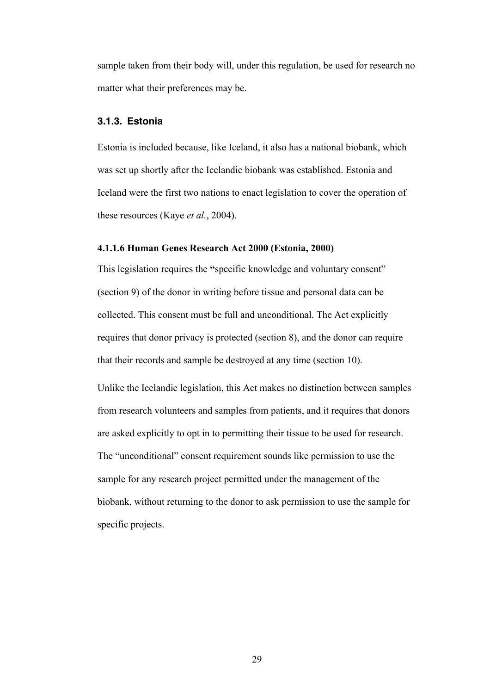sample taken from their body will, under this regulation, be used for research no matter what their preferences may be.

#### **3.1.3. Estonia**

Estonia is included because, like Iceland, it also has a national biobank, which was set up shortly after the Icelandic biobank was established. Estonia and Iceland were the first two nations to enact legislation to cover the operation of these resources (Kaye *et al.*, 2004).

#### **4.1.1.6 Human Genes Research Act 2000 (Estonia, 2000)**

This legislation requires the **"**specific knowledge and voluntary consent" (section 9) of the donor in writing before tissue and personal data can be collected. This consent must be full and unconditional. The Act explicitly requires that donor privacy is protected (section 8), and the donor can require that their records and sample be destroyed at any time (section 10).

Unlike the Icelandic legislation, this Act makes no distinction between samples from research volunteers and samples from patients, and it requires that donors are asked explicitly to opt in to permitting their tissue to be used for research. The "unconditional" consent requirement sounds like permission to use the sample for any research project permitted under the management of the biobank, without returning to the donor to ask permission to use the sample for specific projects.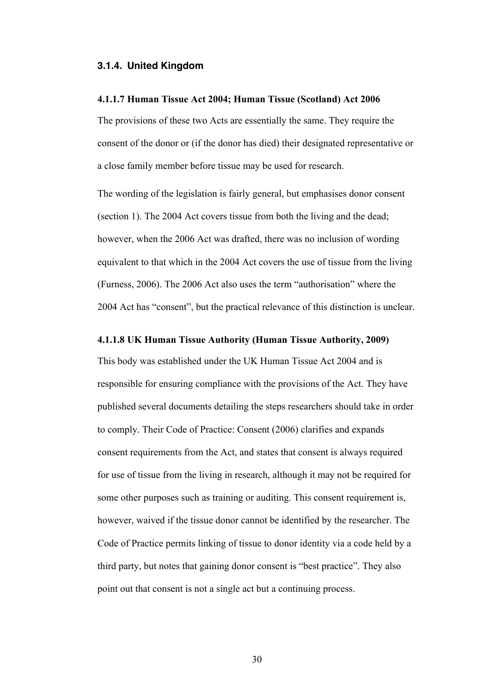#### **3.1.4. United Kingdom**

#### **4.1.1.7 Human Tissue Act 2004; Human Tissue (Scotland) Act 2006**

The provisions of these two Acts are essentially the same. They require the consent of the donor or (if the donor has died) their designated representative or a close family member before tissue may be used for research.

The wording of the legislation is fairly general, but emphasises donor consent (section 1). The 2004 Act covers tissue from both the living and the dead; however, when the 2006 Act was drafted, there was no inclusion of wording equivalent to that which in the 2004 Act covers the use of tissue from the living (Furness, 2006). The 2006 Act also uses the term "authorisation" where the 2004 Act has "consent", but the practical relevance of this distinction is unclear.

#### **4.1.1.8 UK Human Tissue Authority (Human Tissue Authority, 2009)**

This body was established under the UK Human Tissue Act 2004 and is responsible for ensuring compliance with the provisions of the Act. They have published several documents detailing the steps researchers should take in order to comply. Their Code of Practice: Consent (2006) clarifies and expands consent requirements from the Act, and states that consent is always required for use of tissue from the living in research, although it may not be required for some other purposes such as training or auditing. This consent requirement is, however, waived if the tissue donor cannot be identified by the researcher. The Code of Practice permits linking of tissue to donor identity via a code held by a third party, but notes that gaining donor consent is "best practice". They also point out that consent is not a single act but a continuing process.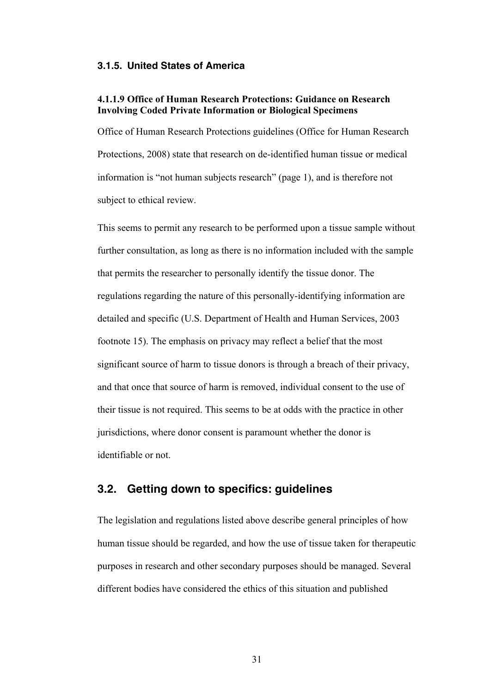#### **3.1.5. United States of America**

#### **4.1.1.9 Office of Human Research Protections: Guidance on Research Involving Coded Private Information or Biological Specimens**

Office of Human Research Protections guidelines (Office for Human Research Protections, 2008) state that research on de-identified human tissue or medical information is "not human subjects research" (page 1), and is therefore not subject to ethical review.

This seems to permit any research to be performed upon a tissue sample without further consultation, as long as there is no information included with the sample that permits the researcher to personally identify the tissue donor. The regulations regarding the nature of this personally-identifying information are detailed and specific (U.S. Department of Health and Human Services, 2003 footnote 15). The emphasis on privacy may reflect a belief that the most significant source of harm to tissue donors is through a breach of their privacy, and that once that source of harm is removed, individual consent to the use of their tissue is not required. This seems to be at odds with the practice in other jurisdictions, where donor consent is paramount whether the donor is identifiable or not.

## **3.2. Getting down to specifics: guidelines**

The legislation and regulations listed above describe general principles of how human tissue should be regarded, and how the use of tissue taken for therapeutic purposes in research and other secondary purposes should be managed. Several different bodies have considered the ethics of this situation and published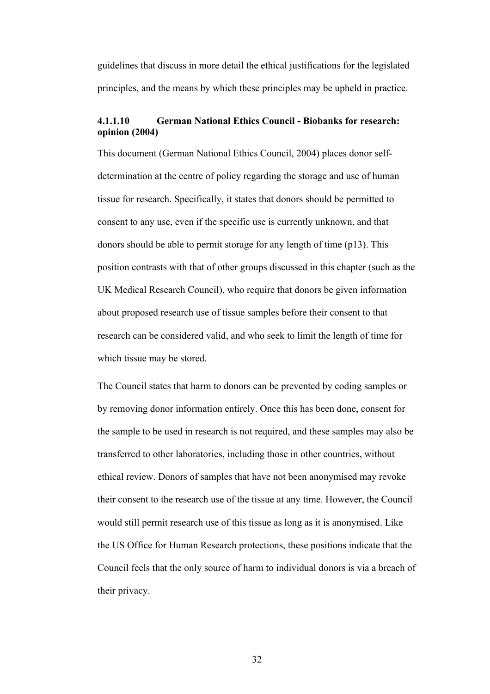guidelines that discuss in more detail the ethical justifications for the legislated principles, and the means by which these principles may be upheld in practice.

## **4.1.1.10 German National Ethics Council - Biobanks for research: opinion (2004)**

This document (German National Ethics Council, 2004) places donor selfdetermination at the centre of policy regarding the storage and use of human tissue for research. Specifically, it states that donors should be permitted to consent to any use, even if the specific use is currently unknown, and that donors should be able to permit storage for any length of time (p13). This position contrasts with that of other groups discussed in this chapter (such as the UK Medical Research Council), who require that donors be given information about proposed research use of tissue samples before their consent to that research can be considered valid, and who seek to limit the length of time for which tissue may be stored.

The Council states that harm to donors can be prevented by coding samples or by removing donor information entirely. Once this has been done, consent for the sample to be used in research is not required, and these samples may also be transferred to other laboratories, including those in other countries, without ethical review. Donors of samples that have not been anonymised may revoke their consent to the research use of the tissue at any time. However, the Council would still permit research use of this tissue as long as it is anonymised. Like the US Office for Human Research protections, these positions indicate that the Council feels that the only source of harm to individual donors is via a breach of their privacy.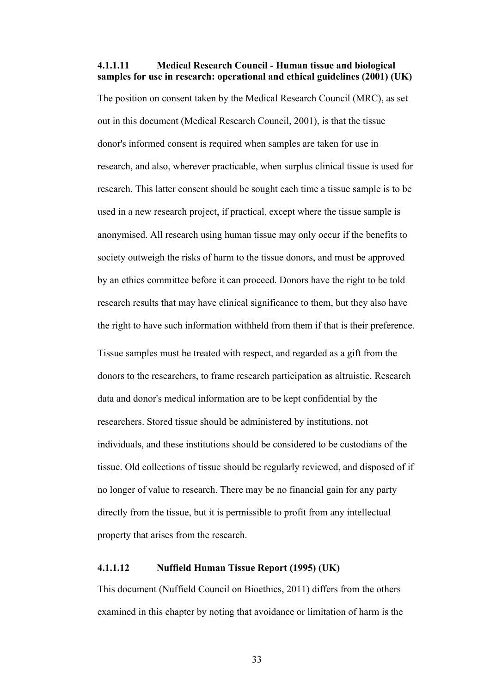#### **4.1.1.11 Medical Research Council - Human tissue and biological samples for use in research: operational and ethical guidelines (2001) (UK)**

The position on consent taken by the Medical Research Council (MRC), as set out in this document (Medical Research Council, 2001), is that the tissue donor's informed consent is required when samples are taken for use in research, and also, wherever practicable, when surplus clinical tissue is used for research. This latter consent should be sought each time a tissue sample is to be used in a new research project, if practical, except where the tissue sample is anonymised. All research using human tissue may only occur if the benefits to society outweigh the risks of harm to the tissue donors, and must be approved by an ethics committee before it can proceed. Donors have the right to be told research results that may have clinical significance to them, but they also have the right to have such information withheld from them if that is their preference.

Tissue samples must be treated with respect, and regarded as a gift from the donors to the researchers, to frame research participation as altruistic. Research data and donor's medical information are to be kept confidential by the researchers. Stored tissue should be administered by institutions, not individuals, and these institutions should be considered to be custodians of the tissue. Old collections of tissue should be regularly reviewed, and disposed of if no longer of value to research. There may be no financial gain for any party directly from the tissue, but it is permissible to profit from any intellectual property that arises from the research.

## **4.1.1.12 Nuffield Human Tissue Report (1995) (UK)**

This document (Nuffield Council on Bioethics, 2011) differs from the others examined in this chapter by noting that avoidance or limitation of harm is the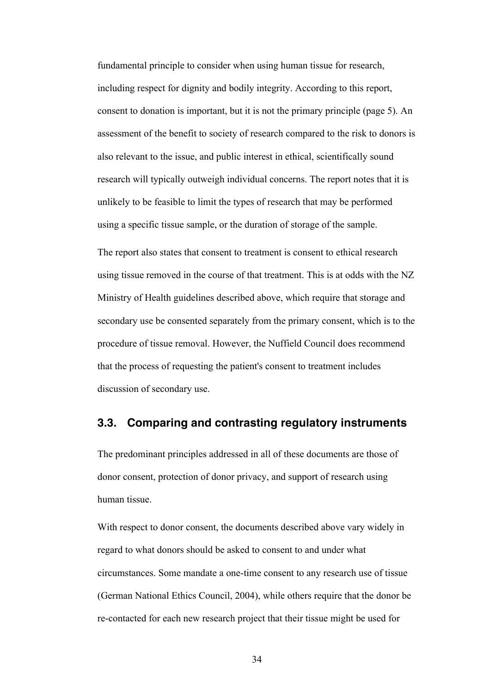fundamental principle to consider when using human tissue for research, including respect for dignity and bodily integrity. According to this report, consent to donation is important, but it is not the primary principle (page 5). An assessment of the benefit to society of research compared to the risk to donors is also relevant to the issue, and public interest in ethical, scientifically sound research will typically outweigh individual concerns. The report notes that it is unlikely to be feasible to limit the types of research that may be performed using a specific tissue sample, or the duration of storage of the sample.

The report also states that consent to treatment is consent to ethical research using tissue removed in the course of that treatment. This is at odds with the NZ Ministry of Health guidelines described above, which require that storage and secondary use be consented separately from the primary consent, which is to the procedure of tissue removal. However, the Nuffield Council does recommend that the process of requesting the patient's consent to treatment includes discussion of secondary use.

## **3.3. Comparing and contrasting regulatory instruments**

The predominant principles addressed in all of these documents are those of donor consent, protection of donor privacy, and support of research using human tissue.

With respect to donor consent, the documents described above vary widely in regard to what donors should be asked to consent to and under what circumstances. Some mandate a one-time consent to any research use of tissue (German National Ethics Council, 2004), while others require that the donor be re-contacted for each new research project that their tissue might be used for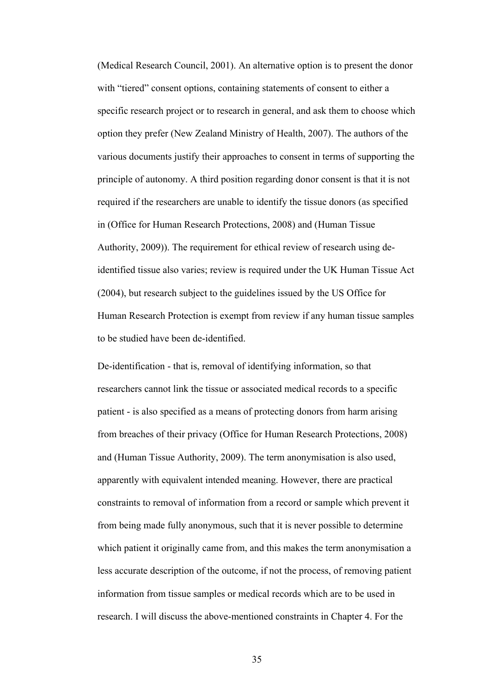(Medical Research Council, 2001). An alternative option is to present the donor with "tiered" consent options, containing statements of consent to either a specific research project or to research in general, and ask them to choose which option they prefer (New Zealand Ministry of Health, 2007). The authors of the various documents justify their approaches to consent in terms of supporting the principle of autonomy. A third position regarding donor consent is that it is not required if the researchers are unable to identify the tissue donors (as specified in (Office for Human Research Protections, 2008) and (Human Tissue Authority, 2009)). The requirement for ethical review of research using deidentified tissue also varies; review is required under the UK Human Tissue Act (2004), but research subject to the guidelines issued by the US Office for Human Research Protection is exempt from review if any human tissue samples to be studied have been de-identified.

De-identification - that is, removal of identifying information, so that researchers cannot link the tissue or associated medical records to a specific patient - is also specified as a means of protecting donors from harm arising from breaches of their privacy (Office for Human Research Protections, 2008) and (Human Tissue Authority, 2009). The term anonymisation is also used, apparently with equivalent intended meaning. However, there are practical constraints to removal of information from a record or sample which prevent it from being made fully anonymous, such that it is never possible to determine which patient it originally came from, and this makes the term anonymisation a less accurate description of the outcome, if not the process, of removing patient information from tissue samples or medical records which are to be used in research. I will discuss the above-mentioned constraints in Chapter 4. For the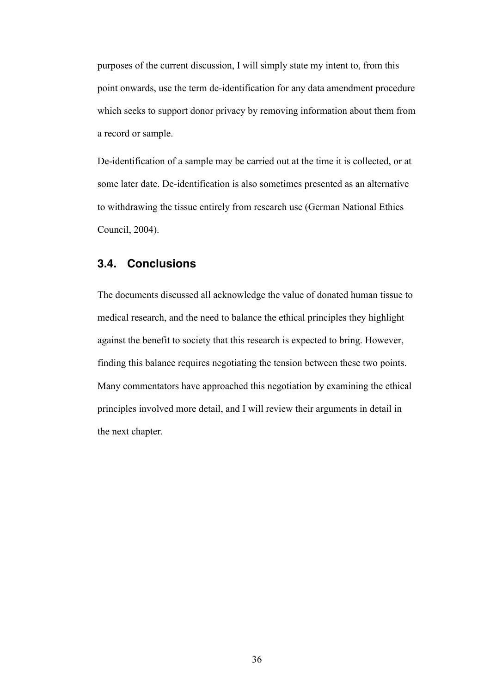purposes of the current discussion, I will simply state my intent to, from this point onwards, use the term de-identification for any data amendment procedure which seeks to support donor privacy by removing information about them from a record or sample.

De-identification of a sample may be carried out at the time it is collected, or at some later date. De-identification is also sometimes presented as an alternative to withdrawing the tissue entirely from research use (German National Ethics Council, 2004).

# **3.4. Conclusions**

The documents discussed all acknowledge the value of donated human tissue to medical research, and the need to balance the ethical principles they highlight against the benefit to society that this research is expected to bring. However, finding this balance requires negotiating the tension between these two points. Many commentators have approached this negotiation by examining the ethical principles involved more detail, and I will review their arguments in detail in the next chapter.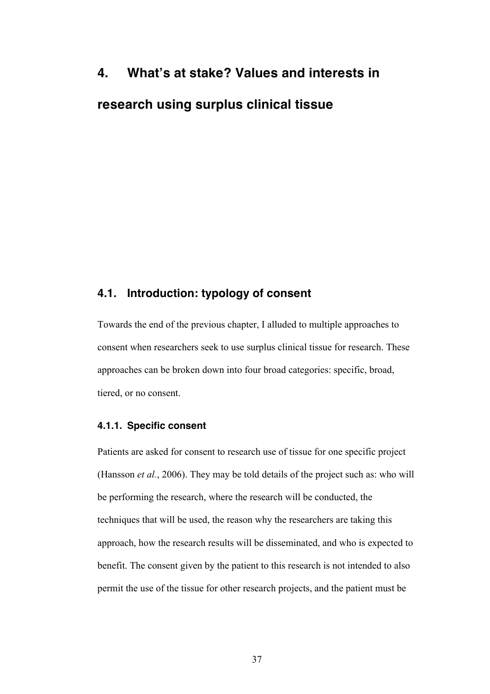# **4. What's at stake? Values and interests in research using surplus clinical tissue**

# **4.1. Introduction: typology of consent**

Towards the end of the previous chapter, I alluded to multiple approaches to consent when researchers seek to use surplus clinical tissue for research. These approaches can be broken down into four broad categories: specific, broad, tiered, or no consent.

#### **4.1.1. Specific consent**

Patients are asked for consent to research use of tissue for one specific project (Hansson *et al.*, 2006). They may be told details of the project such as: who will be performing the research, where the research will be conducted, the techniques that will be used, the reason why the researchers are taking this approach, how the research results will be disseminated, and who is expected to benefit. The consent given by the patient to this research is not intended to also permit the use of the tissue for other research projects, and the patient must be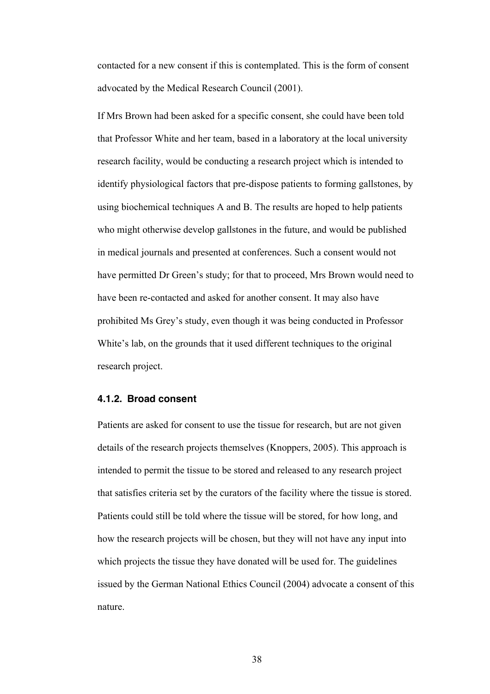contacted for a new consent if this is contemplated. This is the form of consent advocated by the Medical Research Council (2001).

If Mrs Brown had been asked for a specific consent, she could have been told that Professor White and her team, based in a laboratory at the local university research facility, would be conducting a research project which is intended to identify physiological factors that pre-dispose patients to forming gallstones, by using biochemical techniques A and B. The results are hoped to help patients who might otherwise develop gallstones in the future, and would be published in medical journals and presented at conferences. Such a consent would not have permitted Dr Green's study; for that to proceed, Mrs Brown would need to have been re-contacted and asked for another consent. It may also have prohibited Ms Grey's study, even though it was being conducted in Professor White's lab, on the grounds that it used different techniques to the original research project.

## **4.1.2. Broad consent**

Patients are asked for consent to use the tissue for research, but are not given details of the research projects themselves (Knoppers, 2005). This approach is intended to permit the tissue to be stored and released to any research project that satisfies criteria set by the curators of the facility where the tissue is stored. Patients could still be told where the tissue will be stored, for how long, and how the research projects will be chosen, but they will not have any input into which projects the tissue they have donated will be used for. The guidelines issued by the German National Ethics Council (2004) advocate a consent of this nature.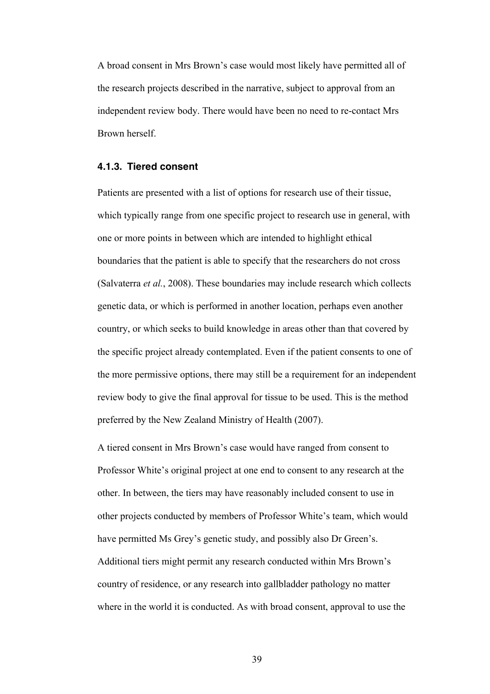A broad consent in Mrs Brown's case would most likely have permitted all of the research projects described in the narrative, subject to approval from an independent review body. There would have been no need to re-contact Mrs Brown herself.

#### **4.1.3. Tiered consent**

Patients are presented with a list of options for research use of their tissue, which typically range from one specific project to research use in general, with one or more points in between which are intended to highlight ethical boundaries that the patient is able to specify that the researchers do not cross (Salvaterra *et al.*, 2008). These boundaries may include research which collects genetic data, or which is performed in another location, perhaps even another country, or which seeks to build knowledge in areas other than that covered by the specific project already contemplated. Even if the patient consents to one of the more permissive options, there may still be a requirement for an independent review body to give the final approval for tissue to be used. This is the method preferred by the New Zealand Ministry of Health (2007).

A tiered consent in Mrs Brown's case would have ranged from consent to Professor White's original project at one end to consent to any research at the other. In between, the tiers may have reasonably included consent to use in other projects conducted by members of Professor White's team, which would have permitted Ms Grey's genetic study, and possibly also Dr Green's. Additional tiers might permit any research conducted within Mrs Brown's country of residence, or any research into gallbladder pathology no matter where in the world it is conducted. As with broad consent, approval to use the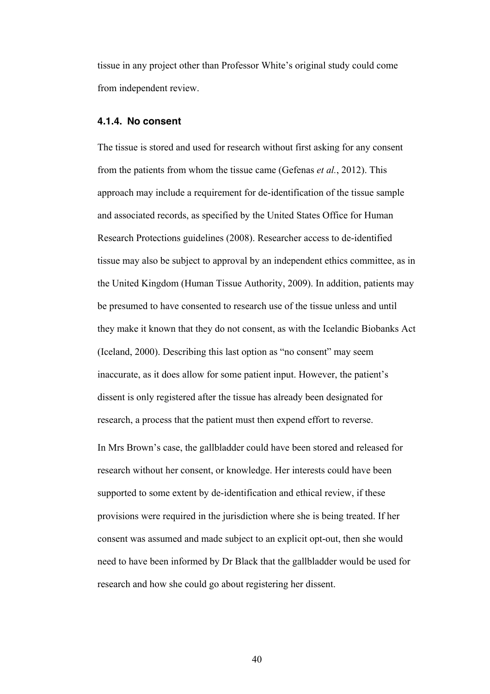tissue in any project other than Professor White's original study could come from independent review.

#### **4.1.4. No consent**

The tissue is stored and used for research without first asking for any consent from the patients from whom the tissue came (Gefenas *et al.*, 2012). This approach may include a requirement for de-identification of the tissue sample and associated records, as specified by the United States Office for Human Research Protections guidelines (2008). Researcher access to de-identified tissue may also be subject to approval by an independent ethics committee, as in the United Kingdom (Human Tissue Authority, 2009). In addition, patients may be presumed to have consented to research use of the tissue unless and until they make it known that they do not consent, as with the Icelandic Biobanks Act (Iceland, 2000). Describing this last option as "no consent" may seem inaccurate, as it does allow for some patient input. However, the patient's dissent is only registered after the tissue has already been designated for research, a process that the patient must then expend effort to reverse.

In Mrs Brown's case, the gallbladder could have been stored and released for research without her consent, or knowledge. Her interests could have been supported to some extent by de-identification and ethical review, if these provisions were required in the jurisdiction where she is being treated. If her consent was assumed and made subject to an explicit opt-out, then she would need to have been informed by Dr Black that the gallbladder would be used for research and how she could go about registering her dissent.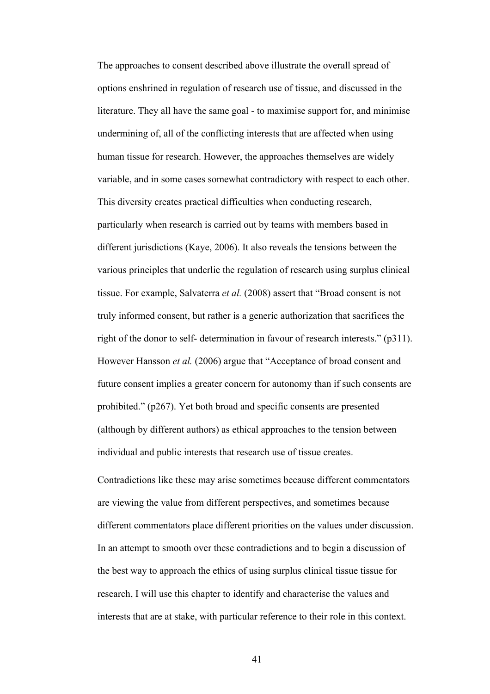The approaches to consent described above illustrate the overall spread of options enshrined in regulation of research use of tissue, and discussed in the literature. They all have the same goal - to maximise support for, and minimise undermining of, all of the conflicting interests that are affected when using human tissue for research. However, the approaches themselves are widely variable, and in some cases somewhat contradictory with respect to each other. This diversity creates practical difficulties when conducting research, particularly when research is carried out by teams with members based in different jurisdictions (Kaye, 2006). It also reveals the tensions between the various principles that underlie the regulation of research using surplus clinical tissue. For example, Salvaterra *et al.* (2008) assert that "Broad consent is not truly informed consent, but rather is a generic authorization that sacrifices the right of the donor to self- determination in favour of research interests." (p311). However Hansson *et al.* (2006) argue that "Acceptance of broad consent and future consent implies a greater concern for autonomy than if such consents are prohibited." (p267). Yet both broad and specific consents are presented (although by different authors) as ethical approaches to the tension between individual and public interests that research use of tissue creates.

Contradictions like these may arise sometimes because different commentators are viewing the value from different perspectives, and sometimes because different commentators place different priorities on the values under discussion. In an attempt to smooth over these contradictions and to begin a discussion of the best way to approach the ethics of using surplus clinical tissue tissue for research, I will use this chapter to identify and characterise the values and interests that are at stake, with particular reference to their role in this context.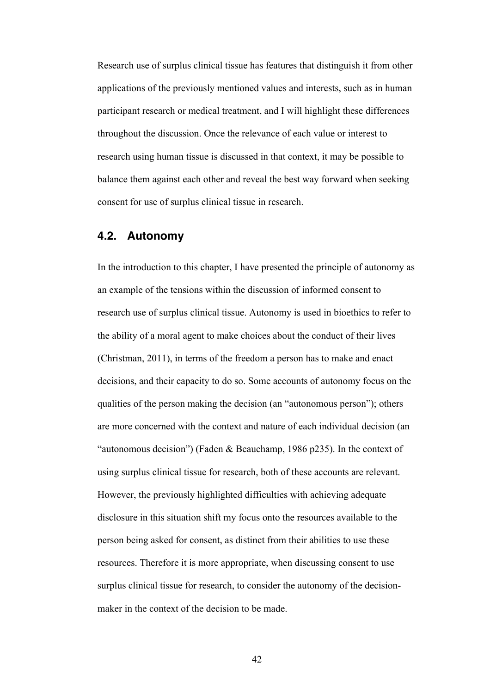Research use of surplus clinical tissue has features that distinguish it from other applications of the previously mentioned values and interests, such as in human participant research or medical treatment, and I will highlight these differences throughout the discussion. Once the relevance of each value or interest to research using human tissue is discussed in that context, it may be possible to balance them against each other and reveal the best way forward when seeking consent for use of surplus clinical tissue in research.

## **4.2. Autonomy**

In the introduction to this chapter, I have presented the principle of autonomy as an example of the tensions within the discussion of informed consent to research use of surplus clinical tissue. Autonomy is used in bioethics to refer to the ability of a moral agent to make choices about the conduct of their lives (Christman, 2011), in terms of the freedom a person has to make and enact decisions, and their capacity to do so. Some accounts of autonomy focus on the qualities of the person making the decision (an "autonomous person"); others are more concerned with the context and nature of each individual decision (an "autonomous decision") (Faden & Beauchamp, 1986 p235). In the context of using surplus clinical tissue for research, both of these accounts are relevant. However, the previously highlighted difficulties with achieving adequate disclosure in this situation shift my focus onto the resources available to the person being asked for consent, as distinct from their abilities to use these resources. Therefore it is more appropriate, when discussing consent to use surplus clinical tissue for research, to consider the autonomy of the decisionmaker in the context of the decision to be made.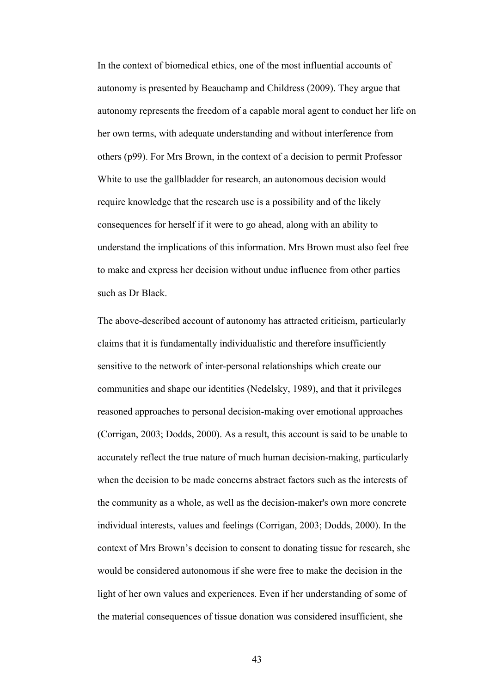In the context of biomedical ethics, one of the most influential accounts of autonomy is presented by Beauchamp and Childress (2009). They argue that autonomy represents the freedom of a capable moral agent to conduct her life on her own terms, with adequate understanding and without interference from others (p99). For Mrs Brown, in the context of a decision to permit Professor White to use the gallbladder for research, an autonomous decision would require knowledge that the research use is a possibility and of the likely consequences for herself if it were to go ahead, along with an ability to understand the implications of this information. Mrs Brown must also feel free to make and express her decision without undue influence from other parties such as Dr Black.

The above-described account of autonomy has attracted criticism, particularly claims that it is fundamentally individualistic and therefore insufficiently sensitive to the network of inter-personal relationships which create our communities and shape our identities (Nedelsky, 1989), and that it privileges reasoned approaches to personal decision-making over emotional approaches (Corrigan, 2003; Dodds, 2000). As a result, this account is said to be unable to accurately reflect the true nature of much human decision-making, particularly when the decision to be made concerns abstract factors such as the interests of the community as a whole, as well as the decision-maker's own more concrete individual interests, values and feelings (Corrigan, 2003; Dodds, 2000). In the context of Mrs Brown's decision to consent to donating tissue for research, she would be considered autonomous if she were free to make the decision in the light of her own values and experiences. Even if her understanding of some of the material consequences of tissue donation was considered insufficient, she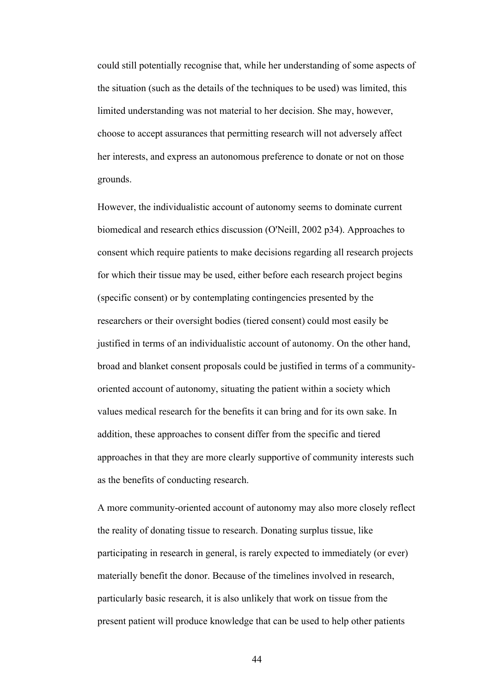could still potentially recognise that, while her understanding of some aspects of the situation (such as the details of the techniques to be used) was limited, this limited understanding was not material to her decision. She may, however, choose to accept assurances that permitting research will not adversely affect her interests, and express an autonomous preference to donate or not on those grounds.

However, the individualistic account of autonomy seems to dominate current biomedical and research ethics discussion (O'Neill, 2002 p34). Approaches to consent which require patients to make decisions regarding all research projects for which their tissue may be used, either before each research project begins (specific consent) or by contemplating contingencies presented by the researchers or their oversight bodies (tiered consent) could most easily be justified in terms of an individualistic account of autonomy. On the other hand, broad and blanket consent proposals could be justified in terms of a communityoriented account of autonomy, situating the patient within a society which values medical research for the benefits it can bring and for its own sake. In addition, these approaches to consent differ from the specific and tiered approaches in that they are more clearly supportive of community interests such as the benefits of conducting research.

A more community-oriented account of autonomy may also more closely reflect the reality of donating tissue to research. Donating surplus tissue, like participating in research in general, is rarely expected to immediately (or ever) materially benefit the donor. Because of the timelines involved in research, particularly basic research, it is also unlikely that work on tissue from the present patient will produce knowledge that can be used to help other patients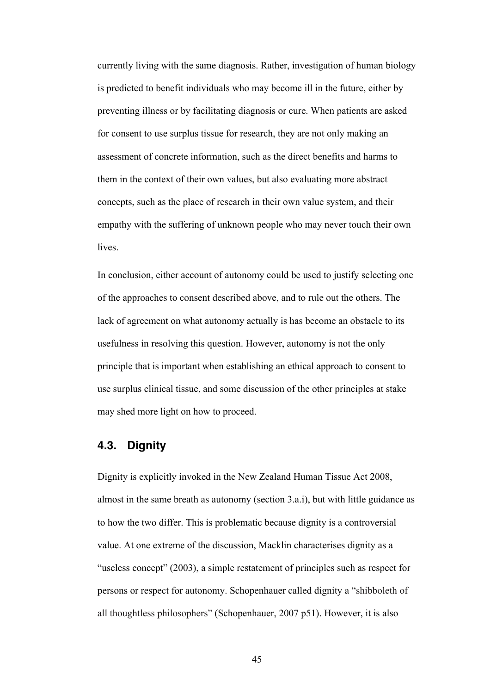currently living with the same diagnosis. Rather, investigation of human biology is predicted to benefit individuals who may become ill in the future, either by preventing illness or by facilitating diagnosis or cure. When patients are asked for consent to use surplus tissue for research, they are not only making an assessment of concrete information, such as the direct benefits and harms to them in the context of their own values, but also evaluating more abstract concepts, such as the place of research in their own value system, and their empathy with the suffering of unknown people who may never touch their own lives.

In conclusion, either account of autonomy could be used to justify selecting one of the approaches to consent described above, and to rule out the others. The lack of agreement on what autonomy actually is has become an obstacle to its usefulness in resolving this question. However, autonomy is not the only principle that is important when establishing an ethical approach to consent to use surplus clinical tissue, and some discussion of the other principles at stake may shed more light on how to proceed.

# **4.3. Dignity**

Dignity is explicitly invoked in the New Zealand Human Tissue Act 2008, almost in the same breath as autonomy (section 3.a.i), but with little guidance as to how the two differ. This is problematic because dignity is a controversial value. At one extreme of the discussion, Macklin characterises dignity as a "useless concept" (2003), a simple restatement of principles such as respect for persons or respect for autonomy. Schopenhauer called dignity a "shibboleth of all thoughtless philosophers" (Schopenhauer, 2007 p51). However, it is also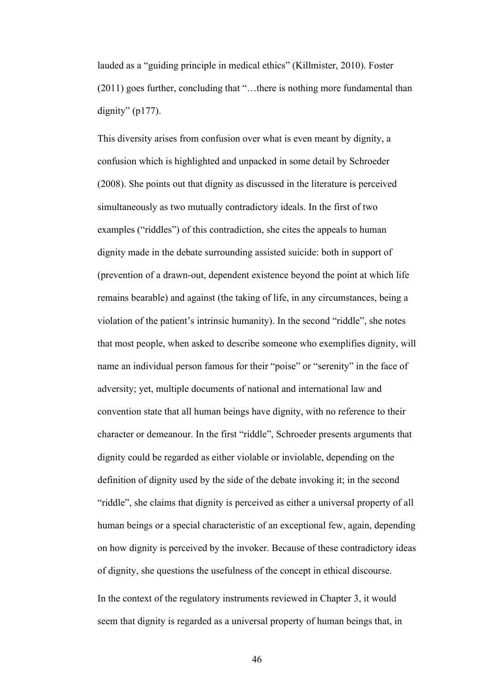lauded as a "guiding principle in medical ethics" (Killmister, 2010). Foster (2011) goes further, concluding that "…there is nothing more fundamental than dignity"  $(p177)$ .

This diversity arises from confusion over what is even meant by dignity, a confusion which is highlighted and unpacked in some detail by Schroeder (2008). She points out that dignity as discussed in the literature is perceived simultaneously as two mutually contradictory ideals. In the first of two examples ("riddles") of this contradiction, she cites the appeals to human dignity made in the debate surrounding assisted suicide: both in support of (prevention of a drawn-out, dependent existence beyond the point at which life remains bearable) and against (the taking of life, in any circumstances, being a violation of the patient's intrinsic humanity). In the second "riddle", she notes that most people, when asked to describe someone who exemplifies dignity, will name an individual person famous for their "poise" or "serenity" in the face of adversity; yet, multiple documents of national and international law and convention state that all human beings have dignity, with no reference to their character or demeanour. In the first "riddle", Schroeder presents arguments that dignity could be regarded as either violable or inviolable, depending on the definition of dignity used by the side of the debate invoking it; in the second "riddle", she claims that dignity is perceived as either a universal property of all human beings or a special characteristic of an exceptional few, again, depending on how dignity is perceived by the invoker. Because of these contradictory ideas of dignity, she questions the usefulness of the concept in ethical discourse. In the context of the regulatory instruments reviewed in Chapter 3, it would

46

seem that dignity is regarded as a universal property of human beings that, in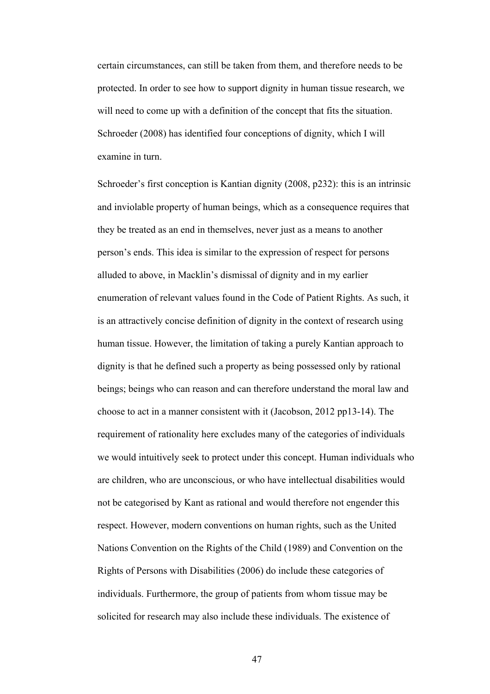certain circumstances, can still be taken from them, and therefore needs to be protected. In order to see how to support dignity in human tissue research, we will need to come up with a definition of the concept that fits the situation. Schroeder (2008) has identified four conceptions of dignity, which I will examine in turn.

Schroeder's first conception is Kantian dignity (2008, p232): this is an intrinsic and inviolable property of human beings, which as a consequence requires that they be treated as an end in themselves, never just as a means to another person's ends. This idea is similar to the expression of respect for persons alluded to above, in Macklin's dismissal of dignity and in my earlier enumeration of relevant values found in the Code of Patient Rights. As such, it is an attractively concise definition of dignity in the context of research using human tissue. However, the limitation of taking a purely Kantian approach to dignity is that he defined such a property as being possessed only by rational beings; beings who can reason and can therefore understand the moral law and choose to act in a manner consistent with it (Jacobson, 2012 pp13-14). The requirement of rationality here excludes many of the categories of individuals we would intuitively seek to protect under this concept. Human individuals who are children, who are unconscious, or who have intellectual disabilities would not be categorised by Kant as rational and would therefore not engender this respect. However, modern conventions on human rights, such as the United Nations Convention on the Rights of the Child (1989) and Convention on the Rights of Persons with Disabilities (2006) do include these categories of individuals. Furthermore, the group of patients from whom tissue may be solicited for research may also include these individuals. The existence of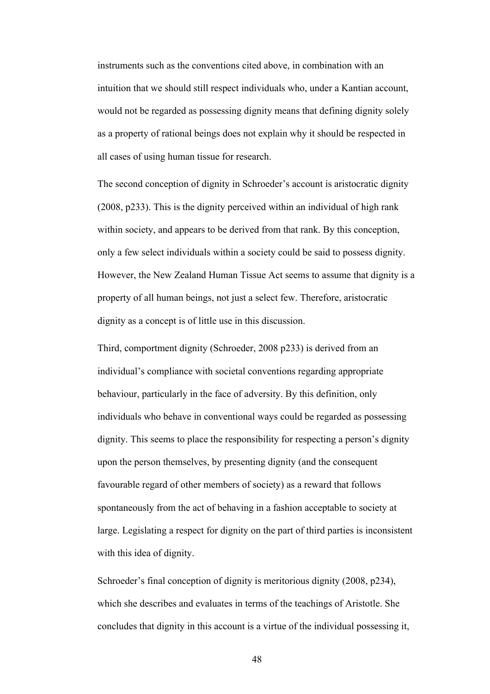instruments such as the conventions cited above, in combination with an intuition that we should still respect individuals who, under a Kantian account, would not be regarded as possessing dignity means that defining dignity solely as a property of rational beings does not explain why it should be respected in all cases of using human tissue for research.

The second conception of dignity in Schroeder's account is aristocratic dignity (2008, p233). This is the dignity perceived within an individual of high rank within society, and appears to be derived from that rank. By this conception, only a few select individuals within a society could be said to possess dignity. However, the New Zealand Human Tissue Act seems to assume that dignity is a property of all human beings, not just a select few. Therefore, aristocratic dignity as a concept is of little use in this discussion.

Third, comportment dignity (Schroeder, 2008 p233) is derived from an individual's compliance with societal conventions regarding appropriate behaviour, particularly in the face of adversity. By this definition, only individuals who behave in conventional ways could be regarded as possessing dignity. This seems to place the responsibility for respecting a person's dignity upon the person themselves, by presenting dignity (and the consequent favourable regard of other members of society) as a reward that follows spontaneously from the act of behaving in a fashion acceptable to society at large. Legislating a respect for dignity on the part of third parties is inconsistent with this idea of dignity.

Schroeder's final conception of dignity is meritorious dignity (2008, p234), which she describes and evaluates in terms of the teachings of Aristotle. She concludes that dignity in this account is a virtue of the individual possessing it,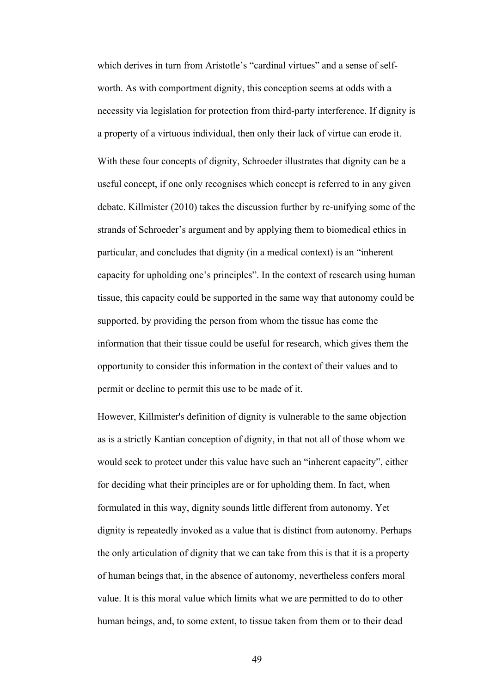which derives in turn from Aristotle's "cardinal virtues" and a sense of selfworth. As with comportment dignity, this conception seems at odds with a necessity via legislation for protection from third-party interference. If dignity is a property of a virtuous individual, then only their lack of virtue can erode it. With these four concepts of dignity, Schroeder illustrates that dignity can be a useful concept, if one only recognises which concept is referred to in any given debate. Killmister (2010) takes the discussion further by re-unifying some of the strands of Schroeder's argument and by applying them to biomedical ethics in particular, and concludes that dignity (in a medical context) is an "inherent capacity for upholding one's principles". In the context of research using human tissue, this capacity could be supported in the same way that autonomy could be supported, by providing the person from whom the tissue has come the information that their tissue could be useful for research, which gives them the opportunity to consider this information in the context of their values and to permit or decline to permit this use to be made of it.

However, Killmister's definition of dignity is vulnerable to the same objection as is a strictly Kantian conception of dignity, in that not all of those whom we would seek to protect under this value have such an "inherent capacity", either for deciding what their principles are or for upholding them. In fact, when formulated in this way, dignity sounds little different from autonomy. Yet dignity is repeatedly invoked as a value that is distinct from autonomy. Perhaps the only articulation of dignity that we can take from this is that it is a property of human beings that, in the absence of autonomy, nevertheless confers moral value. It is this moral value which limits what we are permitted to do to other human beings, and, to some extent, to tissue taken from them or to their dead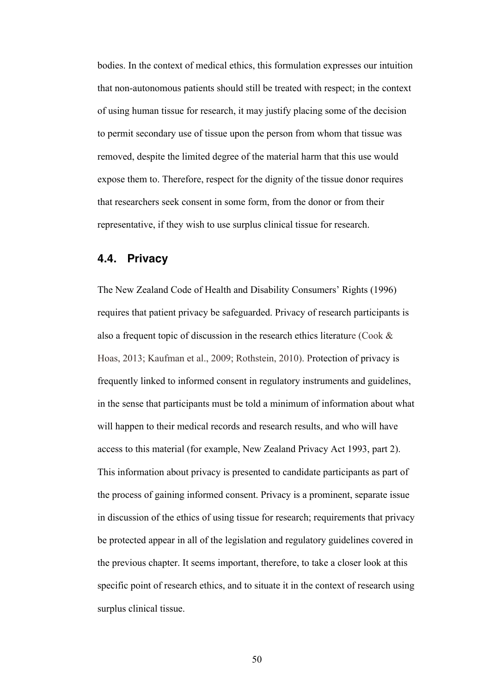bodies. In the context of medical ethics, this formulation expresses our intuition that non-autonomous patients should still be treated with respect; in the context of using human tissue for research, it may justify placing some of the decision to permit secondary use of tissue upon the person from whom that tissue was removed, despite the limited degree of the material harm that this use would expose them to. Therefore, respect for the dignity of the tissue donor requires that researchers seek consent in some form, from the donor or from their representative, if they wish to use surplus clinical tissue for research.

## **4.4. Privacy**

The New Zealand Code of Health and Disability Consumers' Rights (1996) requires that patient privacy be safeguarded. Privacy of research participants is also a frequent topic of discussion in the research ethics literature (Cook & Hoas, 2013; Kaufman et al., 2009; Rothstein, 2010). Protection of privacy is frequently linked to informed consent in regulatory instruments and guidelines, in the sense that participants must be told a minimum of information about what will happen to their medical records and research results, and who will have access to this material (for example, New Zealand Privacy Act 1993, part 2). This information about privacy is presented to candidate participants as part of the process of gaining informed consent. Privacy is a prominent, separate issue in discussion of the ethics of using tissue for research; requirements that privacy be protected appear in all of the legislation and regulatory guidelines covered in the previous chapter. It seems important, therefore, to take a closer look at this specific point of research ethics, and to situate it in the context of research using surplus clinical tissue.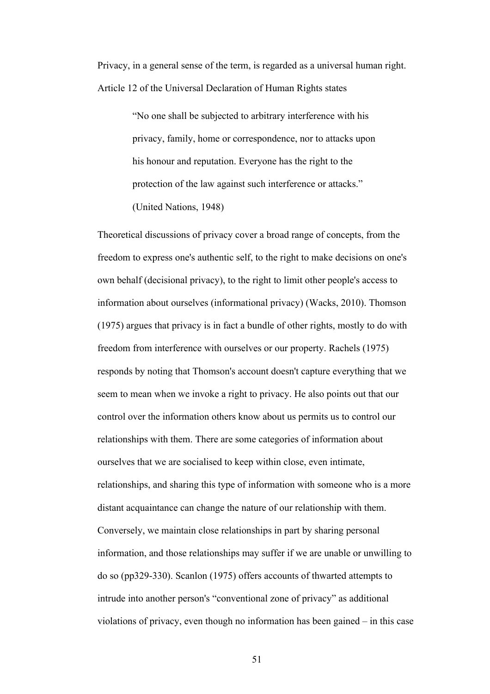Privacy, in a general sense of the term, is regarded as a universal human right. Article 12 of the Universal Declaration of Human Rights states

> "No one shall be subjected to arbitrary interference with his privacy, family, home or correspondence, nor to attacks upon his honour and reputation. Everyone has the right to the protection of the law against such interference or attacks." (United Nations, 1948)

Theoretical discussions of privacy cover a broad range of concepts, from the freedom to express one's authentic self, to the right to make decisions on one's own behalf (decisional privacy), to the right to limit other people's access to information about ourselves (informational privacy) (Wacks, 2010). Thomson (1975) argues that privacy is in fact a bundle of other rights, mostly to do with freedom from interference with ourselves or our property. Rachels (1975) responds by noting that Thomson's account doesn't capture everything that we seem to mean when we invoke a right to privacy. He also points out that our control over the information others know about us permits us to control our relationships with them. There are some categories of information about ourselves that we are socialised to keep within close, even intimate, relationships, and sharing this type of information with someone who is a more distant acquaintance can change the nature of our relationship with them. Conversely, we maintain close relationships in part by sharing personal information, and those relationships may suffer if we are unable or unwilling to do so (pp329-330). Scanlon (1975) offers accounts of thwarted attempts to intrude into another person's "conventional zone of privacy" as additional violations of privacy, even though no information has been gained – in this case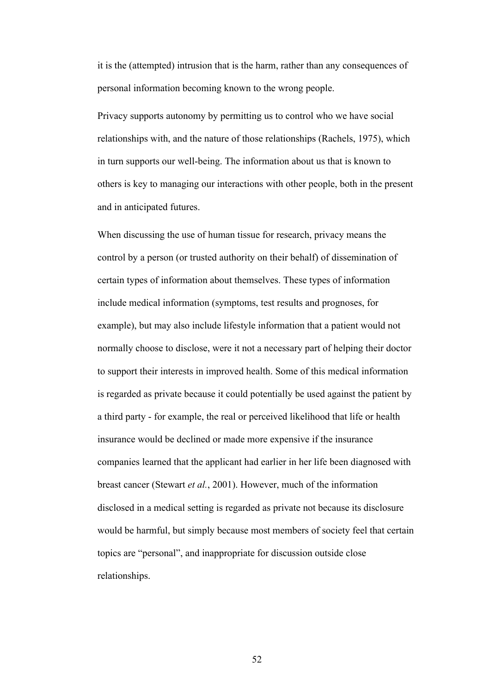it is the (attempted) intrusion that is the harm, rather than any consequences of personal information becoming known to the wrong people.

Privacy supports autonomy by permitting us to control who we have social relationships with, and the nature of those relationships (Rachels, 1975), which in turn supports our well-being. The information about us that is known to others is key to managing our interactions with other people, both in the present and in anticipated futures.

When discussing the use of human tissue for research, privacy means the control by a person (or trusted authority on their behalf) of dissemination of certain types of information about themselves. These types of information include medical information (symptoms, test results and prognoses, for example), but may also include lifestyle information that a patient would not normally choose to disclose, were it not a necessary part of helping their doctor to support their interests in improved health. Some of this medical information is regarded as private because it could potentially be used against the patient by a third party - for example, the real or perceived likelihood that life or health insurance would be declined or made more expensive if the insurance companies learned that the applicant had earlier in her life been diagnosed with breast cancer (Stewart *et al.*, 2001). However, much of the information disclosed in a medical setting is regarded as private not because its disclosure would be harmful, but simply because most members of society feel that certain topics are "personal", and inappropriate for discussion outside close relationships.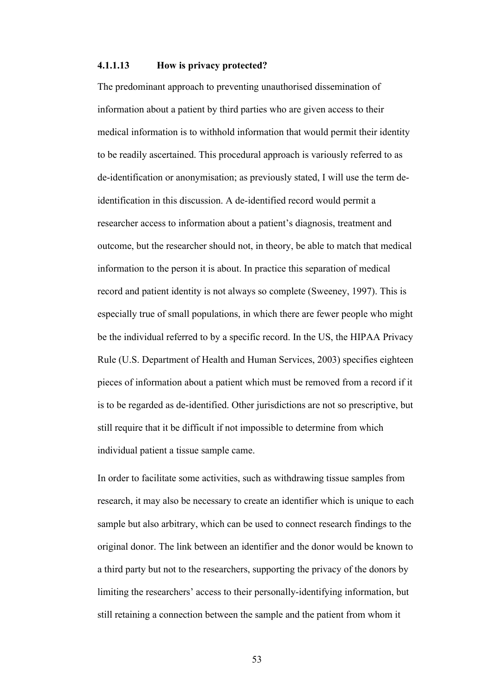#### **4.1.1.13 How is privacy protected?**

The predominant approach to preventing unauthorised dissemination of information about a patient by third parties who are given access to their medical information is to withhold information that would permit their identity to be readily ascertained. This procedural approach is variously referred to as de-identification or anonymisation; as previously stated, I will use the term deidentification in this discussion. A de-identified record would permit a researcher access to information about a patient's diagnosis, treatment and outcome, but the researcher should not, in theory, be able to match that medical information to the person it is about. In practice this separation of medical record and patient identity is not always so complete (Sweeney, 1997). This is especially true of small populations, in which there are fewer people who might be the individual referred to by a specific record. In the US, the HIPAA Privacy Rule (U.S. Department of Health and Human Services, 2003) specifies eighteen pieces of information about a patient which must be removed from a record if it is to be regarded as de-identified. Other jurisdictions are not so prescriptive, but still require that it be difficult if not impossible to determine from which individual patient a tissue sample came.

In order to facilitate some activities, such as withdrawing tissue samples from research, it may also be necessary to create an identifier which is unique to each sample but also arbitrary, which can be used to connect research findings to the original donor. The link between an identifier and the donor would be known to a third party but not to the researchers, supporting the privacy of the donors by limiting the researchers' access to their personally-identifying information, but still retaining a connection between the sample and the patient from whom it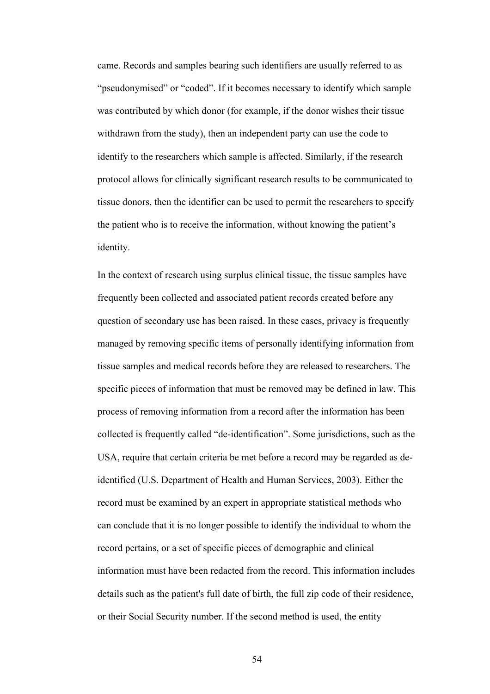came. Records and samples bearing such identifiers are usually referred to as "pseudonymised" or "coded". If it becomes necessary to identify which sample was contributed by which donor (for example, if the donor wishes their tissue withdrawn from the study), then an independent party can use the code to identify to the researchers which sample is affected. Similarly, if the research protocol allows for clinically significant research results to be communicated to tissue donors, then the identifier can be used to permit the researchers to specify the patient who is to receive the information, without knowing the patient's identity.

In the context of research using surplus clinical tissue, the tissue samples have frequently been collected and associated patient records created before any question of secondary use has been raised. In these cases, privacy is frequently managed by removing specific items of personally identifying information from tissue samples and medical records before they are released to researchers. The specific pieces of information that must be removed may be defined in law. This process of removing information from a record after the information has been collected is frequently called "de-identification". Some jurisdictions, such as the USA, require that certain criteria be met before a record may be regarded as deidentified (U.S. Department of Health and Human Services, 2003). Either the record must be examined by an expert in appropriate statistical methods who can conclude that it is no longer possible to identify the individual to whom the record pertains, or a set of specific pieces of demographic and clinical information must have been redacted from the record. This information includes details such as the patient's full date of birth, the full zip code of their residence, or their Social Security number. If the second method is used, the entity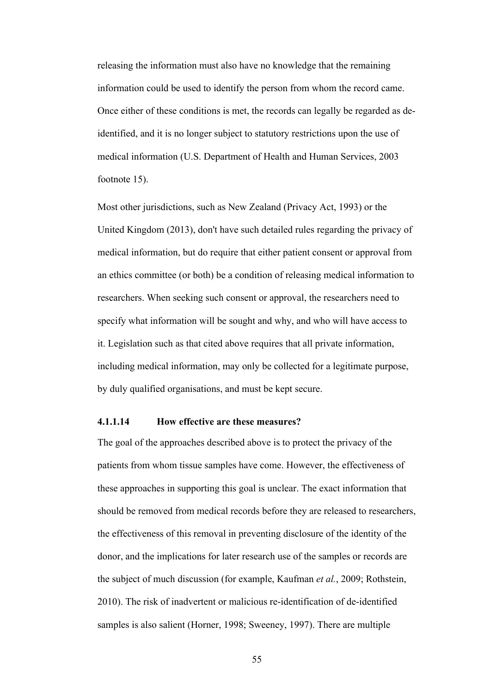releasing the information must also have no knowledge that the remaining information could be used to identify the person from whom the record came. Once either of these conditions is met, the records can legally be regarded as deidentified, and it is no longer subject to statutory restrictions upon the use of medical information (U.S. Department of Health and Human Services, 2003 footnote 15).

Most other jurisdictions, such as New Zealand (Privacy Act, 1993) or the United Kingdom (2013), don't have such detailed rules regarding the privacy of medical information, but do require that either patient consent or approval from an ethics committee (or both) be a condition of releasing medical information to researchers. When seeking such consent or approval, the researchers need to specify what information will be sought and why, and who will have access to it. Legislation such as that cited above requires that all private information, including medical information, may only be collected for a legitimate purpose, by duly qualified organisations, and must be kept secure.

## **4.1.1.14 How effective are these measures?**

The goal of the approaches described above is to protect the privacy of the patients from whom tissue samples have come. However, the effectiveness of these approaches in supporting this goal is unclear. The exact information that should be removed from medical records before they are released to researchers, the effectiveness of this removal in preventing disclosure of the identity of the donor, and the implications for later research use of the samples or records are the subject of much discussion (for example, Kaufman *et al.*, 2009; Rothstein, 2010). The risk of inadvertent or malicious re-identification of de-identified samples is also salient (Horner, 1998; Sweeney, 1997). There are multiple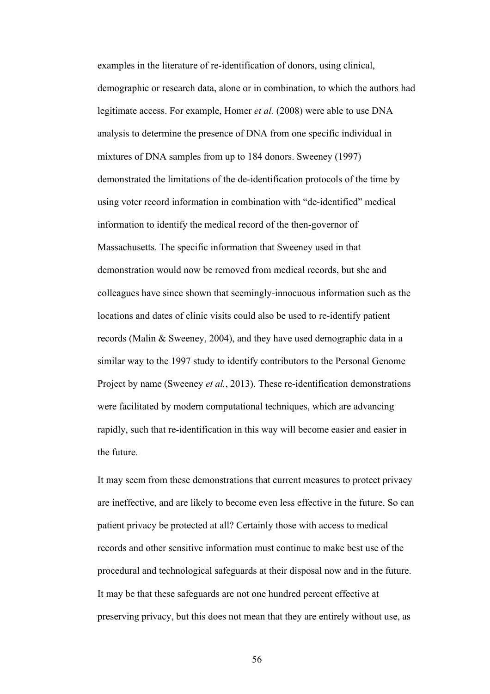examples in the literature of re-identification of donors, using clinical, demographic or research data, alone or in combination, to which the authors had legitimate access. For example, Homer *et al.* (2008) were able to use DNA analysis to determine the presence of DNA from one specific individual in mixtures of DNA samples from up to 184 donors. Sweeney (1997) demonstrated the limitations of the de-identification protocols of the time by using voter record information in combination with "de-identified" medical information to identify the medical record of the then-governor of Massachusetts. The specific information that Sweeney used in that demonstration would now be removed from medical records, but she and colleagues have since shown that seemingly-innocuous information such as the locations and dates of clinic visits could also be used to re-identify patient records (Malin & Sweeney, 2004), and they have used demographic data in a similar way to the 1997 study to identify contributors to the Personal Genome Project by name (Sweeney *et al.*, 2013). These re-identification demonstrations were facilitated by modern computational techniques, which are advancing rapidly, such that re-identification in this way will become easier and easier in the future.

It may seem from these demonstrations that current measures to protect privacy are ineffective, and are likely to become even less effective in the future. So can patient privacy be protected at all? Certainly those with access to medical records and other sensitive information must continue to make best use of the procedural and technological safeguards at their disposal now and in the future. It may be that these safeguards are not one hundred percent effective at preserving privacy, but this does not mean that they are entirely without use, as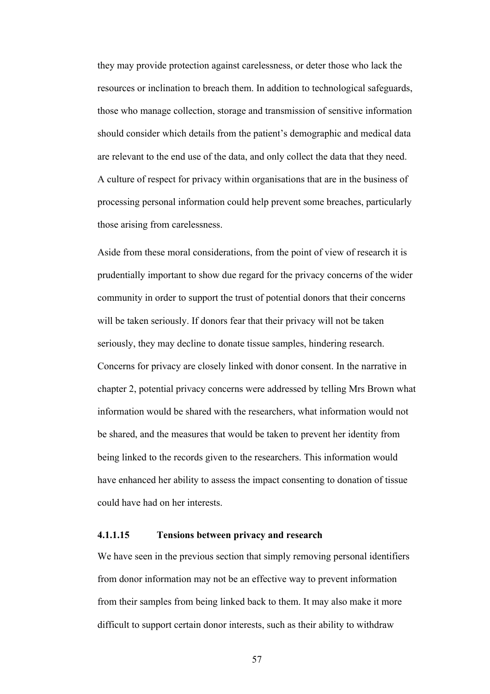they may provide protection against carelessness, or deter those who lack the resources or inclination to breach them. In addition to technological safeguards, those who manage collection, storage and transmission of sensitive information should consider which details from the patient's demographic and medical data are relevant to the end use of the data, and only collect the data that they need. A culture of respect for privacy within organisations that are in the business of processing personal information could help prevent some breaches, particularly those arising from carelessness.

Aside from these moral considerations, from the point of view of research it is prudentially important to show due regard for the privacy concerns of the wider community in order to support the trust of potential donors that their concerns will be taken seriously. If donors fear that their privacy will not be taken seriously, they may decline to donate tissue samples, hindering research. Concerns for privacy are closely linked with donor consent. In the narrative in chapter 2, potential privacy concerns were addressed by telling Mrs Brown what information would be shared with the researchers, what information would not be shared, and the measures that would be taken to prevent her identity from being linked to the records given to the researchers. This information would have enhanced her ability to assess the impact consenting to donation of tissue could have had on her interests.

#### **4.1.1.15 Tensions between privacy and research**

We have seen in the previous section that simply removing personal identifiers from donor information may not be an effective way to prevent information from their samples from being linked back to them. It may also make it more difficult to support certain donor interests, such as their ability to withdraw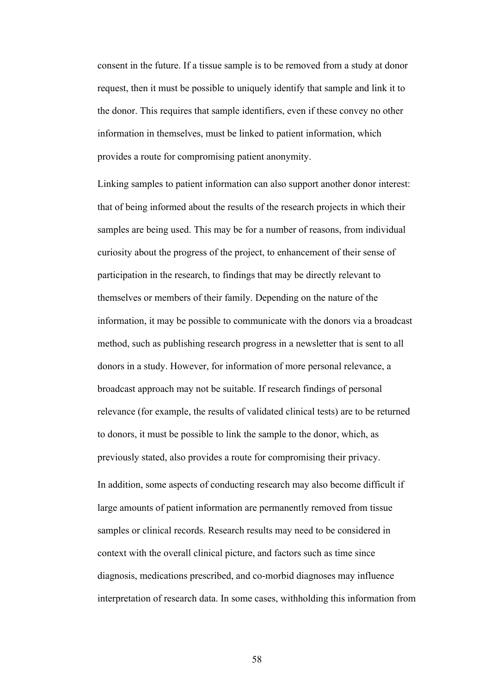consent in the future. If a tissue sample is to be removed from a study at donor request, then it must be possible to uniquely identify that sample and link it to the donor. This requires that sample identifiers, even if these convey no other information in themselves, must be linked to patient information, which provides a route for compromising patient anonymity.

Linking samples to patient information can also support another donor interest: that of being informed about the results of the research projects in which their samples are being used. This may be for a number of reasons, from individual curiosity about the progress of the project, to enhancement of their sense of participation in the research, to findings that may be directly relevant to themselves or members of their family. Depending on the nature of the information, it may be possible to communicate with the donors via a broadcast method, such as publishing research progress in a newsletter that is sent to all donors in a study. However, for information of more personal relevance, a broadcast approach may not be suitable. If research findings of personal relevance (for example, the results of validated clinical tests) are to be returned to donors, it must be possible to link the sample to the donor, which, as previously stated, also provides a route for compromising their privacy. In addition, some aspects of conducting research may also become difficult if large amounts of patient information are permanently removed from tissue samples or clinical records. Research results may need to be considered in context with the overall clinical picture, and factors such as time since diagnosis, medications prescribed, and co-morbid diagnoses may influence interpretation of research data. In some cases, withholding this information from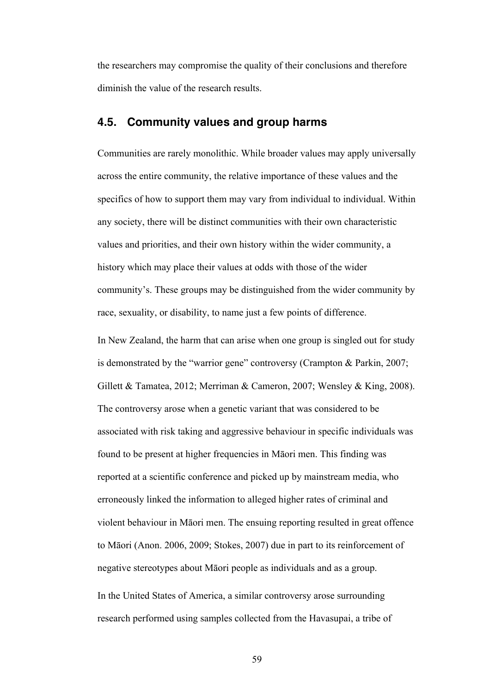the researchers may compromise the quality of their conclusions and therefore diminish the value of the research results.

# **4.5. Community values and group harms**

Communities are rarely monolithic. While broader values may apply universally across the entire community, the relative importance of these values and the specifics of how to support them may vary from individual to individual. Within any society, there will be distinct communities with their own characteristic values and priorities, and their own history within the wider community, a history which may place their values at odds with those of the wider community's. These groups may be distinguished from the wider community by race, sexuality, or disability, to name just a few points of difference.

In New Zealand, the harm that can arise when one group is singled out for study is demonstrated by the "warrior gene" controversy (Crampton & Parkin, 2007; Gillett & Tamatea, 2012; Merriman & Cameron, 2007; Wensley & King, 2008). The controversy arose when a genetic variant that was considered to be associated with risk taking and aggressive behaviour in specific individuals was found to be present at higher frequencies in Māori men. This finding was reported at a scientific conference and picked up by mainstream media, who erroneously linked the information to alleged higher rates of criminal and violent behaviour in Māori men. The ensuing reporting resulted in great offence to Māori (Anon. 2006, 2009; Stokes, 2007) due in part to its reinforcement of negative stereotypes about Māori people as individuals and as a group. In the United States of America, a similar controversy arose surrounding research performed using samples collected from the Havasupai, a tribe of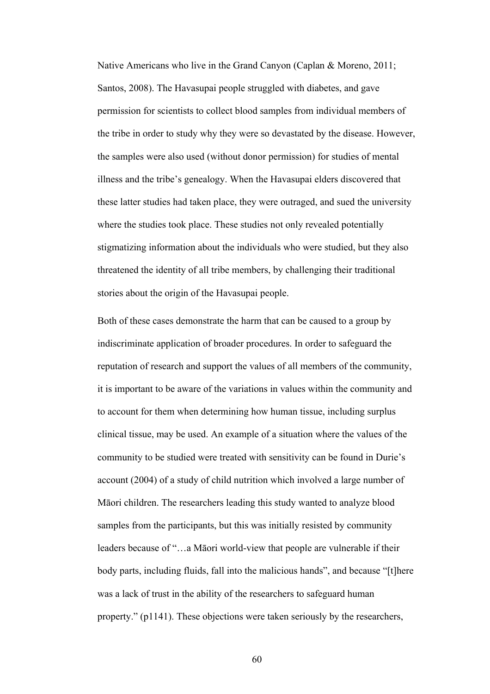Native Americans who live in the Grand Canyon (Caplan & Moreno, 2011; Santos, 2008). The Havasupai people struggled with diabetes, and gave permission for scientists to collect blood samples from individual members of the tribe in order to study why they were so devastated by the disease. However, the samples were also used (without donor permission) for studies of mental illness and the tribe's genealogy. When the Havasupai elders discovered that these latter studies had taken place, they were outraged, and sued the university where the studies took place. These studies not only revealed potentially stigmatizing information about the individuals who were studied, but they also threatened the identity of all tribe members, by challenging their traditional stories about the origin of the Havasupai people.

Both of these cases demonstrate the harm that can be caused to a group by indiscriminate application of broader procedures. In order to safeguard the reputation of research and support the values of all members of the community, it is important to be aware of the variations in values within the community and to account for them when determining how human tissue, including surplus clinical tissue, may be used. An example of a situation where the values of the community to be studied were treated with sensitivity can be found in Durie's account (2004) of a study of child nutrition which involved a large number of Māori children. The researchers leading this study wanted to analyze blood samples from the participants, but this was initially resisted by community leaders because of "…a Māori world-view that people are vulnerable if their body parts, including fluids, fall into the malicious hands", and because "[t]here was a lack of trust in the ability of the researchers to safeguard human property." (p1141). These objections were taken seriously by the researchers,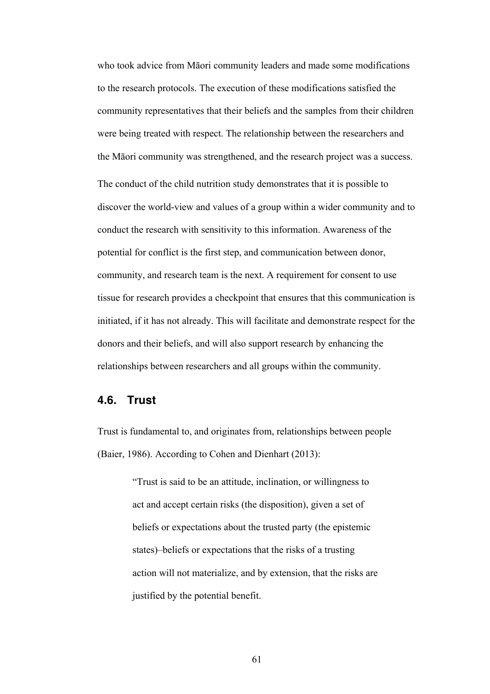who took advice from Māori community leaders and made some modifications to the research protocols. The execution of these modifications satisfied the community representatives that their beliefs and the samples from their children were being treated with respect. The relationship between the researchers and the Māori community was strengthened, and the research project was a success. The conduct of the child nutrition study demonstrates that it is possible to discover the world-view and values of a group within a wider community and to conduct the research with sensitivity to this information. Awareness of the potential for conflict is the first step, and communication between donor, community, and research team is the next. A requirement for consent to use tissue for research provides a checkpoint that ensures that this communication is initiated, if it has not already. This will facilitate and demonstrate respect for the donors and their beliefs, and will also support research by enhancing the relationships between researchers and all groups within the community.

#### **4.6. Trust**

Trust is fundamental to, and originates from, relationships between people (Baier, 1986). According to Cohen and Dienhart (2013):

> "Trust is said to be an attitude, inclination, or willingness to act and accept certain risks (the disposition), given a set of beliefs or expectations about the trusted party (the epistemic states)–beliefs or expectations that the risks of a trusting action will not materialize, and by extension, that the risks are justified by the potential benefit.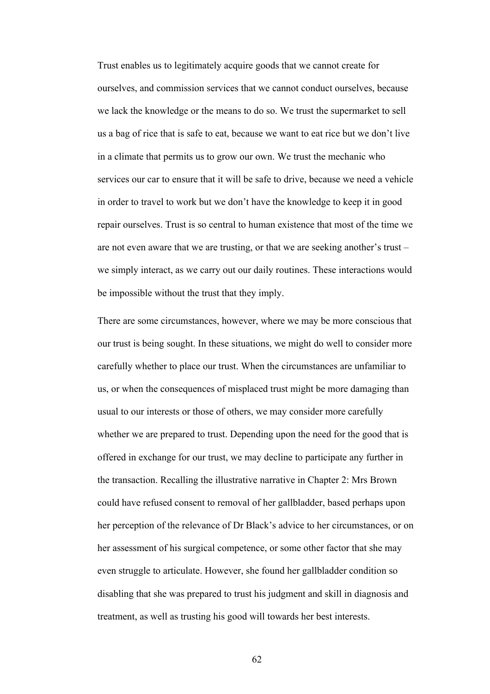Trust enables us to legitimately acquire goods that we cannot create for ourselves, and commission services that we cannot conduct ourselves, because we lack the knowledge or the means to do so. We trust the supermarket to sell us a bag of rice that is safe to eat, because we want to eat rice but we don't live in a climate that permits us to grow our own. We trust the mechanic who services our car to ensure that it will be safe to drive, because we need a vehicle in order to travel to work but we don't have the knowledge to keep it in good repair ourselves. Trust is so central to human existence that most of the time we are not even aware that we are trusting, or that we are seeking another's trust – we simply interact, as we carry out our daily routines. These interactions would be impossible without the trust that they imply.

There are some circumstances, however, where we may be more conscious that our trust is being sought. In these situations, we might do well to consider more carefully whether to place our trust. When the circumstances are unfamiliar to us, or when the consequences of misplaced trust might be more damaging than usual to our interests or those of others, we may consider more carefully whether we are prepared to trust. Depending upon the need for the good that is offered in exchange for our trust, we may decline to participate any further in the transaction. Recalling the illustrative narrative in Chapter 2: Mrs Brown could have refused consent to removal of her gallbladder, based perhaps upon her perception of the relevance of Dr Black's advice to her circumstances, or on her assessment of his surgical competence, or some other factor that she may even struggle to articulate. However, she found her gallbladder condition so disabling that she was prepared to trust his judgment and skill in diagnosis and treatment, as well as trusting his good will towards her best interests.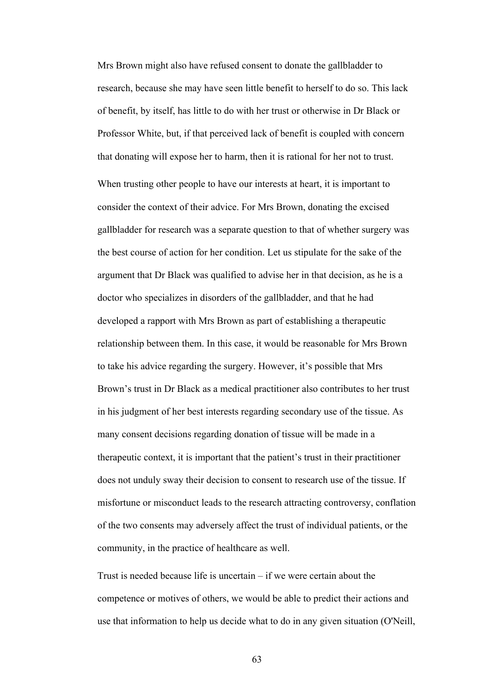Mrs Brown might also have refused consent to donate the gallbladder to research, because she may have seen little benefit to herself to do so. This lack of benefit, by itself, has little to do with her trust or otherwise in Dr Black or Professor White, but, if that perceived lack of benefit is coupled with concern that donating will expose her to harm, then it is rational for her not to trust. When trusting other people to have our interests at heart, it is important to consider the context of their advice. For Mrs Brown, donating the excised gallbladder for research was a separate question to that of whether surgery was the best course of action for her condition. Let us stipulate for the sake of the argument that Dr Black was qualified to advise her in that decision, as he is a doctor who specializes in disorders of the gallbladder, and that he had developed a rapport with Mrs Brown as part of establishing a therapeutic relationship between them. In this case, it would be reasonable for Mrs Brown to take his advice regarding the surgery. However, it's possible that Mrs Brown's trust in Dr Black as a medical practitioner also contributes to her trust in his judgment of her best interests regarding secondary use of the tissue. As many consent decisions regarding donation of tissue will be made in a therapeutic context, it is important that the patient's trust in their practitioner does not unduly sway their decision to consent to research use of the tissue. If misfortune or misconduct leads to the research attracting controversy, conflation of the two consents may adversely affect the trust of individual patients, or the community, in the practice of healthcare as well.

Trust is needed because life is uncertain – if we were certain about the competence or motives of others, we would be able to predict their actions and use that information to help us decide what to do in any given situation (O'Neill,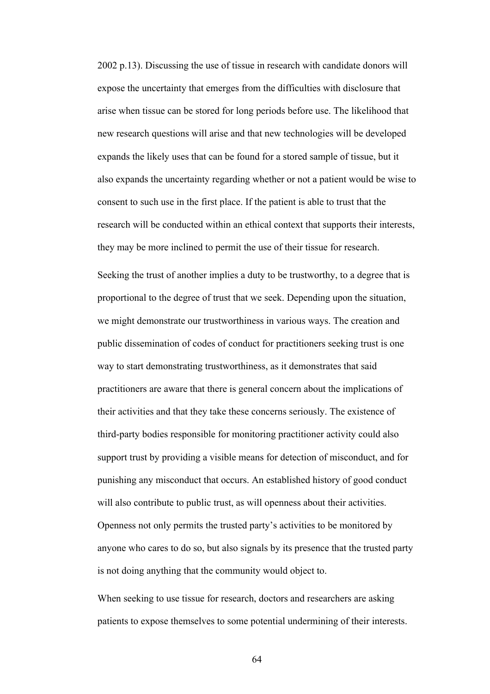2002 p.13). Discussing the use of tissue in research with candidate donors will expose the uncertainty that emerges from the difficulties with disclosure that arise when tissue can be stored for long periods before use. The likelihood that new research questions will arise and that new technologies will be developed expands the likely uses that can be found for a stored sample of tissue, but it also expands the uncertainty regarding whether or not a patient would be wise to consent to such use in the first place. If the patient is able to trust that the research will be conducted within an ethical context that supports their interests, they may be more inclined to permit the use of their tissue for research.

Seeking the trust of another implies a duty to be trustworthy, to a degree that is proportional to the degree of trust that we seek. Depending upon the situation, we might demonstrate our trustworthiness in various ways. The creation and public dissemination of codes of conduct for practitioners seeking trust is one way to start demonstrating trustworthiness, as it demonstrates that said practitioners are aware that there is general concern about the implications of their activities and that they take these concerns seriously. The existence of third-party bodies responsible for monitoring practitioner activity could also support trust by providing a visible means for detection of misconduct, and for punishing any misconduct that occurs. An established history of good conduct will also contribute to public trust, as will openness about their activities. Openness not only permits the trusted party's activities to be monitored by anyone who cares to do so, but also signals by its presence that the trusted party is not doing anything that the community would object to.

When seeking to use tissue for research, doctors and researchers are asking patients to expose themselves to some potential undermining of their interests.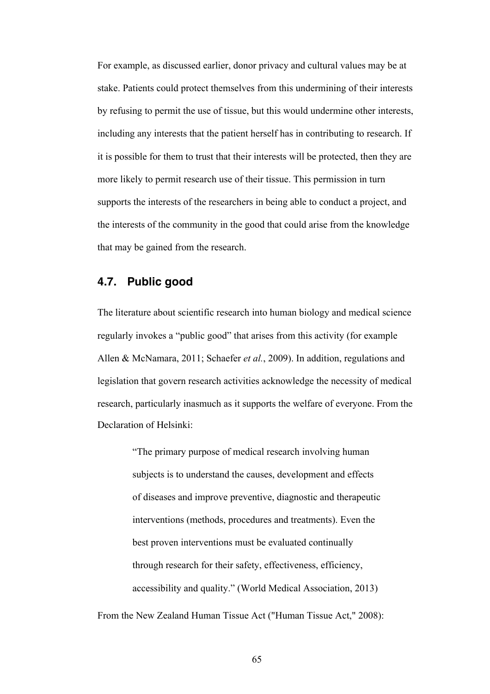For example, as discussed earlier, donor privacy and cultural values may be at stake. Patients could protect themselves from this undermining of their interests by refusing to permit the use of tissue, but this would undermine other interests, including any interests that the patient herself has in contributing to research. If it is possible for them to trust that their interests will be protected, then they are more likely to permit research use of their tissue. This permission in turn supports the interests of the researchers in being able to conduct a project, and the interests of the community in the good that could arise from the knowledge that may be gained from the research.

# **4.7. Public good**

The literature about scientific research into human biology and medical science regularly invokes a "public good" that arises from this activity (for example Allen & McNamara, 2011; Schaefer *et al.*, 2009). In addition, regulations and legislation that govern research activities acknowledge the necessity of medical research, particularly inasmuch as it supports the welfare of everyone. From the Declaration of Helsinki:

> "The primary purpose of medical research involving human subjects is to understand the causes, development and effects of diseases and improve preventive, diagnostic and therapeutic interventions (methods, procedures and treatments). Even the best proven interventions must be evaluated continually through research for their safety, effectiveness, efficiency, accessibility and quality." (World Medical Association, 2013)

From the New Zealand Human Tissue Act ("Human Tissue Act," 2008):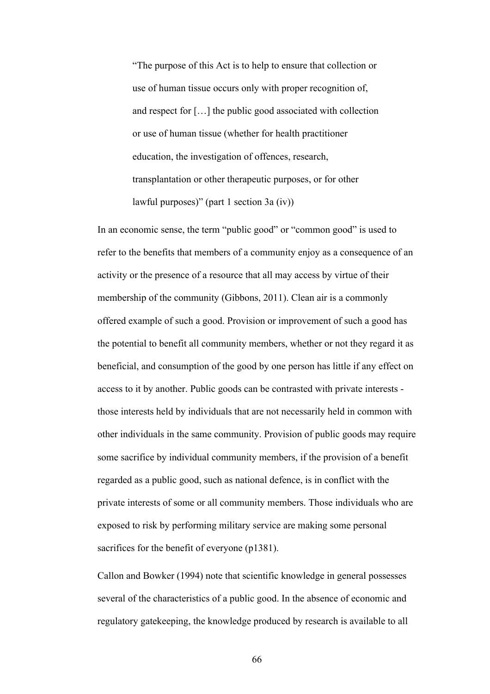"The purpose of this Act is to help to ensure that collection or use of human tissue occurs only with proper recognition of, and respect for […] the public good associated with collection or use of human tissue (whether for health practitioner education, the investigation of offences, research, transplantation or other therapeutic purposes, or for other lawful purposes)" (part 1 section 3a (iv))

In an economic sense, the term "public good" or "common good" is used to refer to the benefits that members of a community enjoy as a consequence of an activity or the presence of a resource that all may access by virtue of their membership of the community (Gibbons, 2011). Clean air is a commonly offered example of such a good. Provision or improvement of such a good has the potential to benefit all community members, whether or not they regard it as beneficial, and consumption of the good by one person has little if any effect on access to it by another. Public goods can be contrasted with private interests those interests held by individuals that are not necessarily held in common with other individuals in the same community. Provision of public goods may require some sacrifice by individual community members, if the provision of a benefit regarded as a public good, such as national defence, is in conflict with the private interests of some or all community members. Those individuals who are exposed to risk by performing military service are making some personal sacrifices for the benefit of everyone (p1381).

Callon and Bowker (1994) note that scientific knowledge in general possesses several of the characteristics of a public good. In the absence of economic and regulatory gatekeeping, the knowledge produced by research is available to all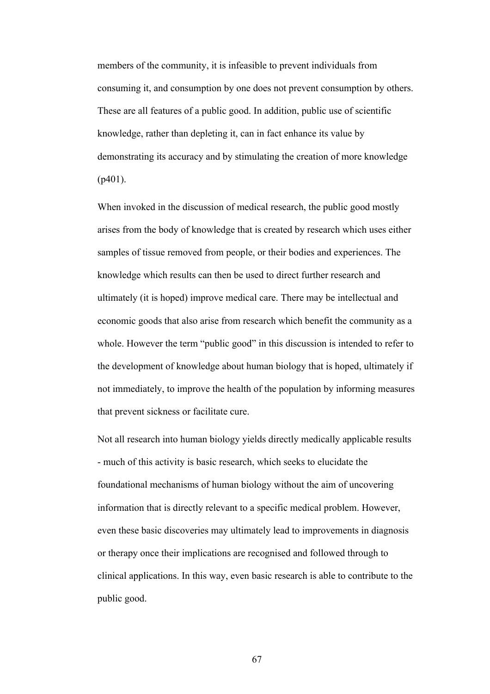members of the community, it is infeasible to prevent individuals from consuming it, and consumption by one does not prevent consumption by others. These are all features of a public good. In addition, public use of scientific knowledge, rather than depleting it, can in fact enhance its value by demonstrating its accuracy and by stimulating the creation of more knowledge (p401).

When invoked in the discussion of medical research, the public good mostly arises from the body of knowledge that is created by research which uses either samples of tissue removed from people, or their bodies and experiences. The knowledge which results can then be used to direct further research and ultimately (it is hoped) improve medical care. There may be intellectual and economic goods that also arise from research which benefit the community as a whole. However the term "public good" in this discussion is intended to refer to the development of knowledge about human biology that is hoped, ultimately if not immediately, to improve the health of the population by informing measures that prevent sickness or facilitate cure.

Not all research into human biology yields directly medically applicable results - much of this activity is basic research, which seeks to elucidate the foundational mechanisms of human biology without the aim of uncovering information that is directly relevant to a specific medical problem. However, even these basic discoveries may ultimately lead to improvements in diagnosis or therapy once their implications are recognised and followed through to clinical applications. In this way, even basic research is able to contribute to the public good.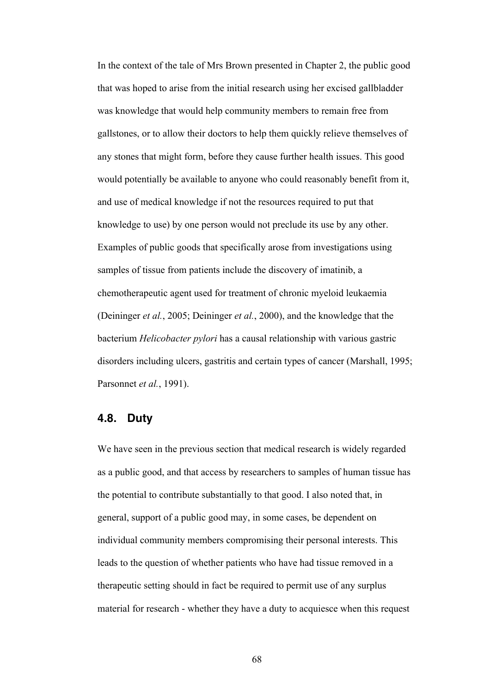In the context of the tale of Mrs Brown presented in Chapter 2, the public good that was hoped to arise from the initial research using her excised gallbladder was knowledge that would help community members to remain free from gallstones, or to allow their doctors to help them quickly relieve themselves of any stones that might form, before they cause further health issues. This good would potentially be available to anyone who could reasonably benefit from it, and use of medical knowledge if not the resources required to put that knowledge to use) by one person would not preclude its use by any other. Examples of public goods that specifically arose from investigations using samples of tissue from patients include the discovery of imatinib, a chemotherapeutic agent used for treatment of chronic myeloid leukaemia (Deininger *et al.*, 2005; Deininger *et al.*, 2000), and the knowledge that the bacterium *Helicobacter pylori* has a causal relationship with various gastric disorders including ulcers, gastritis and certain types of cancer (Marshall, 1995; Parsonnet *et al.*, 1991).

## **4.8. Duty**

We have seen in the previous section that medical research is widely regarded as a public good, and that access by researchers to samples of human tissue has the potential to contribute substantially to that good. I also noted that, in general, support of a public good may, in some cases, be dependent on individual community members compromising their personal interests. This leads to the question of whether patients who have had tissue removed in a therapeutic setting should in fact be required to permit use of any surplus material for research - whether they have a duty to acquiesce when this request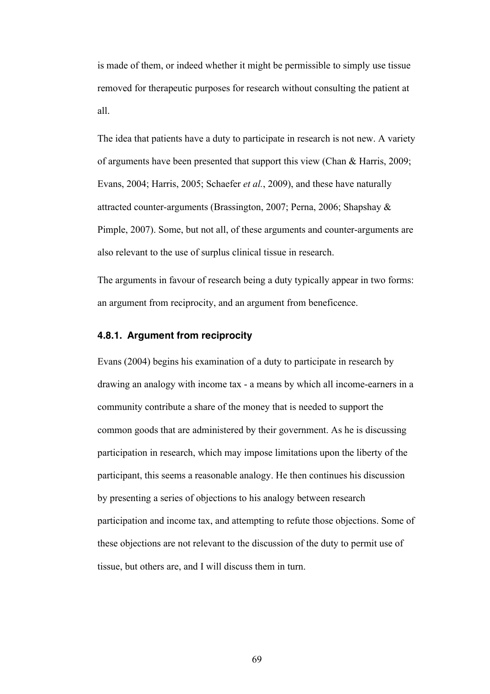is made of them, or indeed whether it might be permissible to simply use tissue removed for therapeutic purposes for research without consulting the patient at all.

The idea that patients have a duty to participate in research is not new. A variety of arguments have been presented that support this view (Chan & Harris, 2009; Evans, 2004; Harris, 2005; Schaefer *et al.*, 2009), and these have naturally attracted counter-arguments (Brassington, 2007; Perna, 2006; Shapshay & Pimple, 2007). Some, but not all, of these arguments and counter-arguments are also relevant to the use of surplus clinical tissue in research.

The arguments in favour of research being a duty typically appear in two forms: an argument from reciprocity, and an argument from beneficence.

## **4.8.1. Argument from reciprocity**

Evans (2004) begins his examination of a duty to participate in research by drawing an analogy with income tax - a means by which all income-earners in a community contribute a share of the money that is needed to support the common goods that are administered by their government. As he is discussing participation in research, which may impose limitations upon the liberty of the participant, this seems a reasonable analogy. He then continues his discussion by presenting a series of objections to his analogy between research participation and income tax, and attempting to refute those objections. Some of these objections are not relevant to the discussion of the duty to permit use of tissue, but others are, and I will discuss them in turn.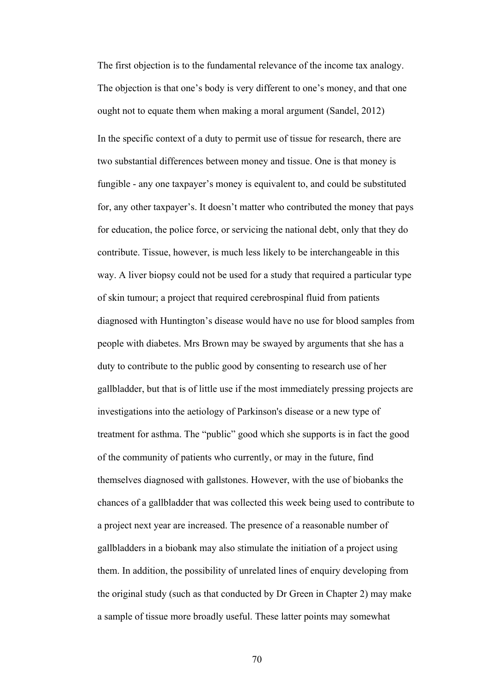The first objection is to the fundamental relevance of the income tax analogy. The objection is that one's body is very different to one's money, and that one ought not to equate them when making a moral argument (Sandel, 2012) In the specific context of a duty to permit use of tissue for research, there are two substantial differences between money and tissue. One is that money is fungible - any one taxpayer's money is equivalent to, and could be substituted for, any other taxpayer's. It doesn't matter who contributed the money that pays for education, the police force, or servicing the national debt, only that they do contribute. Tissue, however, is much less likely to be interchangeable in this way. A liver biopsy could not be used for a study that required a particular type of skin tumour; a project that required cerebrospinal fluid from patients diagnosed with Huntington's disease would have no use for blood samples from people with diabetes. Mrs Brown may be swayed by arguments that she has a duty to contribute to the public good by consenting to research use of her gallbladder, but that is of little use if the most immediately pressing projects are investigations into the aetiology of Parkinson's disease or a new type of treatment for asthma. The "public" good which she supports is in fact the good of the community of patients who currently, or may in the future, find themselves diagnosed with gallstones. However, with the use of biobanks the chances of a gallbladder that was collected this week being used to contribute to a project next year are increased. The presence of a reasonable number of gallbladders in a biobank may also stimulate the initiation of a project using them. In addition, the possibility of unrelated lines of enquiry developing from the original study (such as that conducted by Dr Green in Chapter 2) may make a sample of tissue more broadly useful. These latter points may somewhat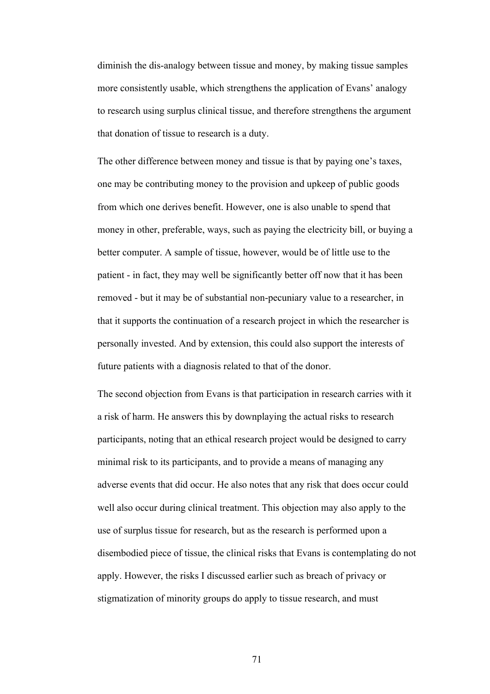diminish the dis-analogy between tissue and money, by making tissue samples more consistently usable, which strengthens the application of Evans' analogy to research using surplus clinical tissue, and therefore strengthens the argument that donation of tissue to research is a duty.

The other difference between money and tissue is that by paying one's taxes, one may be contributing money to the provision and upkeep of public goods from which one derives benefit. However, one is also unable to spend that money in other, preferable, ways, such as paying the electricity bill, or buying a better computer. A sample of tissue, however, would be of little use to the patient - in fact, they may well be significantly better off now that it has been removed - but it may be of substantial non-pecuniary value to a researcher, in that it supports the continuation of a research project in which the researcher is personally invested. And by extension, this could also support the interests of future patients with a diagnosis related to that of the donor.

The second objection from Evans is that participation in research carries with it a risk of harm. He answers this by downplaying the actual risks to research participants, noting that an ethical research project would be designed to carry minimal risk to its participants, and to provide a means of managing any adverse events that did occur. He also notes that any risk that does occur could well also occur during clinical treatment. This objection may also apply to the use of surplus tissue for research, but as the research is performed upon a disembodied piece of tissue, the clinical risks that Evans is contemplating do not apply. However, the risks I discussed earlier such as breach of privacy or stigmatization of minority groups do apply to tissue research, and must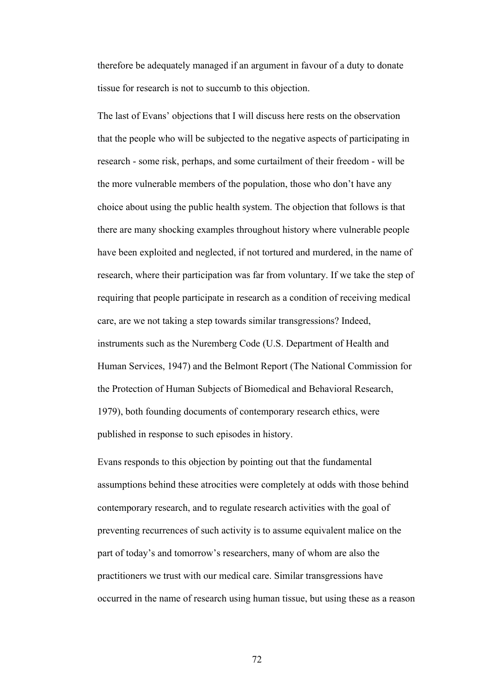therefore be adequately managed if an argument in favour of a duty to donate tissue for research is not to succumb to this objection.

The last of Evans' objections that I will discuss here rests on the observation that the people who will be subjected to the negative aspects of participating in research - some risk, perhaps, and some curtailment of their freedom - will be the more vulnerable members of the population, those who don't have any choice about using the public health system. The objection that follows is that there are many shocking examples throughout history where vulnerable people have been exploited and neglected, if not tortured and murdered, in the name of research, where their participation was far from voluntary. If we take the step of requiring that people participate in research as a condition of receiving medical care, are we not taking a step towards similar transgressions? Indeed, instruments such as the Nuremberg Code (U.S. Department of Health and Human Services, 1947) and the Belmont Report (The National Commission for the Protection of Human Subjects of Biomedical and Behavioral Research, 1979), both founding documents of contemporary research ethics, were published in response to such episodes in history.

Evans responds to this objection by pointing out that the fundamental assumptions behind these atrocities were completely at odds with those behind contemporary research, and to regulate research activities with the goal of preventing recurrences of such activity is to assume equivalent malice on the part of today's and tomorrow's researchers, many of whom are also the practitioners we trust with our medical care. Similar transgressions have occurred in the name of research using human tissue, but using these as a reason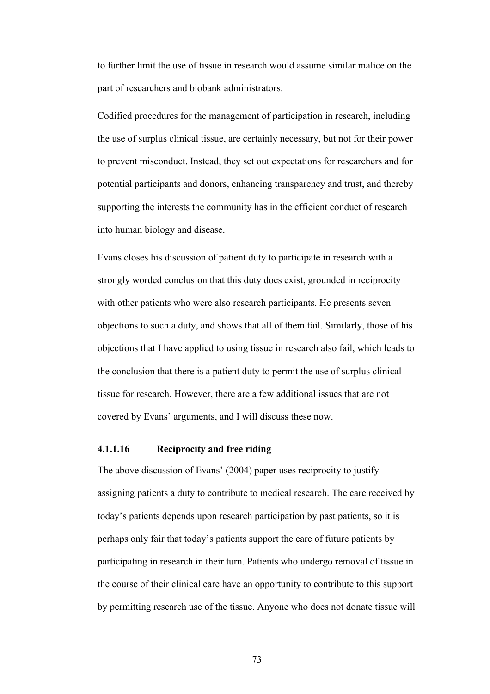to further limit the use of tissue in research would assume similar malice on the part of researchers and biobank administrators.

Codified procedures for the management of participation in research, including the use of surplus clinical tissue, are certainly necessary, but not for their power to prevent misconduct. Instead, they set out expectations for researchers and for potential participants and donors, enhancing transparency and trust, and thereby supporting the interests the community has in the efficient conduct of research into human biology and disease.

Evans closes his discussion of patient duty to participate in research with a strongly worded conclusion that this duty does exist, grounded in reciprocity with other patients who were also research participants. He presents seven objections to such a duty, and shows that all of them fail. Similarly, those of his objections that I have applied to using tissue in research also fail, which leads to the conclusion that there is a patient duty to permit the use of surplus clinical tissue for research. However, there are a few additional issues that are not covered by Evans' arguments, and I will discuss these now.

# **4.1.1.16 Reciprocity and free riding**

The above discussion of Evans' (2004) paper uses reciprocity to justify assigning patients a duty to contribute to medical research. The care received by today's patients depends upon research participation by past patients, so it is perhaps only fair that today's patients support the care of future patients by participating in research in their turn. Patients who undergo removal of tissue in the course of their clinical care have an opportunity to contribute to this support by permitting research use of the tissue. Anyone who does not donate tissue will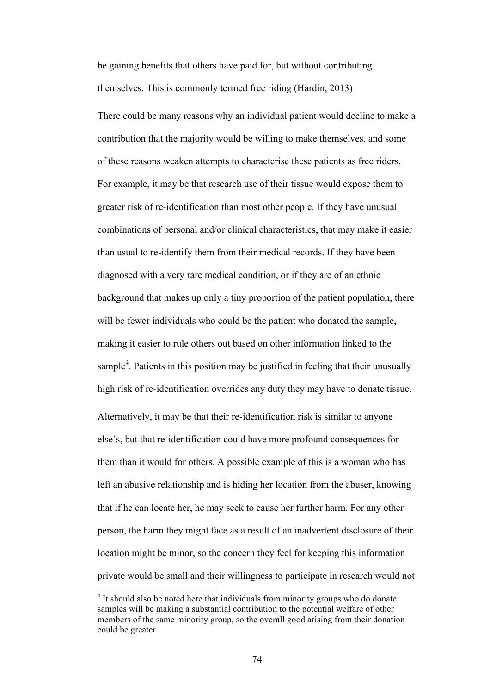be gaining benefits that others have paid for, but without contributing themselves. This is commonly termed free riding (Hardin, 2013)

There could be many reasons why an individual patient would decline to make a contribution that the majority would be willing to make themselves, and some of these reasons weaken attempts to characterise these patients as free riders. For example, it may be that research use of their tissue would expose them to greater risk of re-identification than most other people. If they have unusual combinations of personal and/or clinical characteristics, that may make it easier than usual to re-identify them from their medical records. If they have been diagnosed with a very rare medical condition, or if they are of an ethnic background that makes up only a tiny proportion of the patient population, there will be fewer individuals who could be the patient who donated the sample, making it easier to rule others out based on other information linked to the sample<sup>4</sup>. Patients in this position may be justified in feeling that their unusually high risk of re-identification overrides any duty they may have to donate tissue. Alternatively, it may be that their re-identification risk is similar to anyone else's, but that re-identification could have more profound consequences for them than it would for others. A possible example of this is a woman who has left an abusive relationship and is hiding her location from the abuser, knowing that if he can locate her, he may seek to cause her further harm. For any other person, the harm they might face as a result of an inadvertent disclosure of their location might be minor, so the concern they feel for keeping this information private would be small and their willingness to participate in research would not

<sup>&</sup>lt;sup>4</sup> It should also be noted here that individuals from minority groups who do donate samples will be making a substantial contribution to the potential welfare of other members of the same minority group, so the overall good arising from their donation could be greater.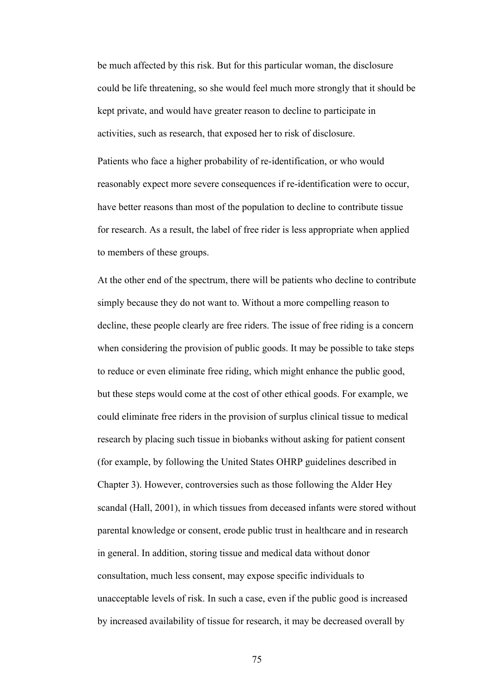be much affected by this risk. But for this particular woman, the disclosure could be life threatening, so she would feel much more strongly that it should be kept private, and would have greater reason to decline to participate in activities, such as research, that exposed her to risk of disclosure.

Patients who face a higher probability of re-identification, or who would reasonably expect more severe consequences if re-identification were to occur, have better reasons than most of the population to decline to contribute tissue for research. As a result, the label of free rider is less appropriate when applied to members of these groups.

At the other end of the spectrum, there will be patients who decline to contribute simply because they do not want to. Without a more compelling reason to decline, these people clearly are free riders. The issue of free riding is a concern when considering the provision of public goods. It may be possible to take steps to reduce or even eliminate free riding, which might enhance the public good, but these steps would come at the cost of other ethical goods. For example, we could eliminate free riders in the provision of surplus clinical tissue to medical research by placing such tissue in biobanks without asking for patient consent (for example, by following the United States OHRP guidelines described in Chapter 3). However, controversies such as those following the Alder Hey scandal (Hall, 2001), in which tissues from deceased infants were stored without parental knowledge or consent, erode public trust in healthcare and in research in general. In addition, storing tissue and medical data without donor consultation, much less consent, may expose specific individuals to unacceptable levels of risk. In such a case, even if the public good is increased by increased availability of tissue for research, it may be decreased overall by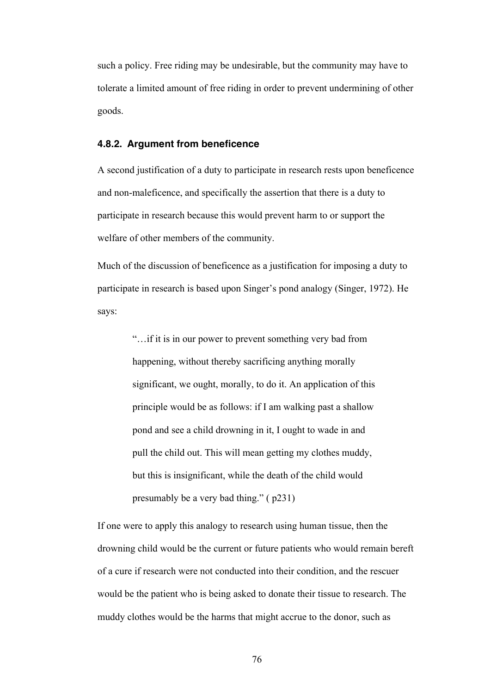such a policy. Free riding may be undesirable, but the community may have to tolerate a limited amount of free riding in order to prevent undermining of other goods.

## **4.8.2. Argument from beneficence**

A second justification of a duty to participate in research rests upon beneficence and non-maleficence, and specifically the assertion that there is a duty to participate in research because this would prevent harm to or support the welfare of other members of the community.

Much of the discussion of beneficence as a justification for imposing a duty to participate in research is based upon Singer's pond analogy (Singer, 1972). He says:

> "…if it is in our power to prevent something very bad from happening, without thereby sacrificing anything morally significant, we ought, morally, to do it. An application of this principle would be as follows: if I am walking past a shallow pond and see a child drowning in it, I ought to wade in and pull the child out. This will mean getting my clothes muddy, but this is insignificant, while the death of the child would presumably be a very bad thing." ( p231)

If one were to apply this analogy to research using human tissue, then the drowning child would be the current or future patients who would remain bereft of a cure if research were not conducted into their condition, and the rescuer would be the patient who is being asked to donate their tissue to research. The muddy clothes would be the harms that might accrue to the donor, such as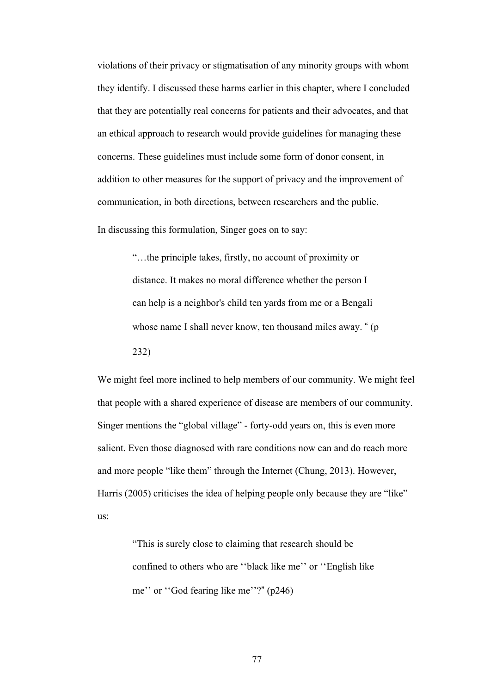violations of their privacy or stigmatisation of any minority groups with whom they identify. I discussed these harms earlier in this chapter, where I concluded that they are potentially real concerns for patients and their advocates, and that an ethical approach to research would provide guidelines for managing these concerns. These guidelines must include some form of donor consent, in addition to other measures for the support of privacy and the improvement of communication, in both directions, between researchers and the public.

In discussing this formulation, Singer goes on to say:

"…the principle takes, firstly, no account of proximity or distance. It makes no moral difference whether the person I can help is a neighbor's child ten yards from me or a Bengali whose name I shall never know, ten thousand miles away. " (p 232)

We might feel more inclined to help members of our community. We might feel that people with a shared experience of disease are members of our community. Singer mentions the "global village" - forty-odd years on, this is even more salient. Even those diagnosed with rare conditions now can and do reach more and more people "like them" through the Internet (Chung, 2013). However, Harris (2005) criticises the idea of helping people only because they are "like" us:

> "This is surely close to claiming that research should be confined to others who are ''black like me'' or ''English like me'' or ''God fearing like me''?" (p246)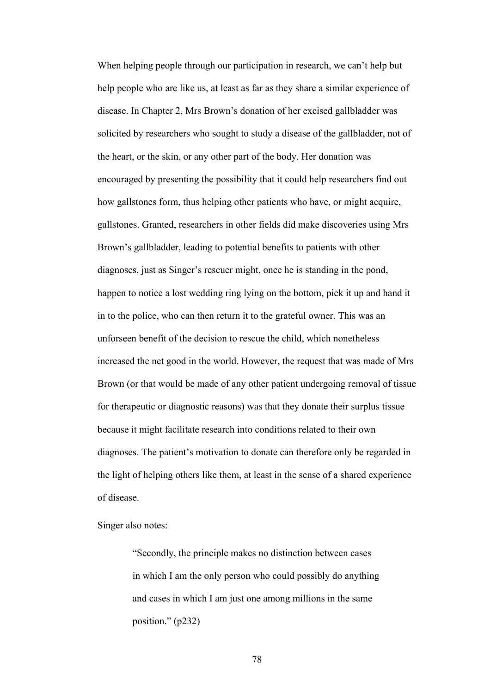When helping people through our participation in research, we can't help but help people who are like us, at least as far as they share a similar experience of disease. In Chapter 2, Mrs Brown's donation of her excised gallbladder was solicited by researchers who sought to study a disease of the gallbladder, not of the heart, or the skin, or any other part of the body. Her donation was encouraged by presenting the possibility that it could help researchers find out how gallstones form, thus helping other patients who have, or might acquire, gallstones. Granted, researchers in other fields did make discoveries using Mrs Brown's gallbladder, leading to potential benefits to patients with other diagnoses, just as Singer's rescuer might, once he is standing in the pond, happen to notice a lost wedding ring lying on the bottom, pick it up and hand it in to the police, who can then return it to the grateful owner. This was an unforseen benefit of the decision to rescue the child, which nonetheless increased the net good in the world. However, the request that was made of Mrs Brown (or that would be made of any other patient undergoing removal of tissue for therapeutic or diagnostic reasons) was that they donate their surplus tissue because it might facilitate research into conditions related to their own diagnoses. The patient's motivation to donate can therefore only be regarded in the light of helping others like them, at least in the sense of a shared experience of disease.

Singer also notes:

"Secondly, the principle makes no distinction between cases in which I am the only person who could possibly do anything and cases in which I am just one among millions in the same position." (p232)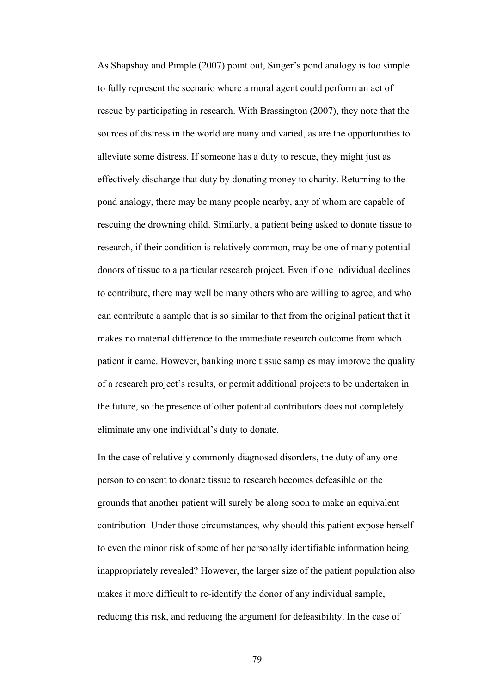As Shapshay and Pimple (2007) point out, Singer's pond analogy is too simple to fully represent the scenario where a moral agent could perform an act of rescue by participating in research. With Brassington (2007), they note that the sources of distress in the world are many and varied, as are the opportunities to alleviate some distress. If someone has a duty to rescue, they might just as effectively discharge that duty by donating money to charity. Returning to the pond analogy, there may be many people nearby, any of whom are capable of rescuing the drowning child. Similarly, a patient being asked to donate tissue to research, if their condition is relatively common, may be one of many potential donors of tissue to a particular research project. Even if one individual declines to contribute, there may well be many others who are willing to agree, and who can contribute a sample that is so similar to that from the original patient that it makes no material difference to the immediate research outcome from which patient it came. However, banking more tissue samples may improve the quality of a research project's results, or permit additional projects to be undertaken in the future, so the presence of other potential contributors does not completely eliminate any one individual's duty to donate.

In the case of relatively commonly diagnosed disorders, the duty of any one person to consent to donate tissue to research becomes defeasible on the grounds that another patient will surely be along soon to make an equivalent contribution. Under those circumstances, why should this patient expose herself to even the minor risk of some of her personally identifiable information being inappropriately revealed? However, the larger size of the patient population also makes it more difficult to re-identify the donor of any individual sample, reducing this risk, and reducing the argument for defeasibility. In the case of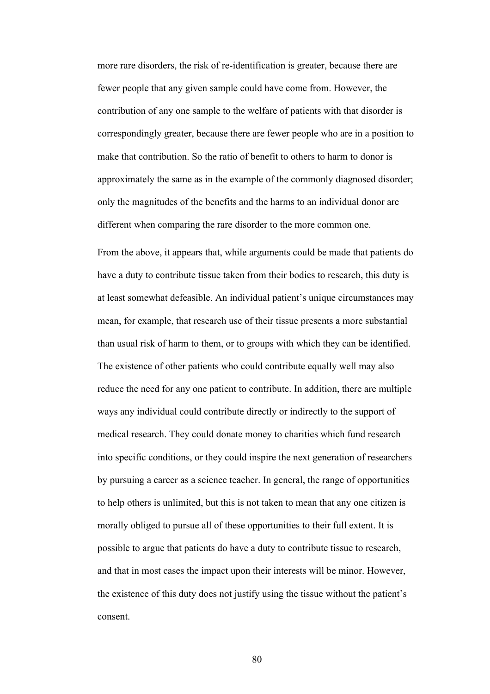more rare disorders, the risk of re-identification is greater, because there are fewer people that any given sample could have come from. However, the contribution of any one sample to the welfare of patients with that disorder is correspondingly greater, because there are fewer people who are in a position to make that contribution. So the ratio of benefit to others to harm to donor is approximately the same as in the example of the commonly diagnosed disorder; only the magnitudes of the benefits and the harms to an individual donor are different when comparing the rare disorder to the more common one.

From the above, it appears that, while arguments could be made that patients do have a duty to contribute tissue taken from their bodies to research, this duty is at least somewhat defeasible. An individual patient's unique circumstances may mean, for example, that research use of their tissue presents a more substantial than usual risk of harm to them, or to groups with which they can be identified. The existence of other patients who could contribute equally well may also reduce the need for any one patient to contribute. In addition, there are multiple ways any individual could contribute directly or indirectly to the support of medical research. They could donate money to charities which fund research into specific conditions, or they could inspire the next generation of researchers by pursuing a career as a science teacher. In general, the range of opportunities to help others is unlimited, but this is not taken to mean that any one citizen is morally obliged to pursue all of these opportunities to their full extent. It is possible to argue that patients do have a duty to contribute tissue to research, and that in most cases the impact upon their interests will be minor. However, the existence of this duty does not justify using the tissue without the patient's consent.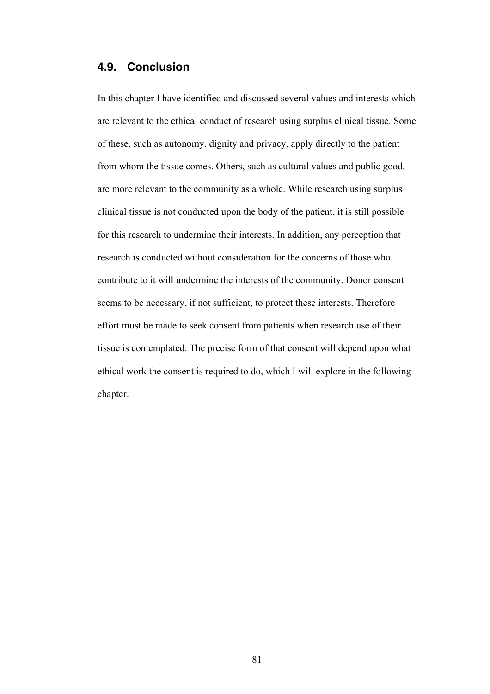# **4.9. Conclusion**

In this chapter I have identified and discussed several values and interests which are relevant to the ethical conduct of research using surplus clinical tissue. Some of these, such as autonomy, dignity and privacy, apply directly to the patient from whom the tissue comes. Others, such as cultural values and public good, are more relevant to the community as a whole. While research using surplus clinical tissue is not conducted upon the body of the patient, it is still possible for this research to undermine their interests. In addition, any perception that research is conducted without consideration for the concerns of those who contribute to it will undermine the interests of the community. Donor consent seems to be necessary, if not sufficient, to protect these interests. Therefore effort must be made to seek consent from patients when research use of their tissue is contemplated. The precise form of that consent will depend upon what ethical work the consent is required to do, which I will explore in the following chapter.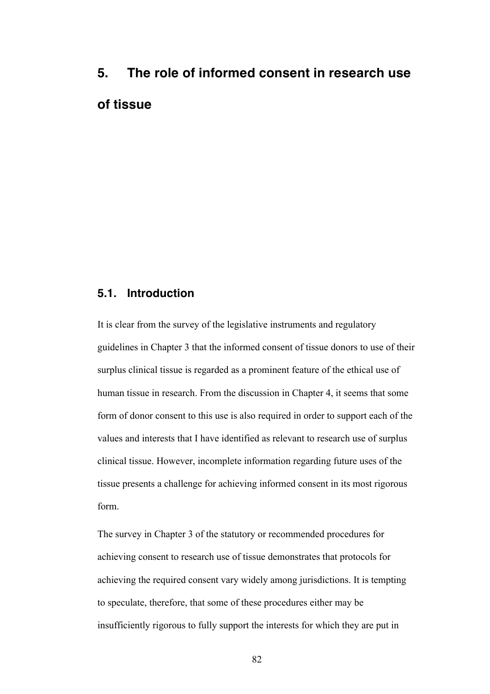# **5. The role of informed consent in research use of tissue**

# **5.1. Introduction**

It is clear from the survey of the legislative instruments and regulatory guidelines in Chapter 3 that the informed consent of tissue donors to use of their surplus clinical tissue is regarded as a prominent feature of the ethical use of human tissue in research. From the discussion in Chapter 4, it seems that some form of donor consent to this use is also required in order to support each of the values and interests that I have identified as relevant to research use of surplus clinical tissue. However, incomplete information regarding future uses of the tissue presents a challenge for achieving informed consent in its most rigorous form.

The survey in Chapter 3 of the statutory or recommended procedures for achieving consent to research use of tissue demonstrates that protocols for achieving the required consent vary widely among jurisdictions. It is tempting to speculate, therefore, that some of these procedures either may be insufficiently rigorous to fully support the interests for which they are put in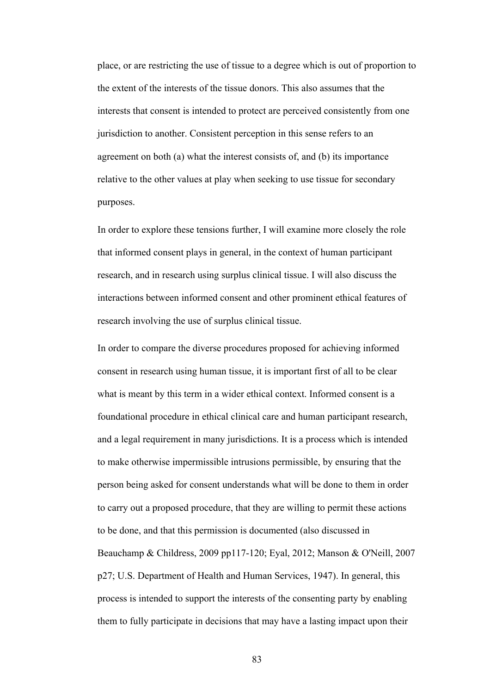place, or are restricting the use of tissue to a degree which is out of proportion to the extent of the interests of the tissue donors. This also assumes that the interests that consent is intended to protect are perceived consistently from one jurisdiction to another. Consistent perception in this sense refers to an agreement on both (a) what the interest consists of, and (b) its importance relative to the other values at play when seeking to use tissue for secondary purposes.

In order to explore these tensions further, I will examine more closely the role that informed consent plays in general, in the context of human participant research, and in research using surplus clinical tissue. I will also discuss the interactions between informed consent and other prominent ethical features of research involving the use of surplus clinical tissue.

In order to compare the diverse procedures proposed for achieving informed consent in research using human tissue, it is important first of all to be clear what is meant by this term in a wider ethical context. Informed consent is a foundational procedure in ethical clinical care and human participant research, and a legal requirement in many jurisdictions. It is a process which is intended to make otherwise impermissible intrusions permissible, by ensuring that the person being asked for consent understands what will be done to them in order to carry out a proposed procedure, that they are willing to permit these actions to be done, and that this permission is documented (also discussed in Beauchamp & Childress, 2009 pp117-120; Eyal, 2012; Manson & O'Neill, 2007 p27; U.S. Department of Health and Human Services, 1947). In general, this process is intended to support the interests of the consenting party by enabling them to fully participate in decisions that may have a lasting impact upon their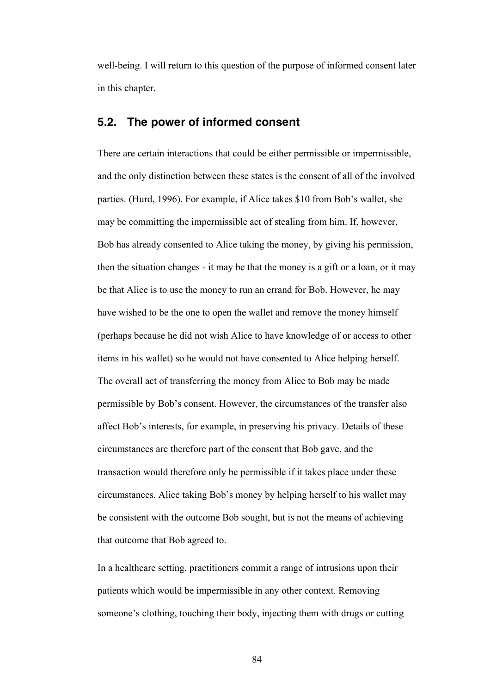well-being. I will return to this question of the purpose of informed consent later in this chapter.

# **5.2. The power of informed consent**

There are certain interactions that could be either permissible or impermissible, and the only distinction between these states is the consent of all of the involved parties. (Hurd, 1996). For example, if Alice takes \$10 from Bob's wallet, she may be committing the impermissible act of stealing from him. If, however, Bob has already consented to Alice taking the money, by giving his permission, then the situation changes - it may be that the money is a gift or a loan, or it may be that Alice is to use the money to run an errand for Bob. However, he may have wished to be the one to open the wallet and remove the money himself (perhaps because he did not wish Alice to have knowledge of or access to other items in his wallet) so he would not have consented to Alice helping herself. The overall act of transferring the money from Alice to Bob may be made permissible by Bob's consent. However, the circumstances of the transfer also affect Bob's interests, for example, in preserving his privacy. Details of these circumstances are therefore part of the consent that Bob gave, and the transaction would therefore only be permissible if it takes place under these circumstances. Alice taking Bob's money by helping herself to his wallet may be consistent with the outcome Bob sought, but is not the means of achieving that outcome that Bob agreed to.

In a healthcare setting, practitioners commit a range of intrusions upon their patients which would be impermissible in any other context. Removing someone's clothing, touching their body, injecting them with drugs or cutting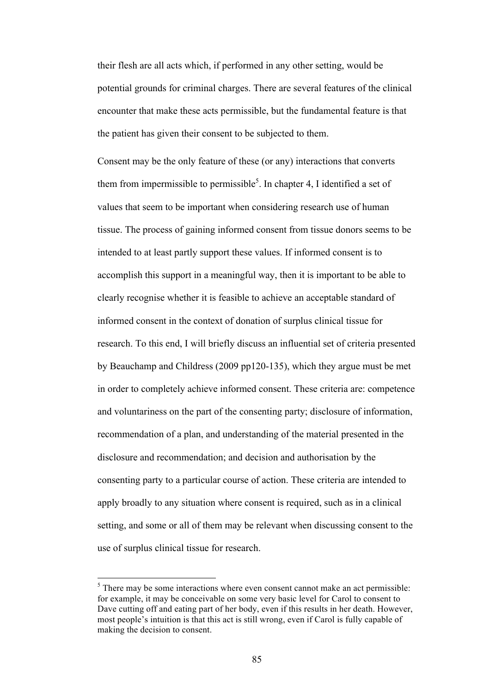their flesh are all acts which, if performed in any other setting, would be potential grounds for criminal charges. There are several features of the clinical encounter that make these acts permissible, but the fundamental feature is that the patient has given their consent to be subjected to them.

Consent may be the only feature of these (or any) interactions that converts them from impermissible to permissible<sup>5</sup>. In chapter 4, I identified a set of values that seem to be important when considering research use of human tissue. The process of gaining informed consent from tissue donors seems to be intended to at least partly support these values. If informed consent is to accomplish this support in a meaningful way, then it is important to be able to clearly recognise whether it is feasible to achieve an acceptable standard of informed consent in the context of donation of surplus clinical tissue for research. To this end, I will briefly discuss an influential set of criteria presented by Beauchamp and Childress (2009 pp120-135), which they argue must be met in order to completely achieve informed consent. These criteria are: competence and voluntariness on the part of the consenting party; disclosure of information, recommendation of a plan, and understanding of the material presented in the disclosure and recommendation; and decision and authorisation by the consenting party to a particular course of action. These criteria are intended to apply broadly to any situation where consent is required, such as in a clinical setting, and some or all of them may be relevant when discussing consent to the use of surplus clinical tissue for research.

 $5$  There may be some interactions where even consent cannot make an act permissible: for example, it may be conceivable on some very basic level for Carol to consent to Dave cutting off and eating part of her body, even if this results in her death. However, most people's intuition is that this act is still wrong, even if Carol is fully capable of making the decision to consent.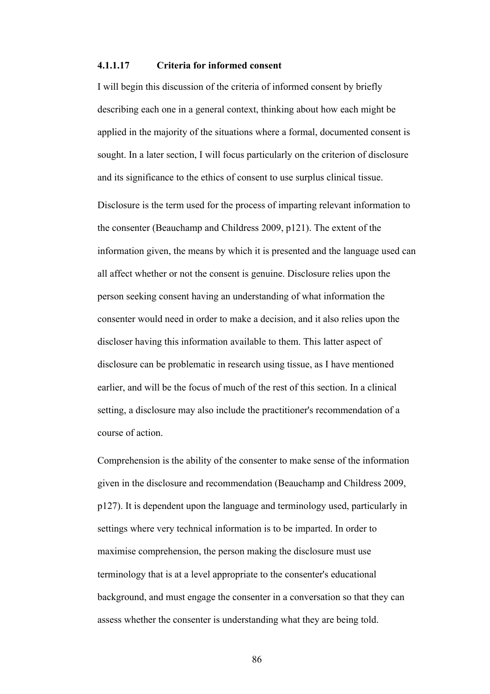#### **4.1.1.17 Criteria for informed consent**

I will begin this discussion of the criteria of informed consent by briefly describing each one in a general context, thinking about how each might be applied in the majority of the situations where a formal, documented consent is sought. In a later section, I will focus particularly on the criterion of disclosure and its significance to the ethics of consent to use surplus clinical tissue.

Disclosure is the term used for the process of imparting relevant information to the consenter (Beauchamp and Childress 2009, p121). The extent of the information given, the means by which it is presented and the language used can all affect whether or not the consent is genuine. Disclosure relies upon the person seeking consent having an understanding of what information the consenter would need in order to make a decision, and it also relies upon the discloser having this information available to them. This latter aspect of disclosure can be problematic in research using tissue, as I have mentioned earlier, and will be the focus of much of the rest of this section. In a clinical setting, a disclosure may also include the practitioner's recommendation of a course of action.

Comprehension is the ability of the consenter to make sense of the information given in the disclosure and recommendation (Beauchamp and Childress 2009, p127). It is dependent upon the language and terminology used, particularly in settings where very technical information is to be imparted. In order to maximise comprehension, the person making the disclosure must use terminology that is at a level appropriate to the consenter's educational background, and must engage the consenter in a conversation so that they can assess whether the consenter is understanding what they are being told.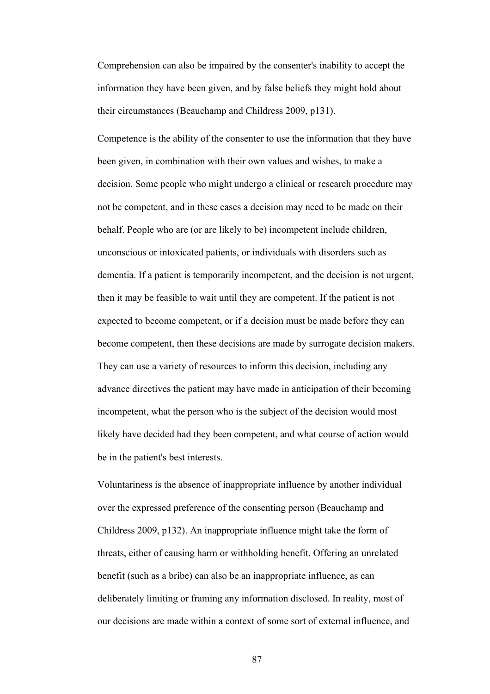Comprehension can also be impaired by the consenter's inability to accept the information they have been given, and by false beliefs they might hold about their circumstances (Beauchamp and Childress 2009, p131).

Competence is the ability of the consenter to use the information that they have been given, in combination with their own values and wishes, to make a decision. Some people who might undergo a clinical or research procedure may not be competent, and in these cases a decision may need to be made on their behalf. People who are (or are likely to be) incompetent include children, unconscious or intoxicated patients, or individuals with disorders such as dementia. If a patient is temporarily incompetent, and the decision is not urgent, then it may be feasible to wait until they are competent. If the patient is not expected to become competent, or if a decision must be made before they can become competent, then these decisions are made by surrogate decision makers. They can use a variety of resources to inform this decision, including any advance directives the patient may have made in anticipation of their becoming incompetent, what the person who is the subject of the decision would most likely have decided had they been competent, and what course of action would be in the patient's best interests.

Voluntariness is the absence of inappropriate influence by another individual over the expressed preference of the consenting person (Beauchamp and Childress 2009, p132). An inappropriate influence might take the form of threats, either of causing harm or withholding benefit. Offering an unrelated benefit (such as a bribe) can also be an inappropriate influence, as can deliberately limiting or framing any information disclosed. In reality, most of our decisions are made within a context of some sort of external influence, and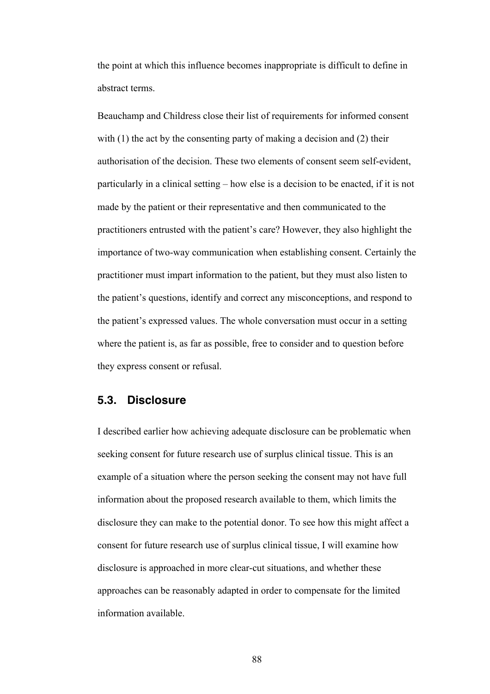the point at which this influence becomes inappropriate is difficult to define in abstract terms.

Beauchamp and Childress close their list of requirements for informed consent with (1) the act by the consenting party of making a decision and (2) their authorisation of the decision. These two elements of consent seem self-evident, particularly in a clinical setting – how else is a decision to be enacted, if it is not made by the patient or their representative and then communicated to the practitioners entrusted with the patient's care? However, they also highlight the importance of two-way communication when establishing consent. Certainly the practitioner must impart information to the patient, but they must also listen to the patient's questions, identify and correct any misconceptions, and respond to the patient's expressed values. The whole conversation must occur in a setting where the patient is, as far as possible, free to consider and to question before they express consent or refusal.

## **5.3. Disclosure**

I described earlier how achieving adequate disclosure can be problematic when seeking consent for future research use of surplus clinical tissue. This is an example of a situation where the person seeking the consent may not have full information about the proposed research available to them, which limits the disclosure they can make to the potential donor. To see how this might affect a consent for future research use of surplus clinical tissue, I will examine how disclosure is approached in more clear-cut situations, and whether these approaches can be reasonably adapted in order to compensate for the limited information available.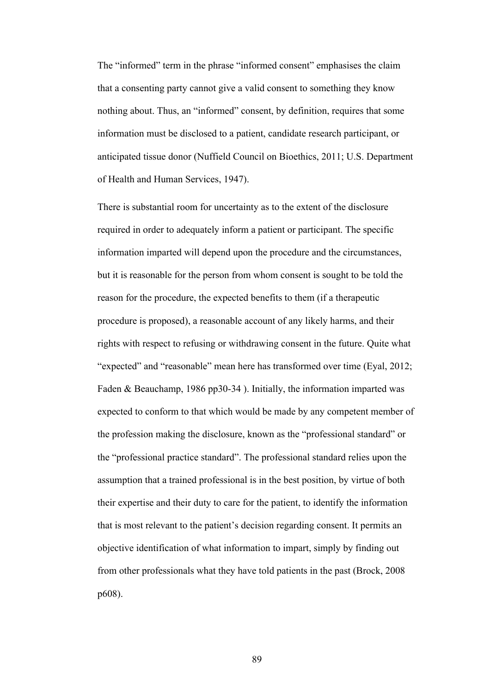The "informed" term in the phrase "informed consent" emphasises the claim that a consenting party cannot give a valid consent to something they know nothing about. Thus, an "informed" consent, by definition, requires that some information must be disclosed to a patient, candidate research participant, or anticipated tissue donor (Nuffield Council on Bioethics, 2011; U.S. Department of Health and Human Services, 1947).

There is substantial room for uncertainty as to the extent of the disclosure required in order to adequately inform a patient or participant. The specific information imparted will depend upon the procedure and the circumstances, but it is reasonable for the person from whom consent is sought to be told the reason for the procedure, the expected benefits to them (if a therapeutic procedure is proposed), a reasonable account of any likely harms, and their rights with respect to refusing or withdrawing consent in the future. Quite what "expected" and "reasonable" mean here has transformed over time (Eyal, 2012; Faden & Beauchamp, 1986 pp30-34 ). Initially, the information imparted was expected to conform to that which would be made by any competent member of the profession making the disclosure, known as the "professional standard" or the "professional practice standard". The professional standard relies upon the assumption that a trained professional is in the best position, by virtue of both their expertise and their duty to care for the patient, to identify the information that is most relevant to the patient's decision regarding consent. It permits an objective identification of what information to impart, simply by finding out from other professionals what they have told patients in the past (Brock, 2008 p608).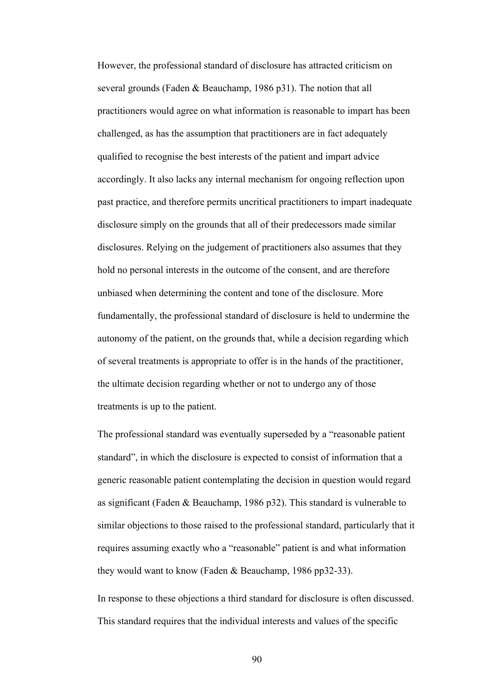However, the professional standard of disclosure has attracted criticism on several grounds (Faden & Beauchamp, 1986 p31). The notion that all practitioners would agree on what information is reasonable to impart has been challenged, as has the assumption that practitioners are in fact adequately qualified to recognise the best interests of the patient and impart advice accordingly. It also lacks any internal mechanism for ongoing reflection upon past practice, and therefore permits uncritical practitioners to impart inadequate disclosure simply on the grounds that all of their predecessors made similar disclosures. Relying on the judgement of practitioners also assumes that they hold no personal interests in the outcome of the consent, and are therefore unbiased when determining the content and tone of the disclosure. More fundamentally, the professional standard of disclosure is held to undermine the autonomy of the patient, on the grounds that, while a decision regarding which of several treatments is appropriate to offer is in the hands of the practitioner, the ultimate decision regarding whether or not to undergo any of those treatments is up to the patient.

The professional standard was eventually superseded by a "reasonable patient standard", in which the disclosure is expected to consist of information that a generic reasonable patient contemplating the decision in question would regard as significant (Faden & Beauchamp, 1986 p32). This standard is vulnerable to similar objections to those raised to the professional standard, particularly that it requires assuming exactly who a "reasonable" patient is and what information they would want to know (Faden & Beauchamp, 1986 pp32-33).

In response to these objections a third standard for disclosure is often discussed. This standard requires that the individual interests and values of the specific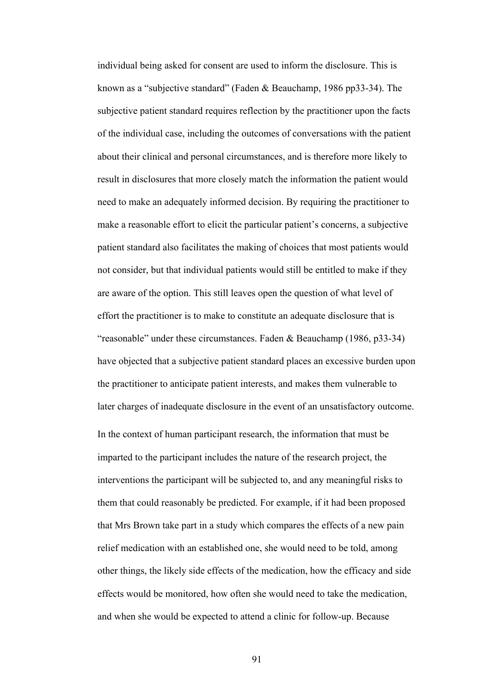individual being asked for consent are used to inform the disclosure. This is known as a "subjective standard" (Faden & Beauchamp, 1986 pp33-34). The subjective patient standard requires reflection by the practitioner upon the facts of the individual case, including the outcomes of conversations with the patient about their clinical and personal circumstances, and is therefore more likely to result in disclosures that more closely match the information the patient would need to make an adequately informed decision. By requiring the practitioner to make a reasonable effort to elicit the particular patient's concerns, a subjective patient standard also facilitates the making of choices that most patients would not consider, but that individual patients would still be entitled to make if they are aware of the option. This still leaves open the question of what level of effort the practitioner is to make to constitute an adequate disclosure that is "reasonable" under these circumstances. Faden & Beauchamp (1986, p33-34) have objected that a subjective patient standard places an excessive burden upon the practitioner to anticipate patient interests, and makes them vulnerable to later charges of inadequate disclosure in the event of an unsatisfactory outcome. In the context of human participant research, the information that must be imparted to the participant includes the nature of the research project, the interventions the participant will be subjected to, and any meaningful risks to them that could reasonably be predicted. For example, if it had been proposed that Mrs Brown take part in a study which compares the effects of a new pain relief medication with an established one, she would need to be told, among other things, the likely side effects of the medication, how the efficacy and side effects would be monitored, how often she would need to take the medication, and when she would be expected to attend a clinic for follow-up. Because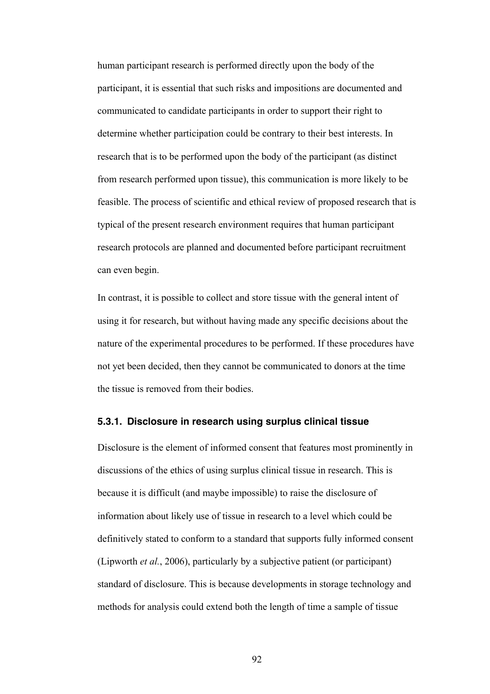human participant research is performed directly upon the body of the participant, it is essential that such risks and impositions are documented and communicated to candidate participants in order to support their right to determine whether participation could be contrary to their best interests. In research that is to be performed upon the body of the participant (as distinct from research performed upon tissue), this communication is more likely to be feasible. The process of scientific and ethical review of proposed research that is typical of the present research environment requires that human participant research protocols are planned and documented before participant recruitment can even begin.

In contrast, it is possible to collect and store tissue with the general intent of using it for research, but without having made any specific decisions about the nature of the experimental procedures to be performed. If these procedures have not yet been decided, then they cannot be communicated to donors at the time the tissue is removed from their bodies.

## **5.3.1. Disclosure in research using surplus clinical tissue**

Disclosure is the element of informed consent that features most prominently in discussions of the ethics of using surplus clinical tissue in research. This is because it is difficult (and maybe impossible) to raise the disclosure of information about likely use of tissue in research to a level which could be definitively stated to conform to a standard that supports fully informed consent (Lipworth *et al.*, 2006), particularly by a subjective patient (or participant) standard of disclosure. This is because developments in storage technology and methods for analysis could extend both the length of time a sample of tissue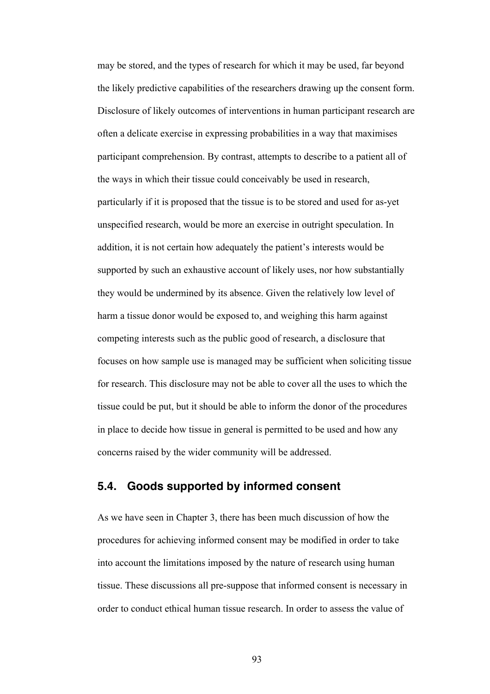may be stored, and the types of research for which it may be used, far beyond the likely predictive capabilities of the researchers drawing up the consent form. Disclosure of likely outcomes of interventions in human participant research are often a delicate exercise in expressing probabilities in a way that maximises participant comprehension. By contrast, attempts to describe to a patient all of the ways in which their tissue could conceivably be used in research, particularly if it is proposed that the tissue is to be stored and used for as-yet unspecified research, would be more an exercise in outright speculation. In addition, it is not certain how adequately the patient's interests would be supported by such an exhaustive account of likely uses, nor how substantially they would be undermined by its absence. Given the relatively low level of harm a tissue donor would be exposed to, and weighing this harm against competing interests such as the public good of research, a disclosure that focuses on how sample use is managed may be sufficient when soliciting tissue for research. This disclosure may not be able to cover all the uses to which the tissue could be put, but it should be able to inform the donor of the procedures in place to decide how tissue in general is permitted to be used and how any concerns raised by the wider community will be addressed.

# **5.4. Goods supported by informed consent**

As we have seen in Chapter 3, there has been much discussion of how the procedures for achieving informed consent may be modified in order to take into account the limitations imposed by the nature of research using human tissue. These discussions all pre-suppose that informed consent is necessary in order to conduct ethical human tissue research. In order to assess the value of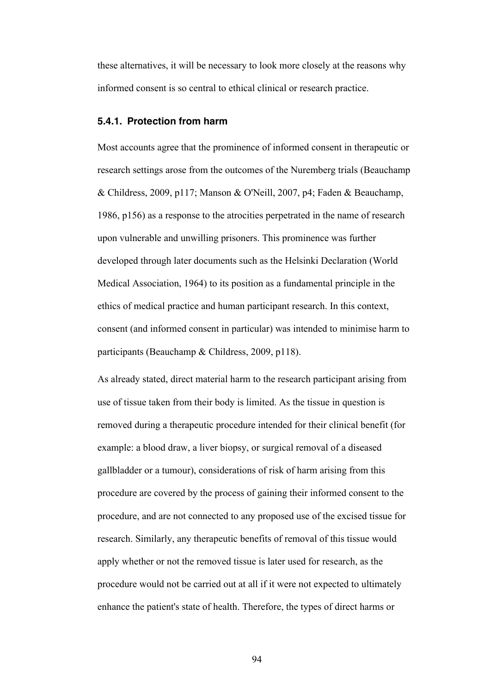these alternatives, it will be necessary to look more closely at the reasons why informed consent is so central to ethical clinical or research practice.

## **5.4.1. Protection from harm**

Most accounts agree that the prominence of informed consent in therapeutic or research settings arose from the outcomes of the Nuremberg trials (Beauchamp & Childress, 2009, p117; Manson & O'Neill, 2007, p4; Faden & Beauchamp, 1986, p156) as a response to the atrocities perpetrated in the name of research upon vulnerable and unwilling prisoners. This prominence was further developed through later documents such as the Helsinki Declaration (World Medical Association, 1964) to its position as a fundamental principle in the ethics of medical practice and human participant research. In this context, consent (and informed consent in particular) was intended to minimise harm to participants (Beauchamp & Childress, 2009, p118).

As already stated, direct material harm to the research participant arising from use of tissue taken from their body is limited. As the tissue in question is removed during a therapeutic procedure intended for their clinical benefit (for example: a blood draw, a liver biopsy, or surgical removal of a diseased gallbladder or a tumour), considerations of risk of harm arising from this procedure are covered by the process of gaining their informed consent to the procedure, and are not connected to any proposed use of the excised tissue for research. Similarly, any therapeutic benefits of removal of this tissue would apply whether or not the removed tissue is later used for research, as the procedure would not be carried out at all if it were not expected to ultimately enhance the patient's state of health. Therefore, the types of direct harms or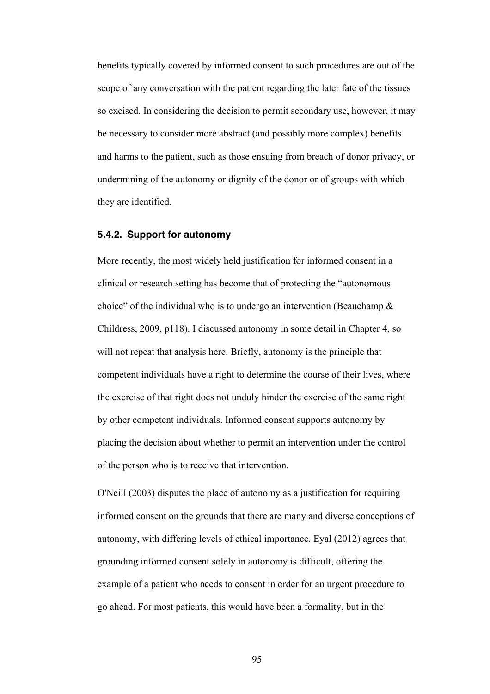benefits typically covered by informed consent to such procedures are out of the scope of any conversation with the patient regarding the later fate of the tissues so excised. In considering the decision to permit secondary use, however, it may be necessary to consider more abstract (and possibly more complex) benefits and harms to the patient, such as those ensuing from breach of donor privacy, or undermining of the autonomy or dignity of the donor or of groups with which they are identified.

## **5.4.2. Support for autonomy**

More recently, the most widely held justification for informed consent in a clinical or research setting has become that of protecting the "autonomous choice" of the individual who is to undergo an intervention (Beauchamp & Childress, 2009, p118). I discussed autonomy in some detail in Chapter 4, so will not repeat that analysis here. Briefly, autonomy is the principle that competent individuals have a right to determine the course of their lives, where the exercise of that right does not unduly hinder the exercise of the same right by other competent individuals. Informed consent supports autonomy by placing the decision about whether to permit an intervention under the control of the person who is to receive that intervention.

O'Neill (2003) disputes the place of autonomy as a justification for requiring informed consent on the grounds that there are many and diverse conceptions of autonomy, with differing levels of ethical importance. Eyal (2012) agrees that grounding informed consent solely in autonomy is difficult, offering the example of a patient who needs to consent in order for an urgent procedure to go ahead. For most patients, this would have been a formality, but in the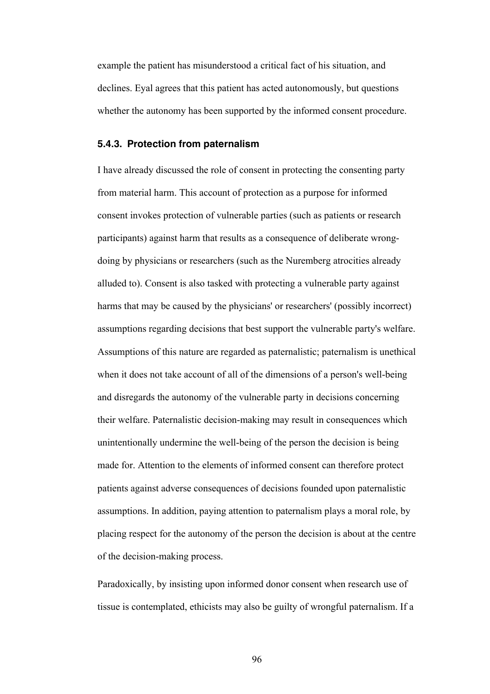example the patient has misunderstood a critical fact of his situation, and declines. Eyal agrees that this patient has acted autonomously, but questions whether the autonomy has been supported by the informed consent procedure.

#### **5.4.3. Protection from paternalism**

I have already discussed the role of consent in protecting the consenting party from material harm. This account of protection as a purpose for informed consent invokes protection of vulnerable parties (such as patients or research participants) against harm that results as a consequence of deliberate wrongdoing by physicians or researchers (such as the Nuremberg atrocities already alluded to). Consent is also tasked with protecting a vulnerable party against harms that may be caused by the physicians' or researchers' (possibly incorrect) assumptions regarding decisions that best support the vulnerable party's welfare. Assumptions of this nature are regarded as paternalistic; paternalism is unethical when it does not take account of all of the dimensions of a person's well-being and disregards the autonomy of the vulnerable party in decisions concerning their welfare. Paternalistic decision-making may result in consequences which unintentionally undermine the well-being of the person the decision is being made for. Attention to the elements of informed consent can therefore protect patients against adverse consequences of decisions founded upon paternalistic assumptions. In addition, paying attention to paternalism plays a moral role, by placing respect for the autonomy of the person the decision is about at the centre of the decision-making process.

Paradoxically, by insisting upon informed donor consent when research use of tissue is contemplated, ethicists may also be guilty of wrongful paternalism. If a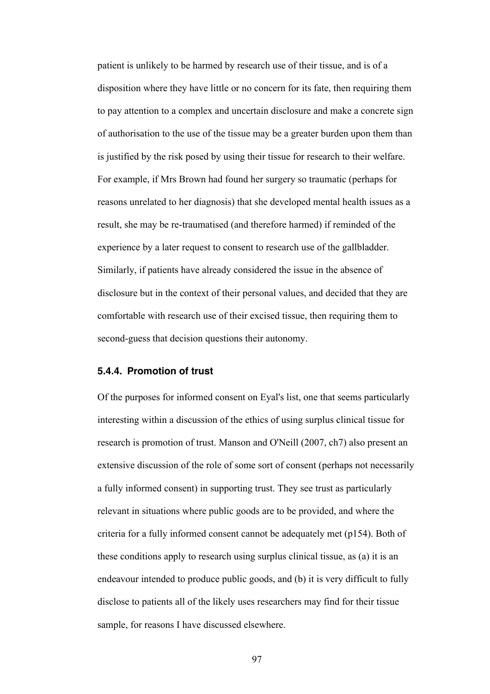patient is unlikely to be harmed by research use of their tissue, and is of a disposition where they have little or no concern for its fate, then requiring them to pay attention to a complex and uncertain disclosure and make a concrete sign of authorisation to the use of the tissue may be a greater burden upon them than is justified by the risk posed by using their tissue for research to their welfare. For example, if Mrs Brown had found her surgery so traumatic (perhaps for reasons unrelated to her diagnosis) that she developed mental health issues as a result, she may be re-traumatised (and therefore harmed) if reminded of the experience by a later request to consent to research use of the gallbladder. Similarly, if patients have already considered the issue in the absence of disclosure but in the context of their personal values, and decided that they are comfortable with research use of their excised tissue, then requiring them to second-guess that decision questions their autonomy.

## **5.4.4. Promotion of trust**

Of the purposes for informed consent on Eyal's list, one that seems particularly interesting within a discussion of the ethics of using surplus clinical tissue for research is promotion of trust. Manson and O'Neill (2007, ch7) also present an extensive discussion of the role of some sort of consent (perhaps not necessarily a fully informed consent) in supporting trust. They see trust as particularly relevant in situations where public goods are to be provided, and where the criteria for a fully informed consent cannot be adequately met (p154). Both of these conditions apply to research using surplus clinical tissue, as (a) it is an endeavour intended to produce public goods, and (b) it is very difficult to fully disclose to patients all of the likely uses researchers may find for their tissue sample, for reasons I have discussed elsewhere.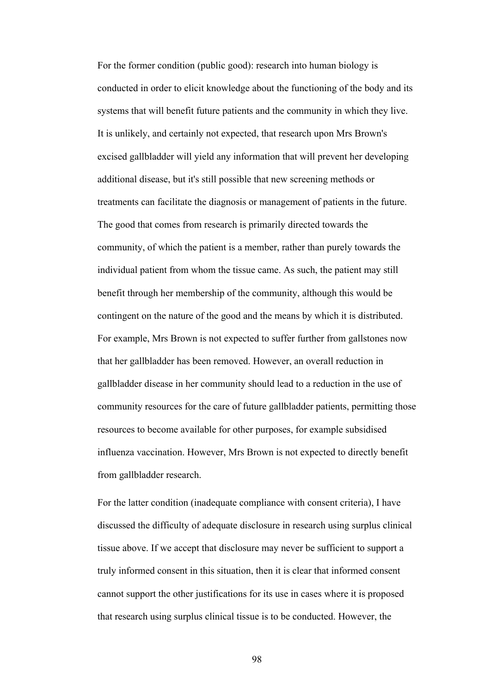For the former condition (public good): research into human biology is conducted in order to elicit knowledge about the functioning of the body and its systems that will benefit future patients and the community in which they live. It is unlikely, and certainly not expected, that research upon Mrs Brown's excised gallbladder will yield any information that will prevent her developing additional disease, but it's still possible that new screening methods or treatments can facilitate the diagnosis or management of patients in the future. The good that comes from research is primarily directed towards the community, of which the patient is a member, rather than purely towards the individual patient from whom the tissue came. As such, the patient may still benefit through her membership of the community, although this would be contingent on the nature of the good and the means by which it is distributed. For example, Mrs Brown is not expected to suffer further from gallstones now that her gallbladder has been removed. However, an overall reduction in gallbladder disease in her community should lead to a reduction in the use of community resources for the care of future gallbladder patients, permitting those resources to become available for other purposes, for example subsidised influenza vaccination. However, Mrs Brown is not expected to directly benefit from gallbladder research.

For the latter condition (inadequate compliance with consent criteria), I have discussed the difficulty of adequate disclosure in research using surplus clinical tissue above. If we accept that disclosure may never be sufficient to support a truly informed consent in this situation, then it is clear that informed consent cannot support the other justifications for its use in cases where it is proposed that research using surplus clinical tissue is to be conducted. However, the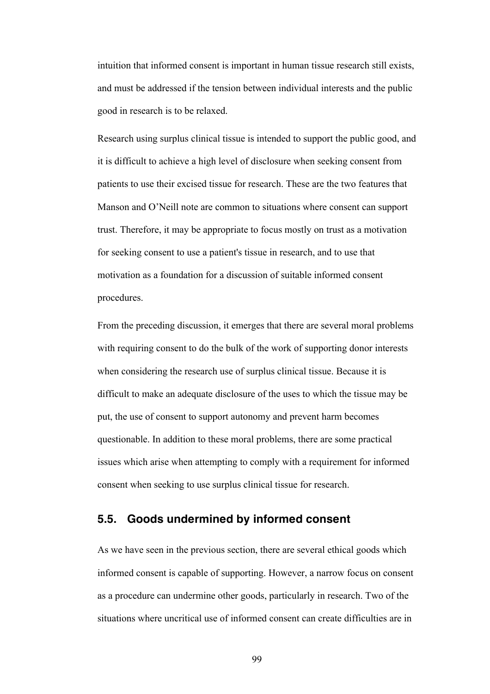intuition that informed consent is important in human tissue research still exists, and must be addressed if the tension between individual interests and the public good in research is to be relaxed.

Research using surplus clinical tissue is intended to support the public good, and it is difficult to achieve a high level of disclosure when seeking consent from patients to use their excised tissue for research. These are the two features that Manson and O'Neill note are common to situations where consent can support trust. Therefore, it may be appropriate to focus mostly on trust as a motivation for seeking consent to use a patient's tissue in research, and to use that motivation as a foundation for a discussion of suitable informed consent procedures.

From the preceding discussion, it emerges that there are several moral problems with requiring consent to do the bulk of the work of supporting donor interests when considering the research use of surplus clinical tissue. Because it is difficult to make an adequate disclosure of the uses to which the tissue may be put, the use of consent to support autonomy and prevent harm becomes questionable. In addition to these moral problems, there are some practical issues which arise when attempting to comply with a requirement for informed consent when seeking to use surplus clinical tissue for research.

# **5.5. Goods undermined by informed consent**

As we have seen in the previous section, there are several ethical goods which informed consent is capable of supporting. However, a narrow focus on consent as a procedure can undermine other goods, particularly in research. Two of the situations where uncritical use of informed consent can create difficulties are in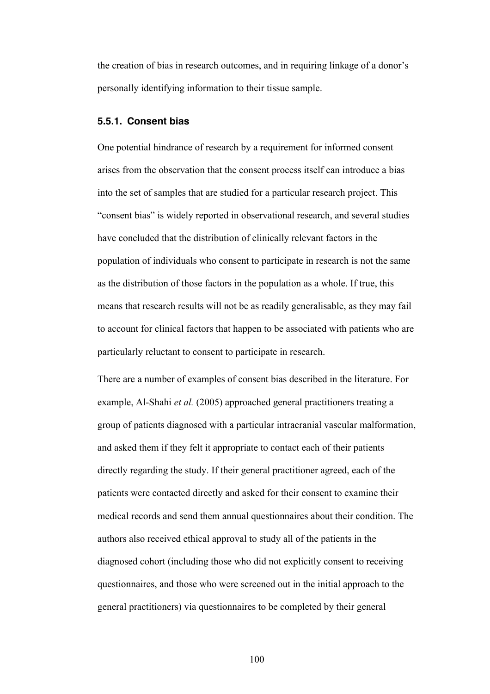the creation of bias in research outcomes, and in requiring linkage of a donor's personally identifying information to their tissue sample.

## **5.5.1. Consent bias**

One potential hindrance of research by a requirement for informed consent arises from the observation that the consent process itself can introduce a bias into the set of samples that are studied for a particular research project. This "consent bias" is widely reported in observational research, and several studies have concluded that the distribution of clinically relevant factors in the population of individuals who consent to participate in research is not the same as the distribution of those factors in the population as a whole. If true, this means that research results will not be as readily generalisable, as they may fail to account for clinical factors that happen to be associated with patients who are particularly reluctant to consent to participate in research.

There are a number of examples of consent bias described in the literature. For example, Al-Shahi *et al.* (2005) approached general practitioners treating a group of patients diagnosed with a particular intracranial vascular malformation, and asked them if they felt it appropriate to contact each of their patients directly regarding the study. If their general practitioner agreed, each of the patients were contacted directly and asked for their consent to examine their medical records and send them annual questionnaires about their condition. The authors also received ethical approval to study all of the patients in the diagnosed cohort (including those who did not explicitly consent to receiving questionnaires, and those who were screened out in the initial approach to the general practitioners) via questionnaires to be completed by their general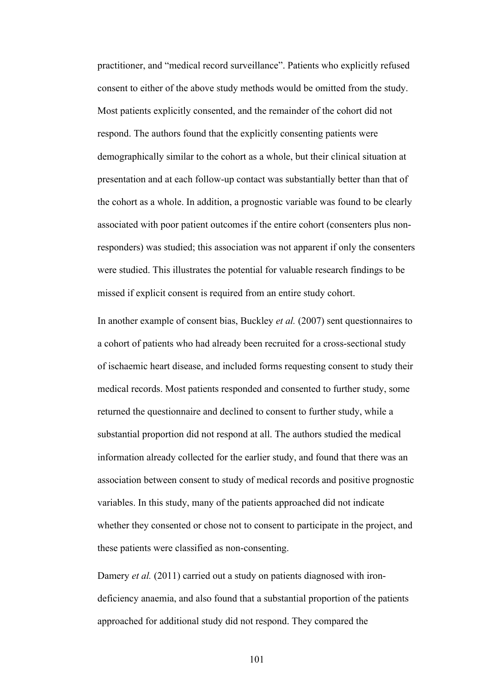practitioner, and "medical record surveillance". Patients who explicitly refused consent to either of the above study methods would be omitted from the study. Most patients explicitly consented, and the remainder of the cohort did not respond. The authors found that the explicitly consenting patients were demographically similar to the cohort as a whole, but their clinical situation at presentation and at each follow-up contact was substantially better than that of the cohort as a whole. In addition, a prognostic variable was found to be clearly associated with poor patient outcomes if the entire cohort (consenters plus nonresponders) was studied; this association was not apparent if only the consenters were studied. This illustrates the potential for valuable research findings to be missed if explicit consent is required from an entire study cohort.

In another example of consent bias, Buckley *et al.* (2007) sent questionnaires to a cohort of patients who had already been recruited for a cross-sectional study of ischaemic heart disease, and included forms requesting consent to study their medical records. Most patients responded and consented to further study, some returned the questionnaire and declined to consent to further study, while a substantial proportion did not respond at all. The authors studied the medical information already collected for the earlier study, and found that there was an association between consent to study of medical records and positive prognostic variables. In this study, many of the patients approached did not indicate whether they consented or chose not to consent to participate in the project, and these patients were classified as non-consenting.

Damery *et al.* (2011) carried out a study on patients diagnosed with irondeficiency anaemia, and also found that a substantial proportion of the patients approached for additional study did not respond. They compared the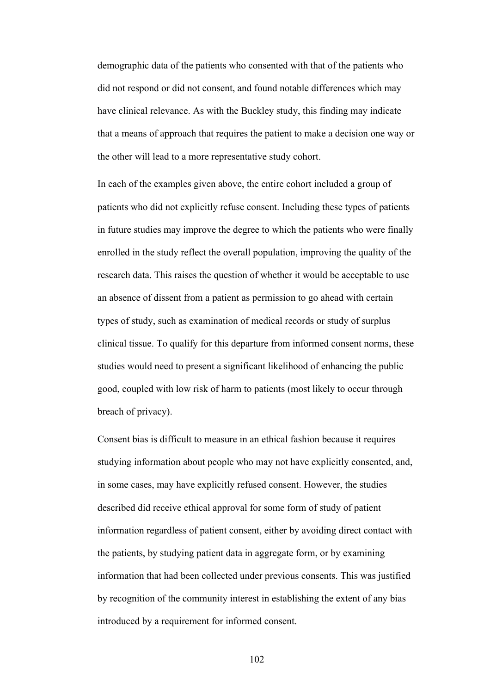demographic data of the patients who consented with that of the patients who did not respond or did not consent, and found notable differences which may have clinical relevance. As with the Buckley study, this finding may indicate that a means of approach that requires the patient to make a decision one way or the other will lead to a more representative study cohort.

In each of the examples given above, the entire cohort included a group of patients who did not explicitly refuse consent. Including these types of patients in future studies may improve the degree to which the patients who were finally enrolled in the study reflect the overall population, improving the quality of the research data. This raises the question of whether it would be acceptable to use an absence of dissent from a patient as permission to go ahead with certain types of study, such as examination of medical records or study of surplus clinical tissue. To qualify for this departure from informed consent norms, these studies would need to present a significant likelihood of enhancing the public good, coupled with low risk of harm to patients (most likely to occur through breach of privacy).

Consent bias is difficult to measure in an ethical fashion because it requires studying information about people who may not have explicitly consented, and, in some cases, may have explicitly refused consent. However, the studies described did receive ethical approval for some form of study of patient information regardless of patient consent, either by avoiding direct contact with the patients, by studying patient data in aggregate form, or by examining information that had been collected under previous consents. This was justified by recognition of the community interest in establishing the extent of any bias introduced by a requirement for informed consent.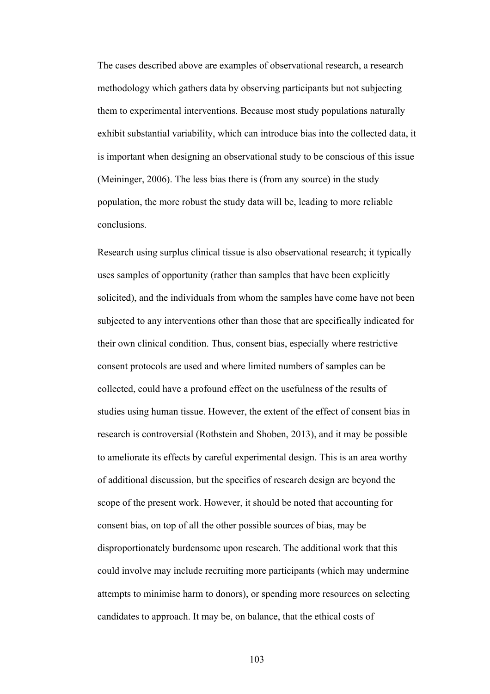The cases described above are examples of observational research, a research methodology which gathers data by observing participants but not subjecting them to experimental interventions. Because most study populations naturally exhibit substantial variability, which can introduce bias into the collected data, it is important when designing an observational study to be conscious of this issue (Meininger, 2006). The less bias there is (from any source) in the study population, the more robust the study data will be, leading to more reliable conclusions.

Research using surplus clinical tissue is also observational research; it typically uses samples of opportunity (rather than samples that have been explicitly solicited), and the individuals from whom the samples have come have not been subjected to any interventions other than those that are specifically indicated for their own clinical condition. Thus, consent bias, especially where restrictive consent protocols are used and where limited numbers of samples can be collected, could have a profound effect on the usefulness of the results of studies using human tissue. However, the extent of the effect of consent bias in research is controversial (Rothstein and Shoben, 2013), and it may be possible to ameliorate its effects by careful experimental design. This is an area worthy of additional discussion, but the specifics of research design are beyond the scope of the present work. However, it should be noted that accounting for consent bias, on top of all the other possible sources of bias, may be disproportionately burdensome upon research. The additional work that this could involve may include recruiting more participants (which may undermine attempts to minimise harm to donors), or spending more resources on selecting candidates to approach. It may be, on balance, that the ethical costs of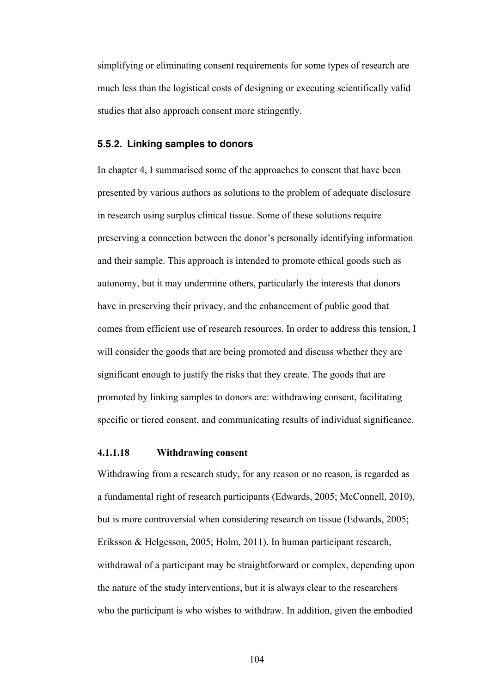simplifying or eliminating consent requirements for some types of research are much less than the logistical costs of designing or executing scientifically valid studies that also approach consent more stringently.

#### **5.5.2. Linking samples to donors**

In chapter 4, I summarised some of the approaches to consent that have been presented by various authors as solutions to the problem of adequate disclosure in research using surplus clinical tissue. Some of these solutions require preserving a connection between the donor's personally identifying information and their sample. This approach is intended to promote ethical goods such as autonomy, but it may undermine others, particularly the interests that donors have in preserving their privacy, and the enhancement of public good that comes from efficient use of research resources. In order to address this tension, I will consider the goods that are being promoted and discuss whether they are significant enough to justify the risks that they create. The goods that are promoted by linking samples to donors are: withdrawing consent, facilitating specific or tiered consent, and communicating results of individual significance.

### **4.1.1.18 Withdrawing consent**

Withdrawing from a research study, for any reason or no reason, is regarded as a fundamental right of research participants (Edwards, 2005; McConnell, 2010), but is more controversial when considering research on tissue (Edwards, 2005; Eriksson & Helgesson, 2005; Holm, 2011). In human participant research, withdrawal of a participant may be straightforward or complex, depending upon the nature of the study interventions, but it is always clear to the researchers who the participant is who wishes to withdraw. In addition, given the embodied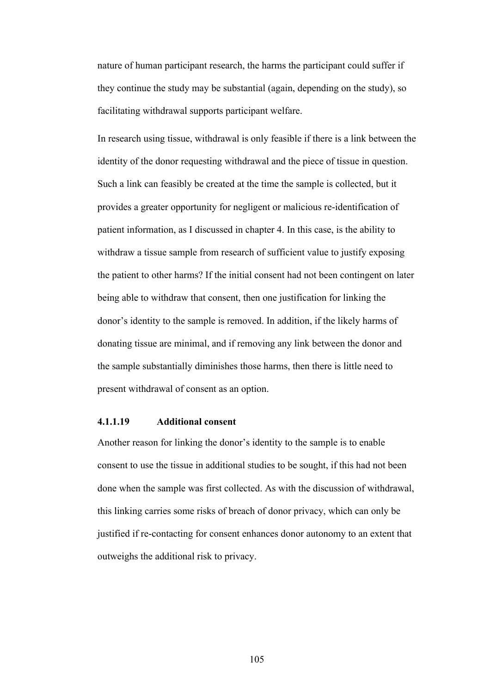nature of human participant research, the harms the participant could suffer if they continue the study may be substantial (again, depending on the study), so facilitating withdrawal supports participant welfare.

In research using tissue, withdrawal is only feasible if there is a link between the identity of the donor requesting withdrawal and the piece of tissue in question. Such a link can feasibly be created at the time the sample is collected, but it provides a greater opportunity for negligent or malicious re-identification of patient information, as I discussed in chapter 4. In this case, is the ability to withdraw a tissue sample from research of sufficient value to justify exposing the patient to other harms? If the initial consent had not been contingent on later being able to withdraw that consent, then one justification for linking the donor's identity to the sample is removed. In addition, if the likely harms of donating tissue are minimal, and if removing any link between the donor and the sample substantially diminishes those harms, then there is little need to present withdrawal of consent as an option.

### **4.1.1.19 Additional consent**

Another reason for linking the donor's identity to the sample is to enable consent to use the tissue in additional studies to be sought, if this had not been done when the sample was first collected. As with the discussion of withdrawal, this linking carries some risks of breach of donor privacy, which can only be justified if re-contacting for consent enhances donor autonomy to an extent that outweighs the additional risk to privacy.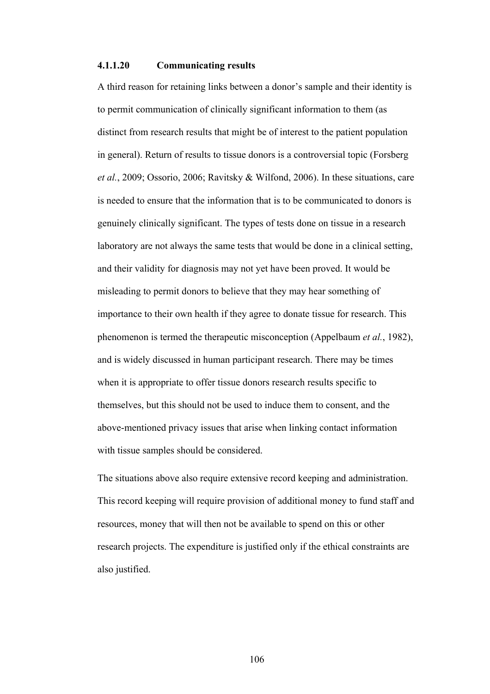#### **4.1.1.20 Communicating results**

A third reason for retaining links between a donor's sample and their identity is to permit communication of clinically significant information to them (as distinct from research results that might be of interest to the patient population in general). Return of results to tissue donors is a controversial topic (Forsberg *et al.*, 2009; Ossorio, 2006; Ravitsky & Wilfond, 2006). In these situations, care is needed to ensure that the information that is to be communicated to donors is genuinely clinically significant. The types of tests done on tissue in a research laboratory are not always the same tests that would be done in a clinical setting, and their validity for diagnosis may not yet have been proved. It would be misleading to permit donors to believe that they may hear something of importance to their own health if they agree to donate tissue for research. This phenomenon is termed the therapeutic misconception (Appelbaum *et al.*, 1982), and is widely discussed in human participant research. There may be times when it is appropriate to offer tissue donors research results specific to themselves, but this should not be used to induce them to consent, and the above-mentioned privacy issues that arise when linking contact information with tissue samples should be considered.

The situations above also require extensive record keeping and administration. This record keeping will require provision of additional money to fund staff and resources, money that will then not be available to spend on this or other research projects. The expenditure is justified only if the ethical constraints are also justified.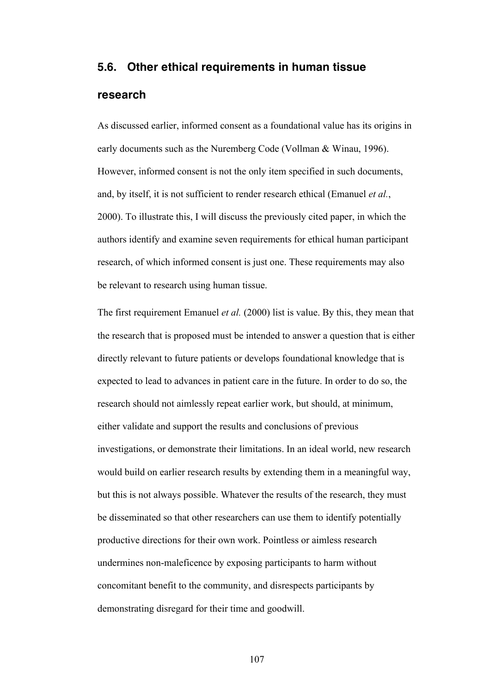# **5.6. Other ethical requirements in human tissue research**

As discussed earlier, informed consent as a foundational value has its origins in early documents such as the Nuremberg Code (Vollman & Winau, 1996). However, informed consent is not the only item specified in such documents, and, by itself, it is not sufficient to render research ethical (Emanuel *et al.*, 2000). To illustrate this, I will discuss the previously cited paper, in which the authors identify and examine seven requirements for ethical human participant research, of which informed consent is just one. These requirements may also be relevant to research using human tissue.

The first requirement Emanuel *et al.* (2000) list is value. By this, they mean that the research that is proposed must be intended to answer a question that is either directly relevant to future patients or develops foundational knowledge that is expected to lead to advances in patient care in the future. In order to do so, the research should not aimlessly repeat earlier work, but should, at minimum, either validate and support the results and conclusions of previous investigations, or demonstrate their limitations. In an ideal world, new research would build on earlier research results by extending them in a meaningful way, but this is not always possible. Whatever the results of the research, they must be disseminated so that other researchers can use them to identify potentially productive directions for their own work. Pointless or aimless research undermines non-maleficence by exposing participants to harm without concomitant benefit to the community, and disrespects participants by demonstrating disregard for their time and goodwill.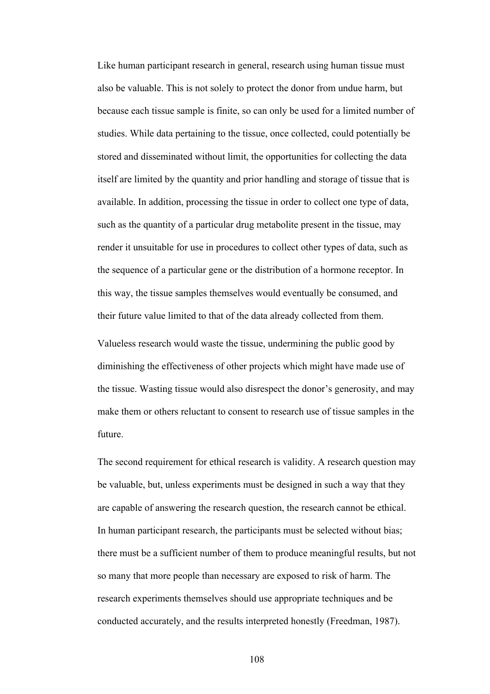Like human participant research in general, research using human tissue must also be valuable. This is not solely to protect the donor from undue harm, but because each tissue sample is finite, so can only be used for a limited number of studies. While data pertaining to the tissue, once collected, could potentially be stored and disseminated without limit, the opportunities for collecting the data itself are limited by the quantity and prior handling and storage of tissue that is available. In addition, processing the tissue in order to collect one type of data, such as the quantity of a particular drug metabolite present in the tissue, may render it unsuitable for use in procedures to collect other types of data, such as the sequence of a particular gene or the distribution of a hormone receptor. In this way, the tissue samples themselves would eventually be consumed, and their future value limited to that of the data already collected from them.

Valueless research would waste the tissue, undermining the public good by diminishing the effectiveness of other projects which might have made use of the tissue. Wasting tissue would also disrespect the donor's generosity, and may make them or others reluctant to consent to research use of tissue samples in the future.

The second requirement for ethical research is validity. A research question may be valuable, but, unless experiments must be designed in such a way that they are capable of answering the research question, the research cannot be ethical. In human participant research, the participants must be selected without bias; there must be a sufficient number of them to produce meaningful results, but not so many that more people than necessary are exposed to risk of harm. The research experiments themselves should use appropriate techniques and be conducted accurately, and the results interpreted honestly (Freedman, 1987).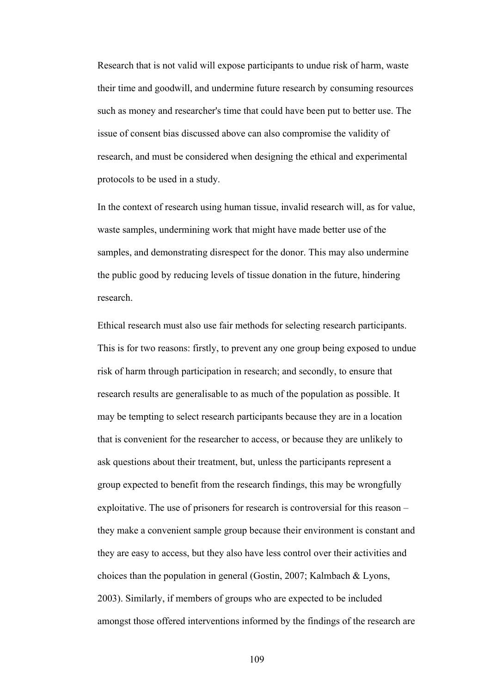Research that is not valid will expose participants to undue risk of harm, waste their time and goodwill, and undermine future research by consuming resources such as money and researcher's time that could have been put to better use. The issue of consent bias discussed above can also compromise the validity of research, and must be considered when designing the ethical and experimental protocols to be used in a study.

In the context of research using human tissue, invalid research will, as for value, waste samples, undermining work that might have made better use of the samples, and demonstrating disrespect for the donor. This may also undermine the public good by reducing levels of tissue donation in the future, hindering research.

Ethical research must also use fair methods for selecting research participants. This is for two reasons: firstly, to prevent any one group being exposed to undue risk of harm through participation in research; and secondly, to ensure that research results are generalisable to as much of the population as possible. It may be tempting to select research participants because they are in a location that is convenient for the researcher to access, or because they are unlikely to ask questions about their treatment, but, unless the participants represent a group expected to benefit from the research findings, this may be wrongfully exploitative. The use of prisoners for research is controversial for this reason – they make a convenient sample group because their environment is constant and they are easy to access, but they also have less control over their activities and choices than the population in general (Gostin, 2007; Kalmbach & Lyons, 2003). Similarly, if members of groups who are expected to be included amongst those offered interventions informed by the findings of the research are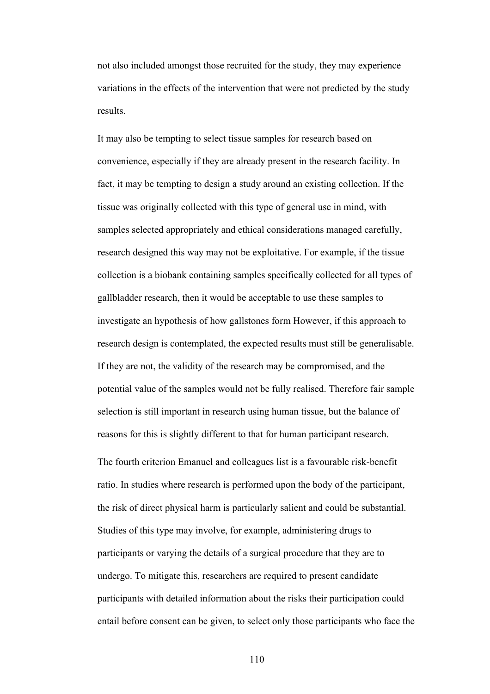not also included amongst those recruited for the study, they may experience variations in the effects of the intervention that were not predicted by the study results.

It may also be tempting to select tissue samples for research based on convenience, especially if they are already present in the research facility. In fact, it may be tempting to design a study around an existing collection. If the tissue was originally collected with this type of general use in mind, with samples selected appropriately and ethical considerations managed carefully, research designed this way may not be exploitative. For example, if the tissue collection is a biobank containing samples specifically collected for all types of gallbladder research, then it would be acceptable to use these samples to investigate an hypothesis of how gallstones form However, if this approach to research design is contemplated, the expected results must still be generalisable. If they are not, the validity of the research may be compromised, and the potential value of the samples would not be fully realised. Therefore fair sample selection is still important in research using human tissue, but the balance of reasons for this is slightly different to that for human participant research.

The fourth criterion Emanuel and colleagues list is a favourable risk-benefit ratio. In studies where research is performed upon the body of the participant, the risk of direct physical harm is particularly salient and could be substantial. Studies of this type may involve, for example, administering drugs to participants or varying the details of a surgical procedure that they are to undergo. To mitigate this, researchers are required to present candidate participants with detailed information about the risks their participation could entail before consent can be given, to select only those participants who face the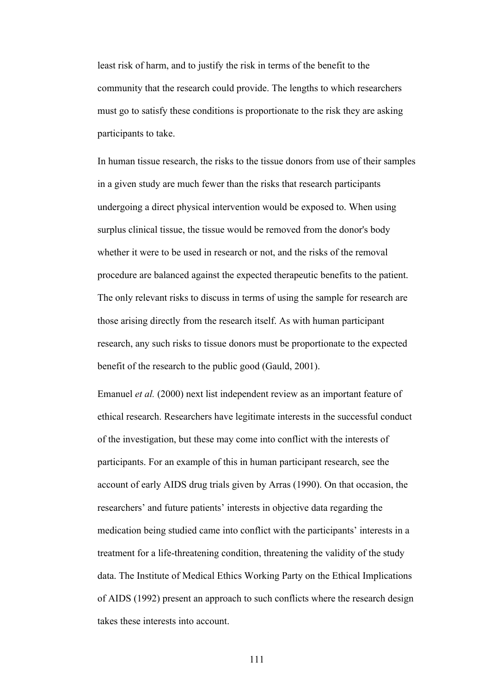least risk of harm, and to justify the risk in terms of the benefit to the community that the research could provide. The lengths to which researchers must go to satisfy these conditions is proportionate to the risk they are asking participants to take.

In human tissue research, the risks to the tissue donors from use of their samples in a given study are much fewer than the risks that research participants undergoing a direct physical intervention would be exposed to. When using surplus clinical tissue, the tissue would be removed from the donor's body whether it were to be used in research or not, and the risks of the removal procedure are balanced against the expected therapeutic benefits to the patient. The only relevant risks to discuss in terms of using the sample for research are those arising directly from the research itself. As with human participant research, any such risks to tissue donors must be proportionate to the expected benefit of the research to the public good (Gauld, 2001).

Emanuel *et al.* (2000) next list independent review as an important feature of ethical research. Researchers have legitimate interests in the successful conduct of the investigation, but these may come into conflict with the interests of participants. For an example of this in human participant research, see the account of early AIDS drug trials given by Arras (1990). On that occasion, the researchers' and future patients' interests in objective data regarding the medication being studied came into conflict with the participants' interests in a treatment for a life-threatening condition, threatening the validity of the study data. The Institute of Medical Ethics Working Party on the Ethical Implications of AIDS (1992) present an approach to such conflicts where the research design takes these interests into account.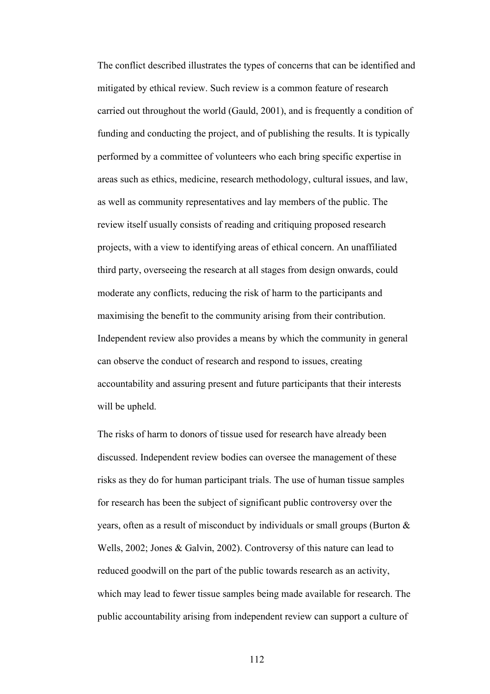The conflict described illustrates the types of concerns that can be identified and mitigated by ethical review. Such review is a common feature of research carried out throughout the world (Gauld, 2001), and is frequently a condition of funding and conducting the project, and of publishing the results. It is typically performed by a committee of volunteers who each bring specific expertise in areas such as ethics, medicine, research methodology, cultural issues, and law, as well as community representatives and lay members of the public. The review itself usually consists of reading and critiquing proposed research projects, with a view to identifying areas of ethical concern. An unaffiliated third party, overseeing the research at all stages from design onwards, could moderate any conflicts, reducing the risk of harm to the participants and maximising the benefit to the community arising from their contribution. Independent review also provides a means by which the community in general can observe the conduct of research and respond to issues, creating accountability and assuring present and future participants that their interests will be upheld.

The risks of harm to donors of tissue used for research have already been discussed. Independent review bodies can oversee the management of these risks as they do for human participant trials. The use of human tissue samples for research has been the subject of significant public controversy over the years, often as a result of misconduct by individuals or small groups (Burton & Wells, 2002; Jones & Galvin, 2002). Controversy of this nature can lead to reduced goodwill on the part of the public towards research as an activity, which may lead to fewer tissue samples being made available for research. The public accountability arising from independent review can support a culture of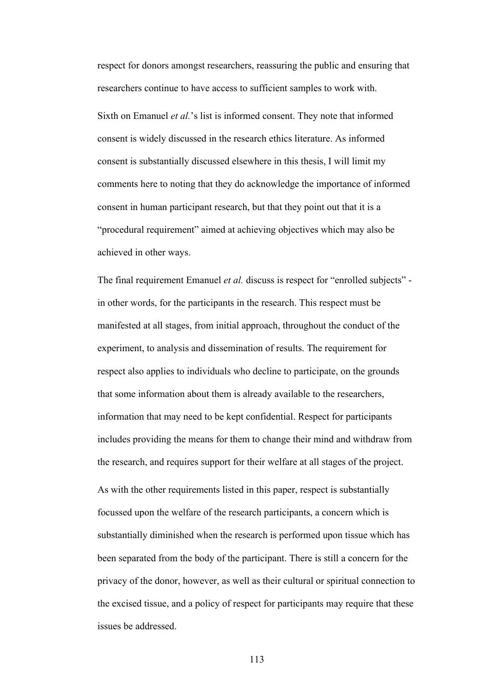respect for donors amongst researchers, reassuring the public and ensuring that researchers continue to have access to sufficient samples to work with.

Sixth on Emanuel *et al.*'s list is informed consent. They note that informed consent is widely discussed in the research ethics literature. As informed consent is substantially discussed elsewhere in this thesis, I will limit my comments here to noting that they do acknowledge the importance of informed consent in human participant research, but that they point out that it is a "procedural requirement" aimed at achieving objectives which may also be achieved in other ways.

The final requirement Emanuel *et al.* discuss is respect for "enrolled subjects" in other words, for the participants in the research. This respect must be manifested at all stages, from initial approach, throughout the conduct of the experiment, to analysis and dissemination of results. The requirement for respect also applies to individuals who decline to participate, on the grounds that some information about them is already available to the researchers, information that may need to be kept confidential. Respect for participants includes providing the means for them to change their mind and withdraw from the research, and requires support for their welfare at all stages of the project.

As with the other requirements listed in this paper, respect is substantially focussed upon the welfare of the research participants, a concern which is substantially diminished when the research is performed upon tissue which has been separated from the body of the participant. There is still a concern for the privacy of the donor, however, as well as their cultural or spiritual connection to the excised tissue, and a policy of respect for participants may require that these issues be addressed.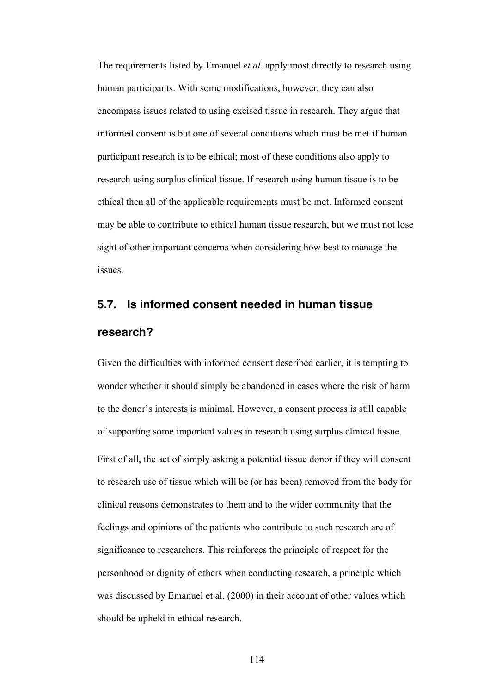The requirements listed by Emanuel *et al.* apply most directly to research using human participants. With some modifications, however, they can also encompass issues related to using excised tissue in research. They argue that informed consent is but one of several conditions which must be met if human participant research is to be ethical; most of these conditions also apply to research using surplus clinical tissue. If research using human tissue is to be ethical then all of the applicable requirements must be met. Informed consent may be able to contribute to ethical human tissue research, but we must not lose sight of other important concerns when considering how best to manage the issues.

# **5.7. Is informed consent needed in human tissue research?**

Given the difficulties with informed consent described earlier, it is tempting to wonder whether it should simply be abandoned in cases where the risk of harm to the donor's interests is minimal. However, a consent process is still capable of supporting some important values in research using surplus clinical tissue. First of all, the act of simply asking a potential tissue donor if they will consent to research use of tissue which will be (or has been) removed from the body for clinical reasons demonstrates to them and to the wider community that the feelings and opinions of the patients who contribute to such research are of significance to researchers. This reinforces the principle of respect for the personhood or dignity of others when conducting research, a principle which was discussed by Emanuel et al. (2000) in their account of other values which should be upheld in ethical research.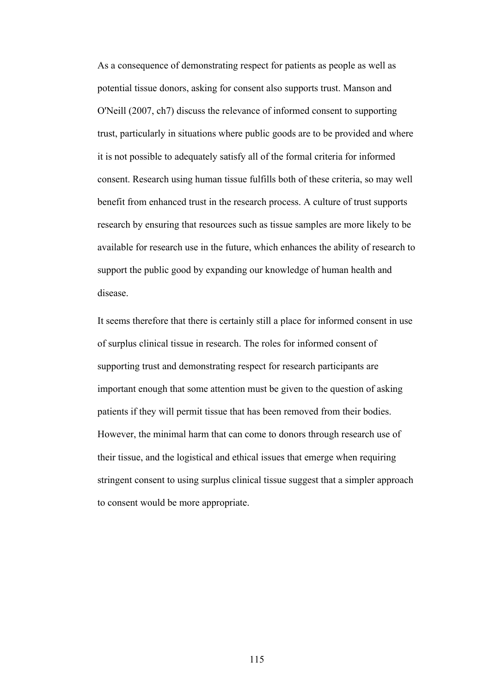As a consequence of demonstrating respect for patients as people as well as potential tissue donors, asking for consent also supports trust. Manson and O'Neill (2007, ch7) discuss the relevance of informed consent to supporting trust, particularly in situations where public goods are to be provided and where it is not possible to adequately satisfy all of the formal criteria for informed consent. Research using human tissue fulfills both of these criteria, so may well benefit from enhanced trust in the research process. A culture of trust supports research by ensuring that resources such as tissue samples are more likely to be available for research use in the future, which enhances the ability of research to support the public good by expanding our knowledge of human health and disease.

It seems therefore that there is certainly still a place for informed consent in use of surplus clinical tissue in research. The roles for informed consent of supporting trust and demonstrating respect for research participants are important enough that some attention must be given to the question of asking patients if they will permit tissue that has been removed from their bodies. However, the minimal harm that can come to donors through research use of their tissue, and the logistical and ethical issues that emerge when requiring stringent consent to using surplus clinical tissue suggest that a simpler approach to consent would be more appropriate.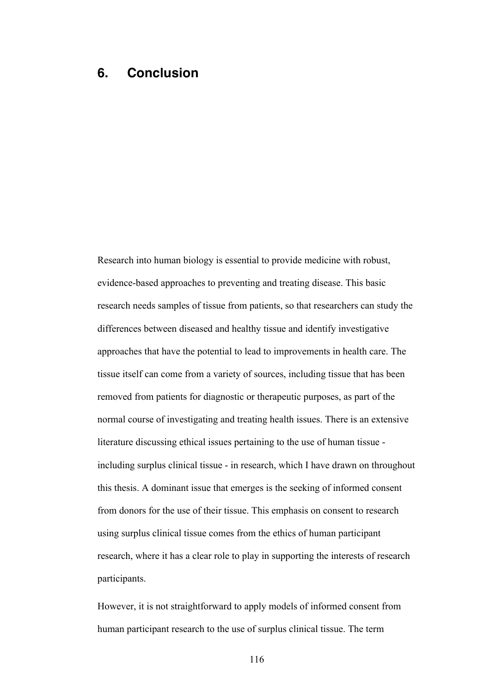## **6. Conclusion**

Research into human biology is essential to provide medicine with robust, evidence-based approaches to preventing and treating disease. This basic research needs samples of tissue from patients, so that researchers can study the differences between diseased and healthy tissue and identify investigative approaches that have the potential to lead to improvements in health care. The tissue itself can come from a variety of sources, including tissue that has been removed from patients for diagnostic or therapeutic purposes, as part of the normal course of investigating and treating health issues. There is an extensive literature discussing ethical issues pertaining to the use of human tissue including surplus clinical tissue - in research, which I have drawn on throughout this thesis. A dominant issue that emerges is the seeking of informed consent from donors for the use of their tissue. This emphasis on consent to research using surplus clinical tissue comes from the ethics of human participant research, where it has a clear role to play in supporting the interests of research participants.

However, it is not straightforward to apply models of informed consent from human participant research to the use of surplus clinical tissue. The term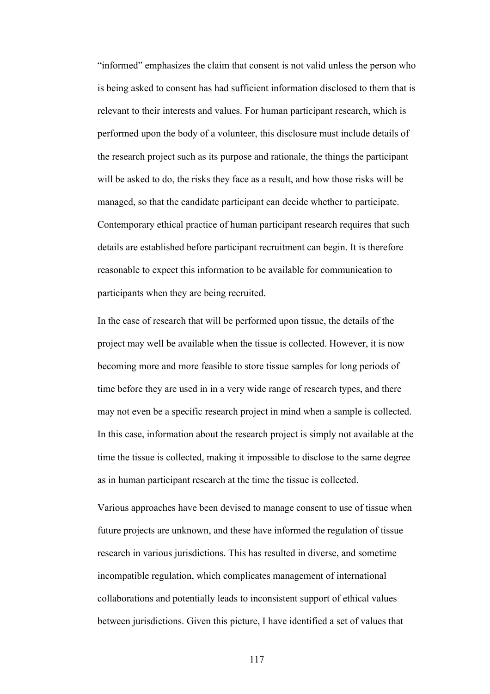"informed" emphasizes the claim that consent is not valid unless the person who is being asked to consent has had sufficient information disclosed to them that is relevant to their interests and values. For human participant research, which is performed upon the body of a volunteer, this disclosure must include details of the research project such as its purpose and rationale, the things the participant will be asked to do, the risks they face as a result, and how those risks will be managed, so that the candidate participant can decide whether to participate. Contemporary ethical practice of human participant research requires that such details are established before participant recruitment can begin. It is therefore reasonable to expect this information to be available for communication to participants when they are being recruited.

In the case of research that will be performed upon tissue, the details of the project may well be available when the tissue is collected. However, it is now becoming more and more feasible to store tissue samples for long periods of time before they are used in in a very wide range of research types, and there may not even be a specific research project in mind when a sample is collected. In this case, information about the research project is simply not available at the time the tissue is collected, making it impossible to disclose to the same degree as in human participant research at the time the tissue is collected.

Various approaches have been devised to manage consent to use of tissue when future projects are unknown, and these have informed the regulation of tissue research in various jurisdictions. This has resulted in diverse, and sometime incompatible regulation, which complicates management of international collaborations and potentially leads to inconsistent support of ethical values between jurisdictions. Given this picture, I have identified a set of values that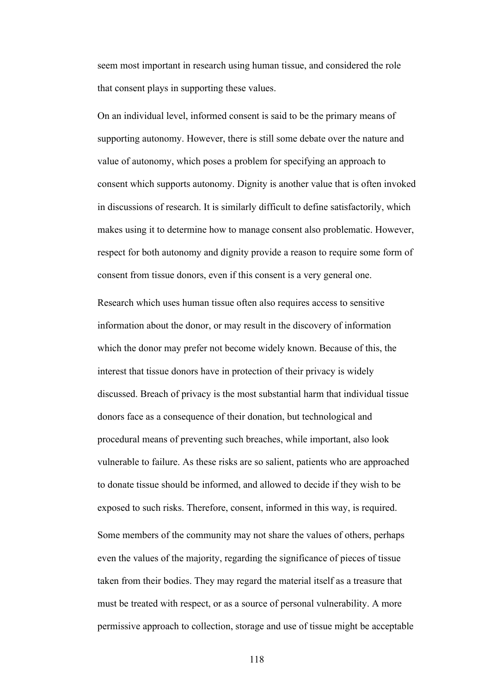seem most important in research using human tissue, and considered the role that consent plays in supporting these values.

On an individual level, informed consent is said to be the primary means of supporting autonomy. However, there is still some debate over the nature and value of autonomy, which poses a problem for specifying an approach to consent which supports autonomy. Dignity is another value that is often invoked in discussions of research. It is similarly difficult to define satisfactorily, which makes using it to determine how to manage consent also problematic. However, respect for both autonomy and dignity provide a reason to require some form of consent from tissue donors, even if this consent is a very general one.

Research which uses human tissue often also requires access to sensitive information about the donor, or may result in the discovery of information which the donor may prefer not become widely known. Because of this, the interest that tissue donors have in protection of their privacy is widely discussed. Breach of privacy is the most substantial harm that individual tissue donors face as a consequence of their donation, but technological and procedural means of preventing such breaches, while important, also look vulnerable to failure. As these risks are so salient, patients who are approached to donate tissue should be informed, and allowed to decide if they wish to be exposed to such risks. Therefore, consent, informed in this way, is required. Some members of the community may not share the values of others, perhaps even the values of the majority, regarding the significance of pieces of tissue taken from their bodies. They may regard the material itself as a treasure that must be treated with respect, or as a source of personal vulnerability. A more permissive approach to collection, storage and use of tissue might be acceptable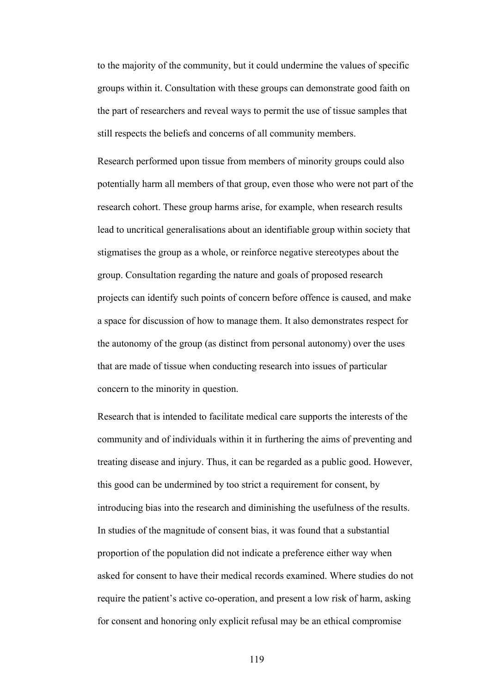to the majority of the community, but it could undermine the values of specific groups within it. Consultation with these groups can demonstrate good faith on the part of researchers and reveal ways to permit the use of tissue samples that still respects the beliefs and concerns of all community members.

Research performed upon tissue from members of minority groups could also potentially harm all members of that group, even those who were not part of the research cohort. These group harms arise, for example, when research results lead to uncritical generalisations about an identifiable group within society that stigmatises the group as a whole, or reinforce negative stereotypes about the group. Consultation regarding the nature and goals of proposed research projects can identify such points of concern before offence is caused, and make a space for discussion of how to manage them. It also demonstrates respect for the autonomy of the group (as distinct from personal autonomy) over the uses that are made of tissue when conducting research into issues of particular concern to the minority in question.

Research that is intended to facilitate medical care supports the interests of the community and of individuals within it in furthering the aims of preventing and treating disease and injury. Thus, it can be regarded as a public good. However, this good can be undermined by too strict a requirement for consent, by introducing bias into the research and diminishing the usefulness of the results. In studies of the magnitude of consent bias, it was found that a substantial proportion of the population did not indicate a preference either way when asked for consent to have their medical records examined. Where studies do not require the patient's active co-operation, and present a low risk of harm, asking for consent and honoring only explicit refusal may be an ethical compromise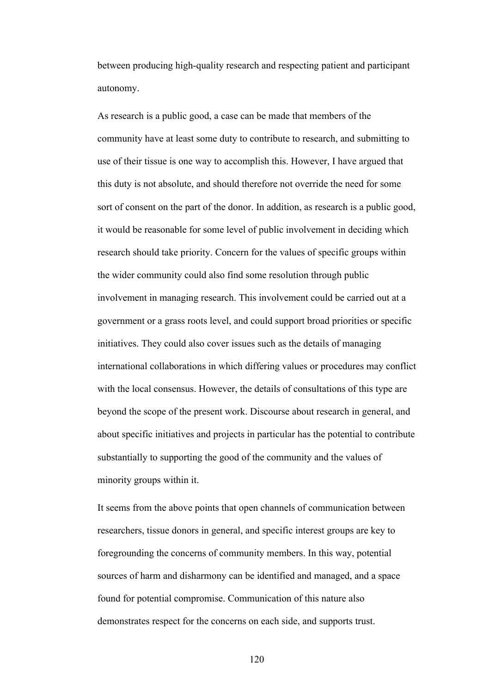between producing high-quality research and respecting patient and participant autonomy.

As research is a public good, a case can be made that members of the community have at least some duty to contribute to research, and submitting to use of their tissue is one way to accomplish this. However, I have argued that this duty is not absolute, and should therefore not override the need for some sort of consent on the part of the donor. In addition, as research is a public good, it would be reasonable for some level of public involvement in deciding which research should take priority. Concern for the values of specific groups within the wider community could also find some resolution through public involvement in managing research. This involvement could be carried out at a government or a grass roots level, and could support broad priorities or specific initiatives. They could also cover issues such as the details of managing international collaborations in which differing values or procedures may conflict with the local consensus. However, the details of consultations of this type are beyond the scope of the present work. Discourse about research in general, and about specific initiatives and projects in particular has the potential to contribute substantially to supporting the good of the community and the values of minority groups within it.

It seems from the above points that open channels of communication between researchers, tissue donors in general, and specific interest groups are key to foregrounding the concerns of community members. In this way, potential sources of harm and disharmony can be identified and managed, and a space found for potential compromise. Communication of this nature also demonstrates respect for the concerns on each side, and supports trust.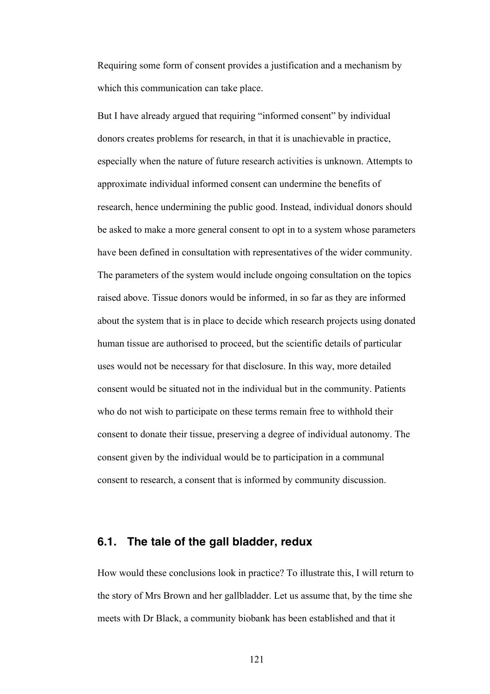Requiring some form of consent provides a justification and a mechanism by which this communication can take place.

But I have already argued that requiring "informed consent" by individual donors creates problems for research, in that it is unachievable in practice, especially when the nature of future research activities is unknown. Attempts to approximate individual informed consent can undermine the benefits of research, hence undermining the public good. Instead, individual donors should be asked to make a more general consent to opt in to a system whose parameters have been defined in consultation with representatives of the wider community. The parameters of the system would include ongoing consultation on the topics raised above. Tissue donors would be informed, in so far as they are informed about the system that is in place to decide which research projects using donated human tissue are authorised to proceed, but the scientific details of particular uses would not be necessary for that disclosure. In this way, more detailed consent would be situated not in the individual but in the community. Patients who do not wish to participate on these terms remain free to withhold their consent to donate their tissue, preserving a degree of individual autonomy. The consent given by the individual would be to participation in a communal consent to research, a consent that is informed by community discussion.

### **6.1. The tale of the gall bladder, redux**

How would these conclusions look in practice? To illustrate this, I will return to the story of Mrs Brown and her gallbladder. Let us assume that, by the time she meets with Dr Black, a community biobank has been established and that it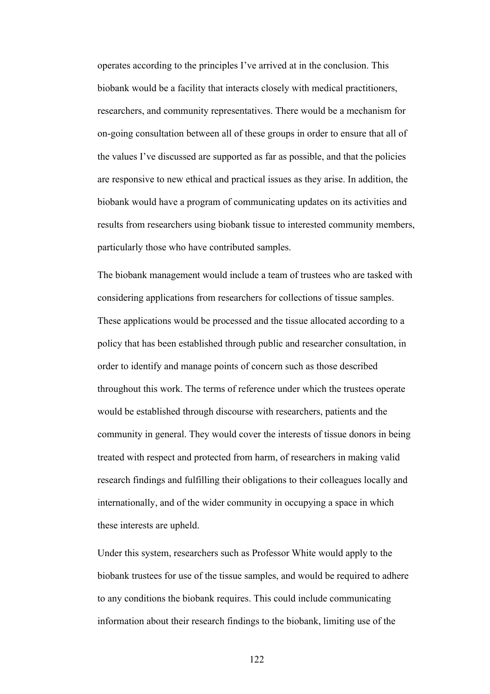operates according to the principles I've arrived at in the conclusion. This biobank would be a facility that interacts closely with medical practitioners, researchers, and community representatives. There would be a mechanism for on-going consultation between all of these groups in order to ensure that all of the values I've discussed are supported as far as possible, and that the policies are responsive to new ethical and practical issues as they arise. In addition, the biobank would have a program of communicating updates on its activities and results from researchers using biobank tissue to interested community members, particularly those who have contributed samples.

The biobank management would include a team of trustees who are tasked with considering applications from researchers for collections of tissue samples. These applications would be processed and the tissue allocated according to a policy that has been established through public and researcher consultation, in order to identify and manage points of concern such as those described throughout this work. The terms of reference under which the trustees operate would be established through discourse with researchers, patients and the community in general. They would cover the interests of tissue donors in being treated with respect and protected from harm, of researchers in making valid research findings and fulfilling their obligations to their colleagues locally and internationally, and of the wider community in occupying a space in which these interests are upheld.

Under this system, researchers such as Professor White would apply to the biobank trustees for use of the tissue samples, and would be required to adhere to any conditions the biobank requires. This could include communicating information about their research findings to the biobank, limiting use of the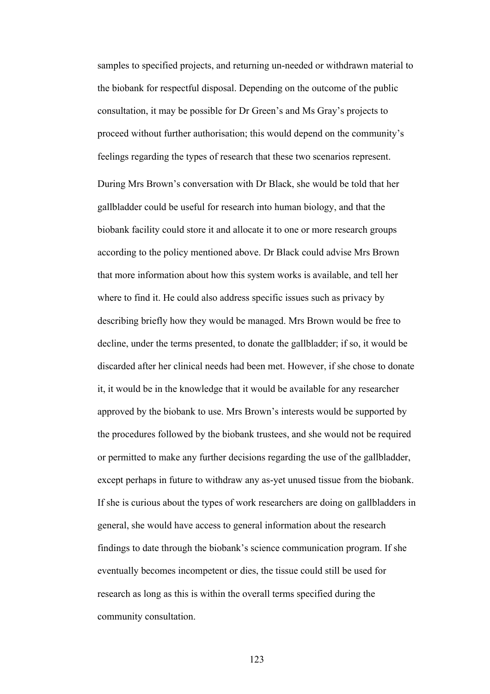samples to specified projects, and returning un-needed or withdrawn material to the biobank for respectful disposal. Depending on the outcome of the public consultation, it may be possible for Dr Green's and Ms Gray's projects to proceed without further authorisation; this would depend on the community's feelings regarding the types of research that these two scenarios represent. During Mrs Brown's conversation with Dr Black, she would be told that her gallbladder could be useful for research into human biology, and that the biobank facility could store it and allocate it to one or more research groups according to the policy mentioned above. Dr Black could advise Mrs Brown that more information about how this system works is available, and tell her where to find it. He could also address specific issues such as privacy by describing briefly how they would be managed. Mrs Brown would be free to decline, under the terms presented, to donate the gallbladder; if so, it would be discarded after her clinical needs had been met. However, if she chose to donate it, it would be in the knowledge that it would be available for any researcher approved by the biobank to use. Mrs Brown's interests would be supported by the procedures followed by the biobank trustees, and she would not be required or permitted to make any further decisions regarding the use of the gallbladder, except perhaps in future to withdraw any as-yet unused tissue from the biobank. If she is curious about the types of work researchers are doing on gallbladders in general, she would have access to general information about the research findings to date through the biobank's science communication program. If she eventually becomes incompetent or dies, the tissue could still be used for research as long as this is within the overall terms specified during the community consultation.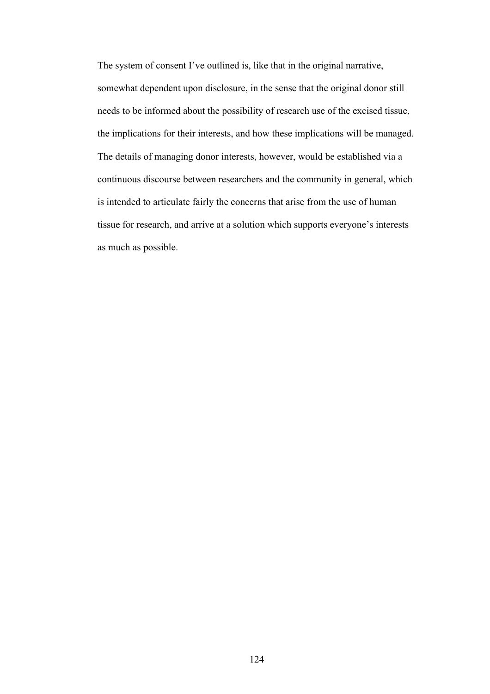The system of consent I've outlined is, like that in the original narrative, somewhat dependent upon disclosure, in the sense that the original donor still needs to be informed about the possibility of research use of the excised tissue, the implications for their interests, and how these implications will be managed. The details of managing donor interests, however, would be established via a continuous discourse between researchers and the community in general, which is intended to articulate fairly the concerns that arise from the use of human tissue for research, and arrive at a solution which supports everyone's interests as much as possible.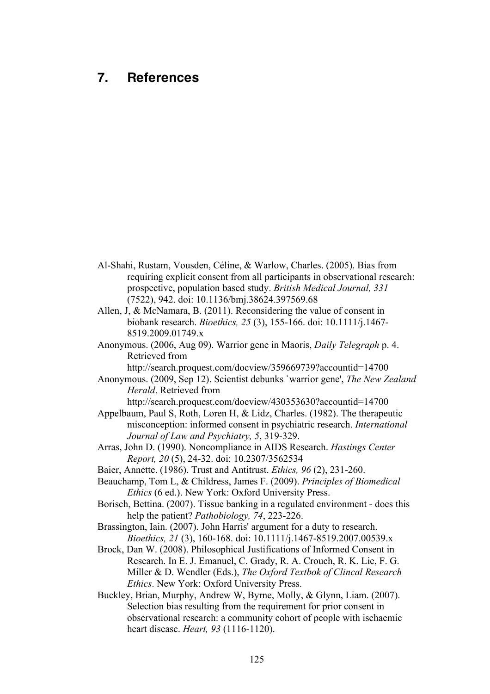## **7. References**

- Al-Shahi, Rustam, Vousden, Céline, & Warlow, Charles. (2005). Bias from requiring explicit consent from all participants in observational research: prospective, population based study. *British Medical Journal, 331* (7522), 942. doi: 10.1136/bmj.38624.397569.68
- Allen, J, & McNamara, B. (2011). Reconsidering the value of consent in biobank research. *Bioethics, 25* (3), 155-166. doi: 10.1111/j.1467- 8519.2009.01749.x
- Anonymous. (2006, Aug 09). Warrior gene in Maoris, *Daily Telegraph* p. 4. Retrieved from

http://search.proquest.com/docview/359669739?accountid=14700

Anonymous. (2009, Sep 12). Scientist debunks `warrior gene', *The New Zealand Herald*. Retrieved from

http://search.proquest.com/docview/430353630?accountid=14700

- Appelbaum, Paul S, Roth, Loren H, & Lidz, Charles. (1982). The therapeutic misconception: informed consent in psychiatric research. *International Journal of Law and Psychiatry, 5*, 319-329.
- Arras, John D. (1990). Noncompliance in AIDS Research. *Hastings Center Report, 20* (5), 24-32. doi: 10.2307/3562534
- Baier, Annette. (1986). Trust and Antitrust. *Ethics, 96* (2), 231-260.

Beauchamp, Tom L, & Childress, James F. (2009). *Principles of Biomedical Ethics* (6 ed.). New York: Oxford University Press.

Borisch, Bettina. (2007). Tissue banking in a regulated environment - does this help the patient? *Pathobiology, 74*, 223-226.

Brassington, Iain. (2007). John Harris' argument for a duty to research. *Bioethics, 21* (3), 160-168. doi: 10.1111/j.1467-8519.2007.00539.x

Brock, Dan W. (2008). Philosophical Justifications of Informed Consent in Research. In E. J. Emanuel, C. Grady, R. A. Crouch, R. K. Lie, F. G. Miller & D. Wendler (Eds.), *The Oxford Textbok of Clincal Research Ethics*. New York: Oxford University Press.

Buckley, Brian, Murphy, Andrew W, Byrne, Molly, & Glynn, Liam. (2007). Selection bias resulting from the requirement for prior consent in observational research: a community cohort of people with ischaemic heart disease. *Heart, 93* (1116-1120).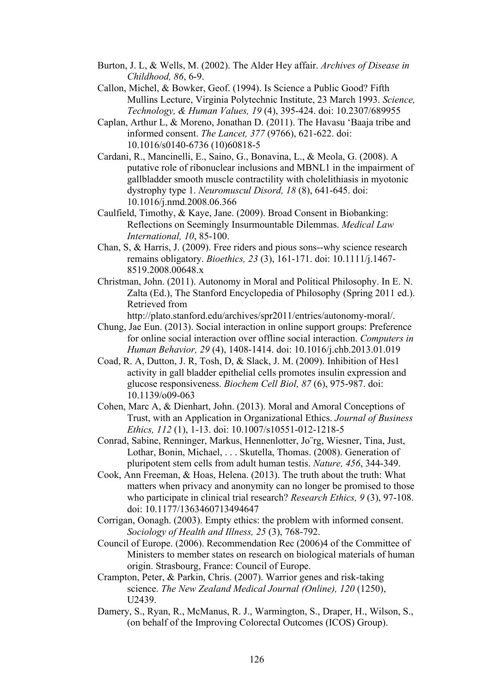- Burton, J. L, & Wells, M. (2002). The Alder Hey affair. *Archives of Disease in Childhood, 86*, 6-9.
- Callon, Michel, & Bowker, Geof. (1994). Is Science a Public Good? Fifth Mullins Lecture, Virginia Polytechnic Institute, 23 March 1993. *Science, Technology, & Human Values, 19* (4), 395-424. doi: 10.2307/689955
- Caplan, Arthur L, & Moreno, Jonathan D. (2011). The Havasu 'Baaja tribe and informed consent. *The Lancet, 377* (9766), 621-622. doi: 10.1016/s0140-6736 (10)60818-5
- Cardani, R., Mancinelli, E., Saino, G., Bonavina, L., & Meola, G. (2008). A putative role of ribonuclear inclusions and MBNL1 in the impairment of gallbladder smooth muscle contractility with cholelithiasis in myotonic dystrophy type 1. *Neuromuscul Disord, 18* (8), 641-645. doi: 10.1016/j.nmd.2008.06.366
- Caulfield, Timothy, & Kaye, Jane. (2009). Broad Consent in Biobanking: Reflections on Seemingly Insurmountable Dilemmas. *Medical Law International, 10*, 85-100.
- Chan, S, & Harris, J. (2009). Free riders and pious sons--why science research remains obligatory. *Bioethics, 23* (3), 161-171. doi: 10.1111/j.1467- 8519.2008.00648.x
- Christman, John. (2011). Autonomy in Moral and Political Philosophy. In E. N. Zalta (Ed.), The Stanford Encyclopedia of Philosophy (Spring 2011 ed.). Retrieved from

http://plato.stanford.edu/archives/spr2011/entries/autonomy-moral/.

- Chung, Jae Eun. (2013). Social interaction in online support groups: Preference for online social interaction over offline social interaction. *Computers in Human Behavior, 29* (4), 1408-1414. doi: 10.1016/j.chb.2013.01.019
- Coad, R. A, Dutton, J. R, Tosh, D, & Slack, J. M. (2009). Inhibition of Hes1 activity in gall bladder epithelial cells promotes insulin expression and glucose responsiveness. *Biochem Cell Biol, 87* (6), 975-987. doi: 10.1139/o09-063
- Cohen, Marc A, & Dienhart, John. (2013). Moral and Amoral Conceptions of Trust, with an Application in Organizational Ethics. *Journal of Business Ethics, 112* (1), 1-13. doi: 10.1007/s10551-012-1218-5
- Conrad, Sabine, Renninger, Markus, Hennenlotter, Jo¨rg, Wiesner, Tina, Just, Lothar, Bonin, Michael, . . . Skutella, Thomas. (2008). Generation of pluripotent stem cells from adult human testis. *Nature, 456*, 344-349.
- Cook, Ann Freeman, & Hoas, Helena. (2013). The truth about the truth: What matters when privacy and anonymity can no longer be promised to those who participate in clinical trial research? *Research Ethics, 9* (3), 97-108. doi: 10.1177/1363460713494647
- Corrigan, Oonagh. (2003). Empty ethics: the problem with informed consent. *Sociology of Health and Illness, 25* (3), 768-792.
- Council of Europe. (2006). Recommendation Rec (2006)4 of the Committee of Ministers to member states on research on biological materials of human origin. Strasbourg, France: Council of Europe.
- Crampton, Peter, & Parkin, Chris. (2007). Warrior genes and risk-taking science. *The New Zealand Medical Journal (Online), 120* (1250), U2439.
- Damery, S., Ryan, R., McManus, R. J., Warmington, S., Draper, H., Wilson, S., (on behalf of the Improving Colorectal Outcomes (ICOS) Group).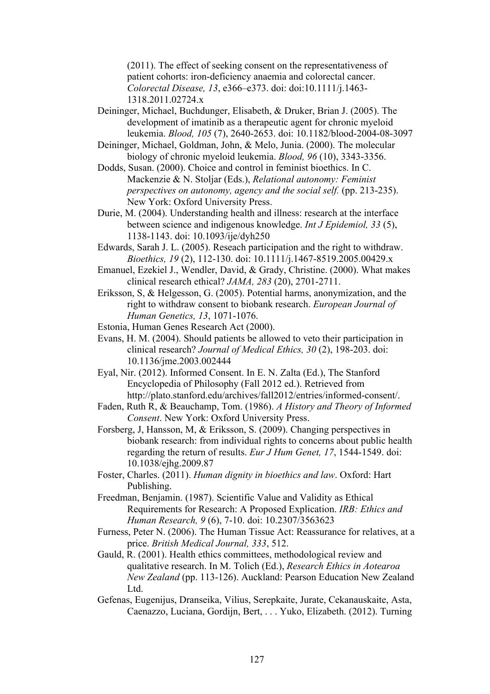(2011). The effect of seeking consent on the representativeness of patient cohorts: iron-deficiency anaemia and colorectal cancer. *Colorectal Disease, 13*, e366–e373. doi: doi:10.1111/j.1463- 1318.2011.02724.x

- Deininger, Michael, Buchdunger, Elisabeth, & Druker, Brian J. (2005). The development of imatinib as a therapeutic agent for chronic myeloid leukemia. *Blood, 105* (7), 2640-2653. doi: 10.1182/blood-2004-08-3097
- Deininger, Michael, Goldman, John, & Melo, Junia. (2000). The molecular biology of chronic myeloid leukemia. *Blood, 96* (10), 3343-3356.
- Dodds, Susan. (2000). Choice and control in feminist bioethics. In C. Mackenzie & N. Stoljar (Eds.), *Relational autonomy: Feminist perspectives on autonomy, agency and the social self.* (pp. 213-235). New York: Oxford University Press.
- Durie, M. (2004). Understanding health and illness: research at the interface between science and indigenous knowledge. *Int J Epidemiol, 33* (5), 1138-1143. doi: 10.1093/ije/dyh250
- Edwards, Sarah J. L. (2005). Reseach participation and the right to withdraw. *Bioethics, 19* (2), 112-130. doi: 10.1111/j.1467-8519.2005.00429.x
- Emanuel, Ezekiel J., Wendler, David, & Grady, Christine. (2000). What makes clinical research ethical? *JAMA, 283* (20), 2701-2711.
- Eriksson, S, & Helgesson, G. (2005). Potential harms, anonymization, and the right to withdraw consent to biobank research. *European Journal of Human Genetics, 13*, 1071-1076.
- Estonia, Human Genes Research Act (2000).
- Evans, H. M. (2004). Should patients be allowed to veto their participation in clinical research? *Journal of Medical Ethics, 30* (2), 198-203. doi: 10.1136/jme.2003.002444
- Eyal, Nir. (2012). Informed Consent. In E. N. Zalta (Ed.), The Stanford Encyclopedia of Philosophy (Fall 2012 ed.). Retrieved from http://plato.stanford.edu/archives/fall2012/entries/informed-consent/.
- Faden, Ruth R, & Beauchamp, Tom. (1986). *A History and Theory of Informed Consent*. New York: Oxford University Press.
- Forsberg, J, Hansson, M, & Eriksson, S. (2009). Changing perspectives in biobank research: from individual rights to concerns about public health regarding the return of results. *Eur J Hum Genet, 17*, 1544-1549. doi: 10.1038/ejhg.2009.87
- Foster, Charles. (2011). *Human dignity in bioethics and law*. Oxford: Hart Publishing.
- Freedman, Benjamin. (1987). Scientific Value and Validity as Ethical Requirements for Research: A Proposed Explication. *IRB: Ethics and Human Research, 9* (6), 7-10. doi: 10.2307/3563623
- Furness, Peter N. (2006). The Human Tissue Act: Reassurance for relatives, at a price. *British Medical Journal, 333*, 512.
- Gauld, R. (2001). Health ethics committees, methodological review and qualitative research. In M. Tolich (Ed.), *Research Ethics in Aotearoa New Zealand* (pp. 113-126). Auckland: Pearson Education New Zealand Ltd.
- Gefenas, Eugenijus, Dranseika, Vilius, Serepkaite, Jurate, Cekanauskaite, Asta, Caenazzo, Luciana, Gordijn, Bert, . . . Yuko, Elizabeth. (2012). Turning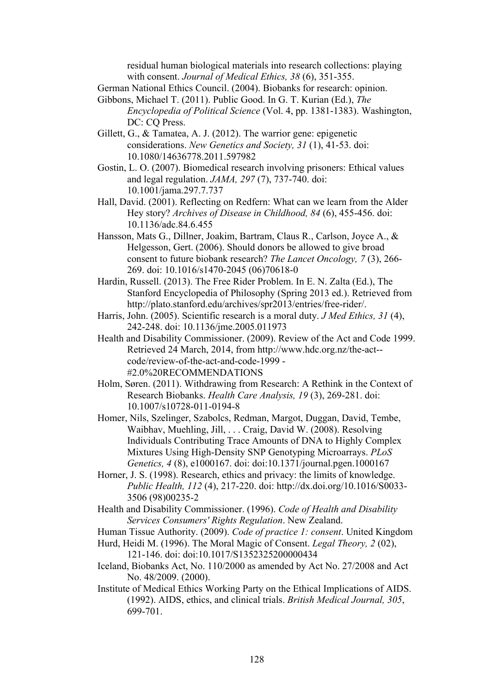residual human biological materials into research collections: playing with consent. *Journal of Medical Ethics, 38* (6), 351-355.

German National Ethics Council. (2004). Biobanks for research: opinion.

- Gibbons, Michael T. (2011). Public Good. In G. T. Kurian (Ed.), *The Encyclopedia of Political Science* (Vol. 4, pp. 1381-1383). Washington, DC: CO Press.
- Gillett, G., & Tamatea, A. J. (2012). The warrior gene: epigenetic considerations. *New Genetics and Society, 31* (1), 41-53. doi: 10.1080/14636778.2011.597982
- Gostin, L. O. (2007). Biomedical research involving prisoners: Ethical values and legal regulation. *JAMA, 297* (7), 737-740. doi: 10.1001/jama.297.7.737
- Hall, David. (2001). Reflecting on Redfern: What can we learn from the Alder Hey story? *Archives of Disease in Childhood, 84* (6), 455-456. doi: 10.1136/adc.84.6.455
- Hansson, Mats G., Dillner, Joakim, Bartram, Claus R., Carlson, Joyce A., & Helgesson, Gert. (2006). Should donors be allowed to give broad consent to future biobank research? *The Lancet Oncology, 7* (3), 266- 269. doi: 10.1016/s1470-2045 (06)70618-0
- Hardin, Russell. (2013). The Free Rider Problem. In E. N. Zalta (Ed.), The Stanford Encyclopedia of Philosophy (Spring 2013 ed.). Retrieved from http://plato.stanford.edu/archives/spr2013/entries/free-rider/.
- Harris, John. (2005). Scientific research is a moral duty. *J Med Ethics, 31* (4), 242-248. doi: 10.1136/jme.2005.011973
- Health and Disability Commissioner. (2009). Review of the Act and Code 1999. Retrieved 24 March, 2014, from http://www.hdc.org.nz/the-act- code/review-of-the-act-and-code-1999 - #2.0%20RECOMMENDATIONS
- Holm, Søren. (2011). Withdrawing from Research: A Rethink in the Context of Research Biobanks. *Health Care Analysis, 19* (3), 269-281. doi: 10.1007/s10728-011-0194-8
- Homer, Nils, Szelinger, Szabolcs, Redman, Margot, Duggan, David, Tembe, Waibhav, Muehling, Jill, . . . Craig, David W. (2008). Resolving Individuals Contributing Trace Amounts of DNA to Highly Complex Mixtures Using High-Density SNP Genotyping Microarrays. *PLoS Genetics, 4* (8), e1000167. doi: doi:10.1371/journal.pgen.1000167
- Horner, J. S. (1998). Research, ethics and privacy: the limits of knowledge. *Public Health, 112* (4), 217-220. doi: http://dx.doi.org/10.1016/S0033- 3506 (98)00235-2
- Health and Disability Commissioner. (1996). *Code of Health and Disability Services Consumers' Rights Regulation*. New Zealand.
- Human Tissue Authority. (2009). *Code of practice 1: consent*. United Kingdom
- Hurd, Heidi M. (1996). The Moral Magic of Consent. *Legal Theory, 2* (02), 121-146. doi: doi:10.1017/S1352325200000434
- Iceland, Biobanks Act, No. 110/2000 as amended by Act No. 27/2008 and Act No. 48/2009. (2000).
- Institute of Medical Ethics Working Party on the Ethical Implications of AIDS. (1992). AIDS, ethics, and clinical trials. *British Medical Journal, 305*, 699-701.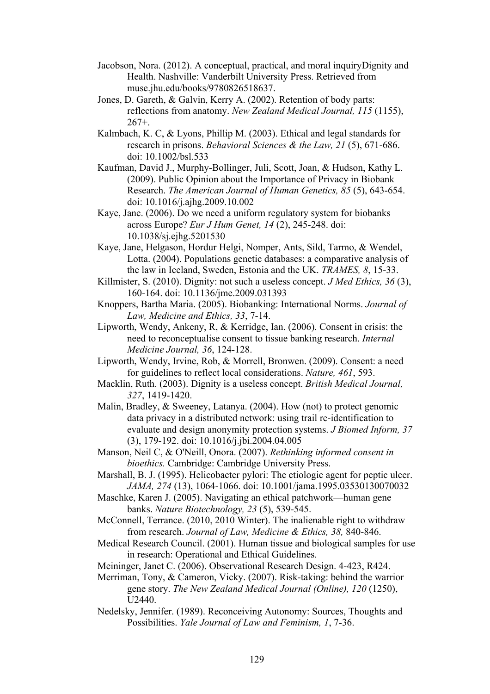- Jacobson, Nora. (2012). A conceptual, practical, and moral inquiryDignity and Health. Nashville: Vanderbilt University Press. Retrieved from muse.jhu.edu/books/9780826518637.
- Jones, D. Gareth, & Galvin, Kerry A. (2002). Retention of body parts: reflections from anatomy. *New Zealand Medical Journal, 115* (1155),  $267+$ .
- Kalmbach, K. C, & Lyons, Phillip M. (2003). Ethical and legal standards for research in prisons. *Behavioral Sciences & the Law, 21* (5), 671-686. doi: 10.1002/bsl.533
- Kaufman, David J., Murphy-Bollinger, Juli, Scott, Joan, & Hudson, Kathy L. (2009). Public Opinion about the Importance of Privacy in Biobank Research. *The American Journal of Human Genetics, 85* (5), 643-654. doi: 10.1016/j.ajhg.2009.10.002
- Kaye, Jane. (2006). Do we need a uniform regulatory system for biobanks across Europe? *Eur J Hum Genet, 14* (2), 245-248. doi: 10.1038/sj.ejhg.5201530
- Kaye, Jane, Helgason, Hordur Helgi, Nomper, Ants, Sild, Tarmo, & Wendel, Lotta. (2004). Populations genetic databases: a comparative analysis of the law in Iceland, Sweden, Estonia and the UK. *TRAMES, 8*, 15-33.
- Killmister, S. (2010). Dignity: not such a useless concept. *J Med Ethics, 36* (3), 160-164. doi: 10.1136/jme.2009.031393
- Knoppers, Bartha Maria. (2005). Biobanking: International Norms. *Journal of Law, Medicine and Ethics, 33*, 7-14.
- Lipworth, Wendy, Ankeny, R, & Kerridge, Ian. (2006). Consent in crisis: the need to reconceptualise consent to tissue banking research. *Internal Medicine Journal, 36*, 124-128.
- Lipworth, Wendy, Irvine, Rob, & Morrell, Bronwen. (2009). Consent: a need for guidelines to reflect local considerations. *Nature, 461*, 593.
- Macklin, Ruth. (2003). Dignity is a useless concept. *British Medical Journal, 327*, 1419-1420.
- Malin, Bradley, & Sweeney, Latanya. (2004). How (not) to protect genomic data privacy in a distributed network: using trail re-identification to evaluate and design anonymity protection systems. *J Biomed Inform, 37* (3), 179-192. doi: 10.1016/j.jbi.2004.04.005
- Manson, Neil C, & O'Neill, Onora. (2007). *Rethinking informed consent in bioethics.* Cambridge: Cambridge University Press.
- Marshall, B. J. (1995). Helicobacter pylori: The etiologic agent for peptic ulcer. *JAMA, 274* (13), 1064-1066. doi: 10.1001/jama.1995.03530130070032
- Maschke, Karen J. (2005). Navigating an ethical patchwork—human gene banks. *Nature Biotechnology, 23* (5), 539-545.
- McConnell, Terrance. (2010, 2010 Winter). The inalienable right to withdraw from research. *Journal of Law, Medicine & Ethics, 38,* 840-846.
- Medical Research Council. (2001). Human tissue and biological samples for use in research: Operational and Ethical Guidelines.
- Meininger, Janet C. (2006). Observational Research Design. 4-423, R424.
- Merriman, Tony, & Cameron, Vicky. (2007). Risk-taking: behind the warrior gene story. *The New Zealand Medical Journal (Online), 120* (1250), U2440.
- Nedelsky, Jennifer. (1989). Reconceiving Autonomy: Sources, Thoughts and Possibilities. *Yale Journal of Law and Feminism, 1*, 7-36.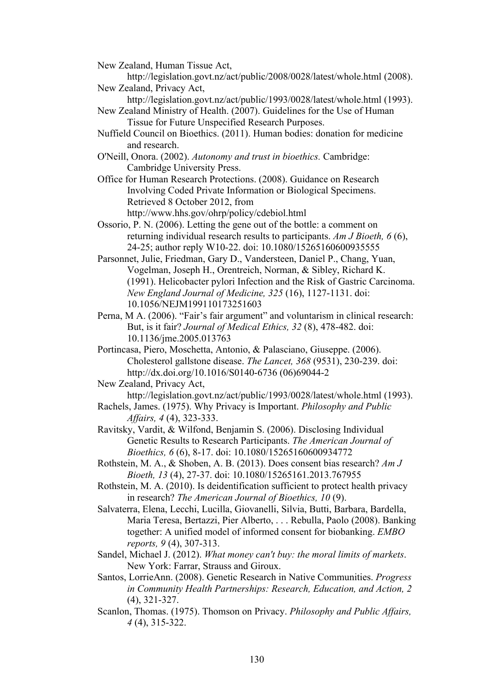New Zealand, Human Tissue Act,

http://legislation.govt.nz/act/public/2008/0028/latest/whole.html (2008). New Zealand, Privacy Act,

http://legislation.govt.nz/act/public/1993/0028/latest/whole.html (1993). New Zealand Ministry of Health. (2007). Guidelines for the Use of Human

Tissue for Future Unspecified Research Purposes.

- Nuffield Council on Bioethics. (2011). Human bodies: donation for medicine and research.
- O'Neill, Onora. (2002). *Autonomy and trust in bioethics.* Cambridge: Cambridge University Press.

Office for Human Research Protections. (2008). Guidance on Research Involving Coded Private Information or Biological Specimens. Retrieved 8 October 2012, from http://www.hhs.gov/ohrp/policy/cdebiol.html

Ossorio, P. N. (2006). Letting the gene out of the bottle: a comment on returning individual research results to participants. *Am J Bioeth, 6* (6), 24-25; author reply W10-22. doi: 10.1080/15265160600935555

- Parsonnet, Julie, Friedman, Gary D., Vandersteen, Daniel P., Chang, Yuan, Vogelman, Joseph H., Orentreich, Norman, & Sibley, Richard K. (1991). Helicobacter pylori Infection and the Risk of Gastric Carcinoma. *New England Journal of Medicine, 325* (16), 1127-1131. doi: 10.1056/NEJM199110173251603
- Perna, M A. (2006). "Fair's fair argument" and voluntarism in clinical research: But, is it fair? *Journal of Medical Ethics, 32* (8), 478-482. doi: 10.1136/jme.2005.013763
- Portincasa, Piero, Moschetta, Antonio, & Palasciano, Giuseppe. (2006). Cholesterol gallstone disease. *The Lancet, 368* (9531), 230-239. doi: http://dx.doi.org/10.1016/S0140-6736 (06)69044-2

New Zealand, Privacy Act,

http://legislation.govt.nz/act/public/1993/0028/latest/whole.html (1993).

- Rachels, James. (1975). Why Privacy is Important. *Philosophy and Public Affairs, 4* (4), 323-333.
- Ravitsky, Vardit, & Wilfond, Benjamin S. (2006). Disclosing Individual Genetic Results to Research Participants. *The American Journal of Bioethics, 6* (6), 8-17. doi: 10.1080/15265160600934772
- Rothstein, M. A., & Shoben, A. B. (2013). Does consent bias research? *Am J Bioeth, 13* (4), 27-37. doi: 10.1080/15265161.2013.767955
- Rothstein, M. A. (2010). Is deidentification sufficient to protect health privacy in research? *The American Journal of Bioethics, 10* (9).
- Salvaterra, Elena, Lecchi, Lucilla, Giovanelli, Silvia, Butti, Barbara, Bardella, Maria Teresa, Bertazzi, Pier Alberto, . . . Rebulla, Paolo (2008). Banking together: A unified model of informed consent for biobanking. *EMBO reports, 9* (4), 307-313.
- Sandel, Michael J. (2012). *What money can't buy: the moral limits of markets*. New York: Farrar, Strauss and Giroux.
- Santos, LorrieAnn. (2008). Genetic Research in Native Communities. *Progress in Community Health Partnerships: Research, Education, and Action, 2* (4), 321-327.
- Scanlon, Thomas. (1975). Thomson on Privacy. *Philosophy and Public Affairs, 4* (4), 315-322.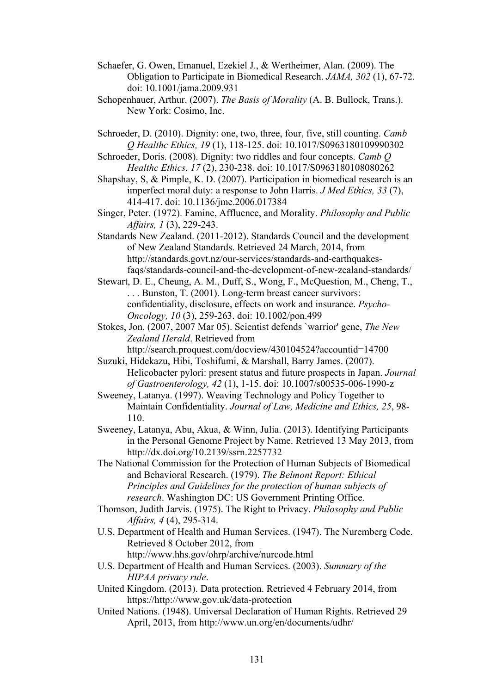- Schaefer, G. Owen, Emanuel, Ezekiel J., & Wertheimer, Alan. (2009). The Obligation to Participate in Biomedical Research. *JAMA, 302* (1), 67-72. doi: 10.1001/jama.2009.931
- Schopenhauer, Arthur. (2007). *The Basis of Morality* (A. B. Bullock, Trans.). New York: Cosimo, Inc.
- Schroeder, D. (2010). Dignity: one, two, three, four, five, still counting. *Camb Q Healthc Ethics, 19* (1), 118-125. doi: 10.1017/S0963180109990302
- Schroeder, Doris. (2008). Dignity: two riddles and four concepts. *Camb Q Healthc Ethics, 17* (2), 230-238. doi: 10.1017/S0963180108080262
- Shapshay, S, & Pimple, K. D. (2007). Participation in biomedical research is an imperfect moral duty: a response to John Harris. *J Med Ethics, 33* (7), 414-417. doi: 10.1136/jme.2006.017384
- Singer, Peter. (1972). Famine, Affluence, and Morality. *Philosophy and Public Affairs, 1* (3), 229-243.
- Standards New Zealand. (2011-2012). Standards Council and the development of New Zealand Standards. Retrieved 24 March, 2014, from http://standards.govt.nz/our-services/standards-and-earthquakesfaqs/standards-council-and-the-development-of-new-zealand-standards/
- Stewart, D. E., Cheung, A. M., Duff, S., Wong, F., McQuestion, M., Cheng, T., . . . Bunston, T. (2001). Long-term breast cancer survivors: confidentiality, disclosure, effects on work and insurance. *Psycho-Oncology, 10* (3), 259-263. doi: 10.1002/pon.499
- Stokes, Jon. (2007, 2007 Mar 05). Scientist defends `warrior' gene, *The New Zealand Herald*. Retrieved from http://search.proquest.com/docview/430104524?accountid=14700
- Suzuki, Hidekazu, Hibi, Toshifumi, & Marshall, Barry James. (2007). Helicobacter pylori: present status and future prospects in Japan. *Journal of Gastroenterology, 42* (1), 1-15. doi: 10.1007/s00535-006-1990-z
- Sweeney, Latanya. (1997). Weaving Technology and Policy Together to Maintain Confidentiality. *Journal of Law, Medicine and Ethics, 25*, 98- 110.
- Sweeney, Latanya, Abu, Akua, & Winn, Julia. (2013). Identifying Participants in the Personal Genome Project by Name. Retrieved 13 May 2013, from http://dx.doi.org/10.2139/ssrn.2257732
- The National Commission for the Protection of Human Subjects of Biomedical and Behavioral Research. (1979). *The Belmont Report: Ethical Principles and Guidelines for the protection of human subjects of research*. Washington DC: US Government Printing Office.
- Thomson, Judith Jarvis. (1975). The Right to Privacy. *Philosophy and Public Affairs, 4* (4), 295-314.
- U.S. Department of Health and Human Services. (1947). The Nuremberg Code. Retrieved 8 October 2012, from http://www.hhs.gov/ohrp/archive/nurcode.html
- U.S. Department of Health and Human Services. (2003). *Summary of the HIPAA privacy rule*.
- United Kingdom. (2013). Data protection. Retrieved 4 February 2014, from https://http://www.gov.uk/data-protection
- United Nations. (1948). Universal Declaration of Human Rights. Retrieved 29 April, 2013, from http://www.un.org/en/documents/udhr/